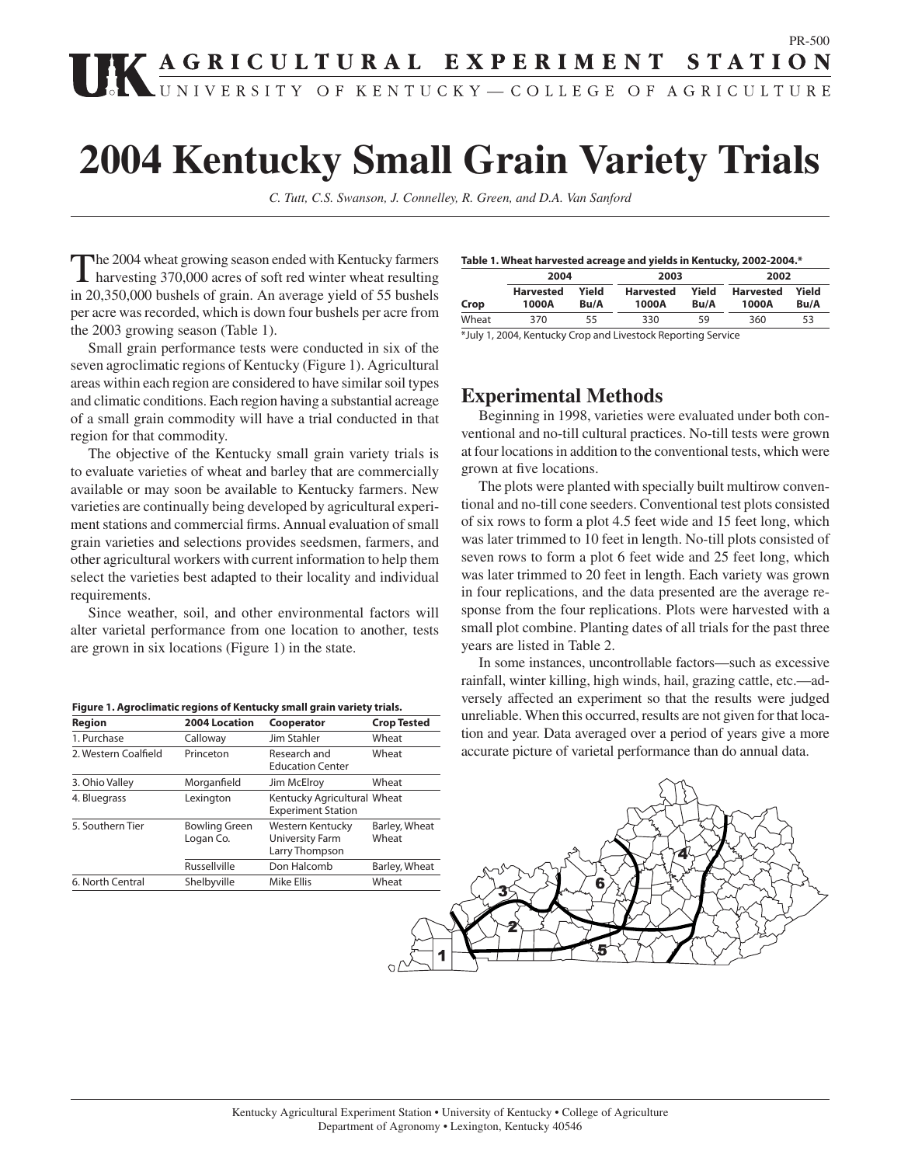# **EXPERIMENT STATION** PR-500

# **2004 Kentucky Small Grain Variety Trials**

*C. Tutt, C.S. Swanson, J. Connelley, R. Green, and D.A. Van Sanford*

The 2004 wheat growing season ended with Kentucky farmers<br>harvesting 370,000 acres of soft red winter wheat resulting in 20,350,000 bushels of grain. An average yield of 55 bushels per acre was recorded, which is down four bushels per acre from the 2003 growing season (Table 1).

 Small grain performance tests were conducted in six of the seven agroclimatic regions of Kentucky (Figure 1). Agricultural areas within each region are considered to have similar soil types and climatic conditions. Each region having a substantial acreage of a small grain commodity will have a trial conducted in that region for that commodity.

 The objective of the Kentucky small grain variety trials is to evaluate varieties of wheat and barley that are commercially available or may soon be available to Kentucky farmers. New varieties are continually being developed by agricultural experiment stations and commercial firms. Annual evaluation of small grain varieties and selections provides seedsmen, farmers, and other agricultural workers with current information to help them select the varieties best adapted to their locality and individual requirements.

 Since weather, soil, and other environmental factors will alter varietal performance from one location to another, tests are grown in six locations (Figure 1) in the state.

| Figure 1. Agroclimatic regions of Kentucky small grain variety trials. |  |  |
|------------------------------------------------------------------------|--|--|
|                                                                        |  |  |

| Region               | 2004 Location                     | Cooperator                                                   | <b>Crop Tested</b>     |
|----------------------|-----------------------------------|--------------------------------------------------------------|------------------------|
| 1. Purchase          | Calloway                          | Jim Stahler                                                  | Wheat                  |
| 2. Western Coalfield | Princeton                         | Research and<br><b>Education Center</b>                      | Wheat                  |
| 3. Ohio Valley       | Morganfield                       | Jim McElroy                                                  | Wheat                  |
| 4. Bluegrass         | Lexington                         | Kentucky Agricultural Wheat<br><b>Experiment Station</b>     |                        |
| 5. Southern Tier     | <b>Bowling Green</b><br>Logan Co. | Western Kentucky<br><b>University Farm</b><br>Larry Thompson | Barley, Wheat<br>Wheat |
|                      | Russellville                      | Don Halcomb                                                  | Barley, Wheat          |
| 6. North Central     | Shelbyville                       | Mike Ellis                                                   | Wheat                  |

|       | 2004                      |               | 2003                      |               | 2002                      |               |  |
|-------|---------------------------|---------------|---------------------------|---------------|---------------------------|---------------|--|
| Crop  | <b>Harvested</b><br>1000A | Yield<br>Bu/A | <b>Harvested</b><br>1000A | Yield<br>Bu/A | <b>Harvested</b><br>1000A | Yield<br>Bu/A |  |
| Wheat | 370                       | 55            | 330                       | 59            | 360                       | 53            |  |

\*July 1, 2004, Kentucky Crop and Livestock Reporting Service

## **Experimental Methods**

 Beginning in 1998, varieties were evaluated under both conventional and no-till cultural practices. No-till tests were grown at four locations in addition to the conventional tests, which were grown at five locations.

 The plots were planted with specially built multirow conventional and no-till cone seeders. Conventional test plots consisted of six rows to form a plot 4.5 feet wide and 15 feet long, which was later trimmed to 10 feet in length. No-till plots consisted of seven rows to form a plot 6 feet wide and 25 feet long, which was later trimmed to 20 feet in length. Each variety was grown in four replications, and the data presented are the average response from the four replications. Plots were harvested with a small plot combine. Planting dates of all trials for the past three years are listed in Table 2.

 In some instances, uncontrollable factors—such as excessive rainfall, winter killing, high winds, hail, grazing cattle, etc.—adversely affected an experiment so that the results were judged unreliable. When this occurred, results are not given for that location and year. Data averaged over a period of years give a more accurate picture of varietal performance than do annual data.

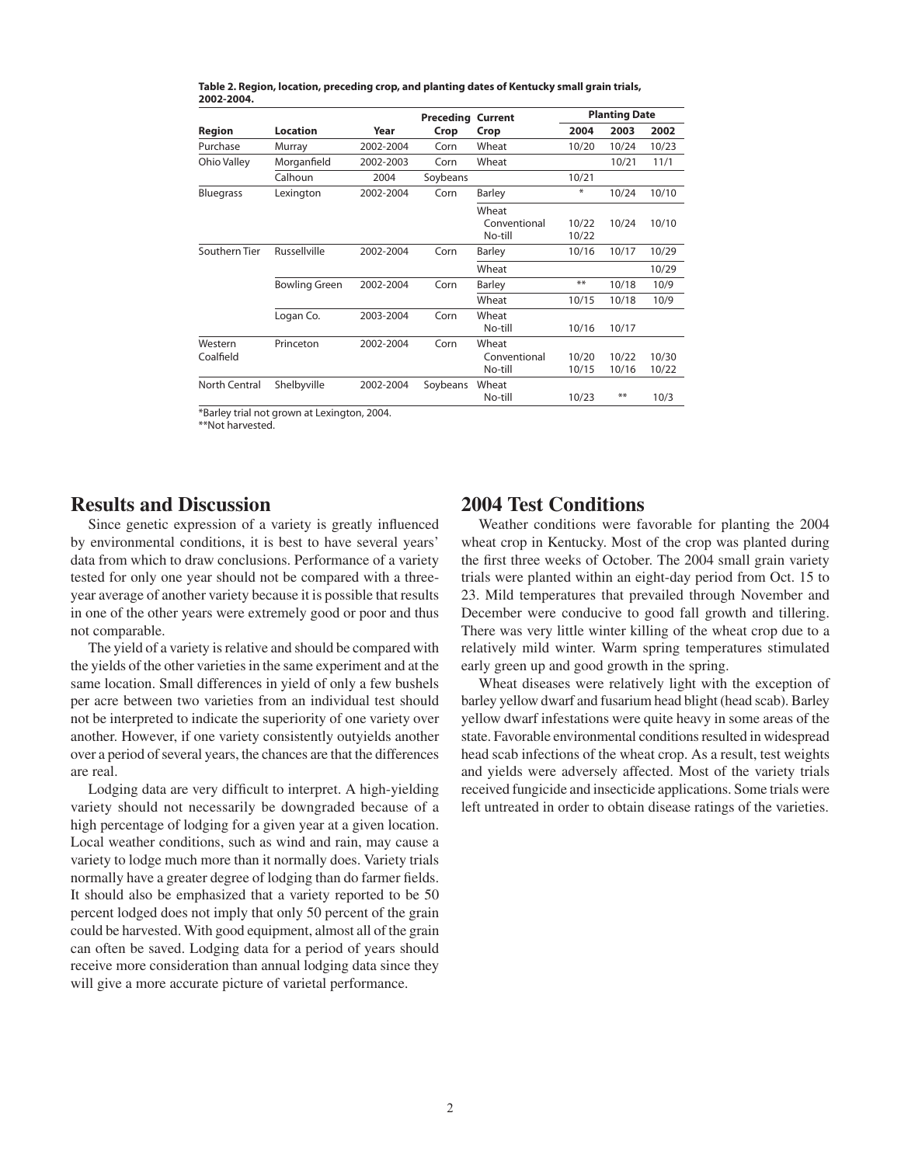|                      |                                   |           | Preceding | <b>Current</b>                   | <b>Planting Date</b> |                |                |  |
|----------------------|-----------------------------------|-----------|-----------|----------------------------------|----------------------|----------------|----------------|--|
| Region               | Location                          | Year      | Crop      | Crop                             | 2004                 | 2003           | 2002           |  |
| Purchase             | Murray                            | 2002-2004 | Corn      | Wheat                            | 10/20                | 10/24          | 10/23          |  |
| Ohio Valley          | Morganfield                       | 2002-2003 | Corn      | Wheat                            |                      | 10/21          | 11/1           |  |
|                      | Calhoun                           | 2004      | Soybeans  |                                  | 10/21                |                |                |  |
| <b>Bluegrass</b>     | Lexington                         | 2002-2004 | Corn      | Barley                           | ⋇                    | 10/24          | 10/10          |  |
|                      |                                   |           |           | Wheat<br>Conventional<br>No-till | 10/22<br>10/22       | 10/24          | 10/10          |  |
| Southern Tier        | Russellville                      | 2002-2004 | Corn      | Barley                           | 10/16                | 10/17          | 10/29          |  |
|                      |                                   |           |           | Wheat                            |                      |                | 10/29          |  |
|                      | <b>Bowling Green</b><br>2002-2004 |           | Corn      | Barley                           | **                   | 10/18          | 10/9           |  |
|                      |                                   |           |           | Wheat                            | 10/15                | 10/18          | 10/9           |  |
|                      | Logan Co.                         | 2003-2004 | Corn      | Wheat<br>No-till                 | 10/16                | 10/17          |                |  |
| Western<br>Coalfield | Princeton                         | 2002-2004 | Corn      | Wheat<br>Conventional<br>No-till | 10/20<br>10/15       | 10/22<br>10/16 | 10/30<br>10/22 |  |
| North Central        | Shelbyville                       | 2002-2004 | Soybeans  | Wheat<br>No-till                 | 10/23                | **             | 10/3           |  |

**Table 2. Region, location, preceding crop, and planting dates of Kentucky small grain trials, 2002-2004.**

\*Barley trial not grown at Lexington, 2004.

\*\*Not harvested.

# **Results and Discussion**

Since genetic expression of a variety is greatly influenced by environmental conditions, it is best to have several years' data from which to draw conclusions. Performance of a variety tested for only one year should not be compared with a threeyear average of another variety because it is possible that results in one of the other years were extremely good or poor and thus not comparable.

 The yield of a variety is relative and should be compared with the yields of the other varieties in the same experiment and at the same location. Small differences in yield of only a few bushels per acre between two varieties from an individual test should not be interpreted to indicate the superiority of one variety over another. However, if one variety consistently outyields another over a period of several years, the chances are that the differences are real.

Lodging data are very difficult to interpret. A high-yielding variety should not necessarily be downgraded because of a high percentage of lodging for a given year at a given location. Local weather conditions, such as wind and rain, may cause a variety to lodge much more than it normally does. Variety trials normally have a greater degree of lodging than do farmer fields. It should also be emphasized that a variety reported to be 50 percent lodged does not imply that only 50 percent of the grain could be harvested. With good equipment, almost all of the grain can often be saved. Lodging data for a period of years should receive more consideration than annual lodging data since they will give a more accurate picture of varietal performance.

## **2004 Test Conditions**

 Weather conditions were favorable for planting the 2004 wheat crop in Kentucky. Most of the crop was planted during the first three weeks of October. The 2004 small grain variety trials were planted within an eight-day period from Oct. 15 to 23. Mild temperatures that prevailed through November and December were conducive to good fall growth and tillering. There was very little winter killing of the wheat crop due to a relatively mild winter. Warm spring temperatures stimulated early green up and good growth in the spring.

 Wheat diseases were relatively light with the exception of barley yellow dwarf and fusarium head blight (head scab). Barley yellow dwarf infestations were quite heavy in some areas of the state. Favorable environmental conditions resulted in widespread head scab infections of the wheat crop. As a result, test weights and yields were adversely affected. Most of the variety trials received fungicide and insecticide applications. Some trials were left untreated in order to obtain disease ratings of the varieties.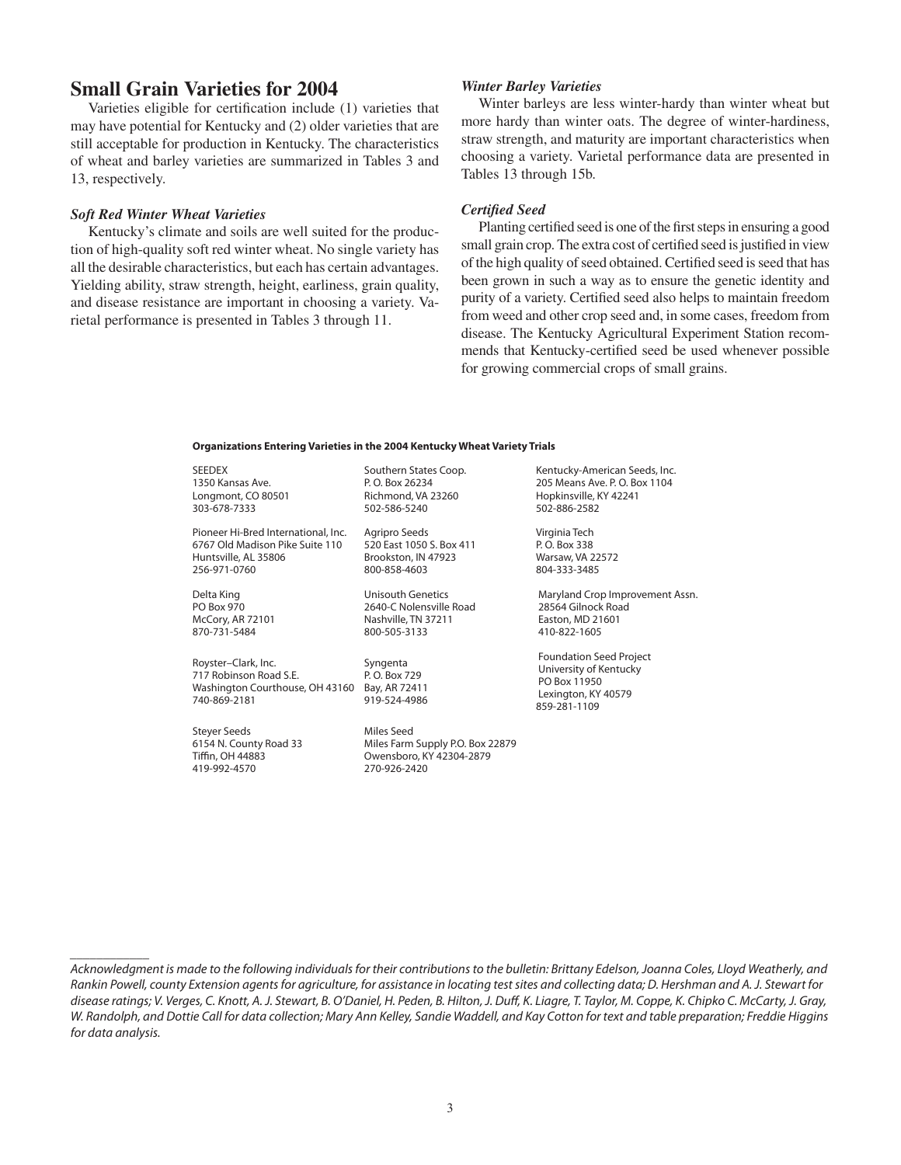# **Small Grain Varieties for 2004**

Varieties eligible for certification include (1) varieties that may have potential for Kentucky and (2) older varieties that are still acceptable for production in Kentucky. The characteristics of wheat and barley varieties are summarized in Tables 3 and 13, respectively.

#### *Soft Red Winter Wheat Varieties*

 Kentucky's climate and soils are well suited for the production of high-quality soft red winter wheat. No single variety has all the desirable characteristics, but each has certain advantages. Yielding ability, straw strength, height, earliness, grain quality, and disease resistance are important in choosing a variety. Varietal performance is presented in Tables 3 through 11.

#### *Winter Barley Varieties*

 Winter barleys are less winter-hardy than winter wheat but more hardy than winter oats. The degree of winter-hardiness, straw strength, and maturity are important characteristics when choosing a variety. Varietal performance data are presented in Tables 13 through 15b.

#### *Certified Seed*

Planting certified seed is one of the first steps in ensuring a good small grain crop. The extra cost of certified seed is justified in view of the high quality of seed obtained. Certified seed is seed that has been grown in such a way as to ensure the genetic identity and purity of a variety. Certified seed also helps to maintain freedom from weed and other crop seed and, in some cases, freedom from disease. The Kentucky Agricultural Experiment Station recommends that Kentucky-certified seed be used whenever possible for growing commercial crops of small grains.

#### **Organizations Entering Varieties in the 2004 Kentucky Wheat Variety Trials**

SEEDEX 1350 Kansas Ave. Longmont, CO 80501 303-678-7333

Pioneer Hi-Bred International, Inc. 6767 Old Madison Pike Suite 110 Huntsville, AL 35806 256-971-0760

Delta King PO Box 970 McCory, AR 72101 870-731-5484

Royster–Clark, Inc. 717 Robinson Road S.E. Washington Courthouse, OH 43160 Bay, AR 72411 740-869-2181

Steyer Seeds 6154 N. County Road 33 Tiffin, OH 44883 419-992-4570

\_\_\_\_\_\_\_\_\_\_\_\_

Southern States Coop. P. O. Box 26234 Richmond, VA 23260 502-586-5240

Agripro Seeds 520 East 1050 S. Box 411 Brookston, IN 47923 800-858-4603

Unisouth Genetics 2640-C Nolensville Road Nashville, TN 37211 800-505-3133

Syngenta P. O. Box 729 919-524-4986

Miles Seed Miles Farm Supply P.O. Box 22879 Owensboro, KY 42304-2879 270-926-2420

Kentucky-American Seeds, Inc. 205 Means Ave. P.O. Box 1104 Hopkinsville, KY 42241 502-886-2582

Virginia Tech P. O. Box 338 Warsaw, VA 22572 804-333-3485

 Maryland Crop Improvement Assn. 28564 Gilnock Road Easton, MD 21601 410-822-1605

 Foundation Seed Project University of Kentucky PO Box 11950 Lexington, KY 40579 859-281-1109

Acknowledgment is made to the following individuals for their contributions to the bulletin: Brittany Edelson, Joanna Coles, Lloyd Weatherly, and Rankin Powell, county Extension agents for agriculture, for assistance in locating test sites and collecting data; D. Hershman and A. J. Stewart for disease ratings; V. Verges, C. Knott, A. J. Stewart, B. O'Daniel, H. Peden, B. Hilton, J. Duff, K. Liagre, T. Taylor, M. Coppe, K. Chipko C. McCarty, J. Gray, W. Randolph, and Dottie Call for data collection; Mary Ann Kelley, Sandie Waddell, and Kay Cotton for text and table preparation; Freddie Higgins for data analysis.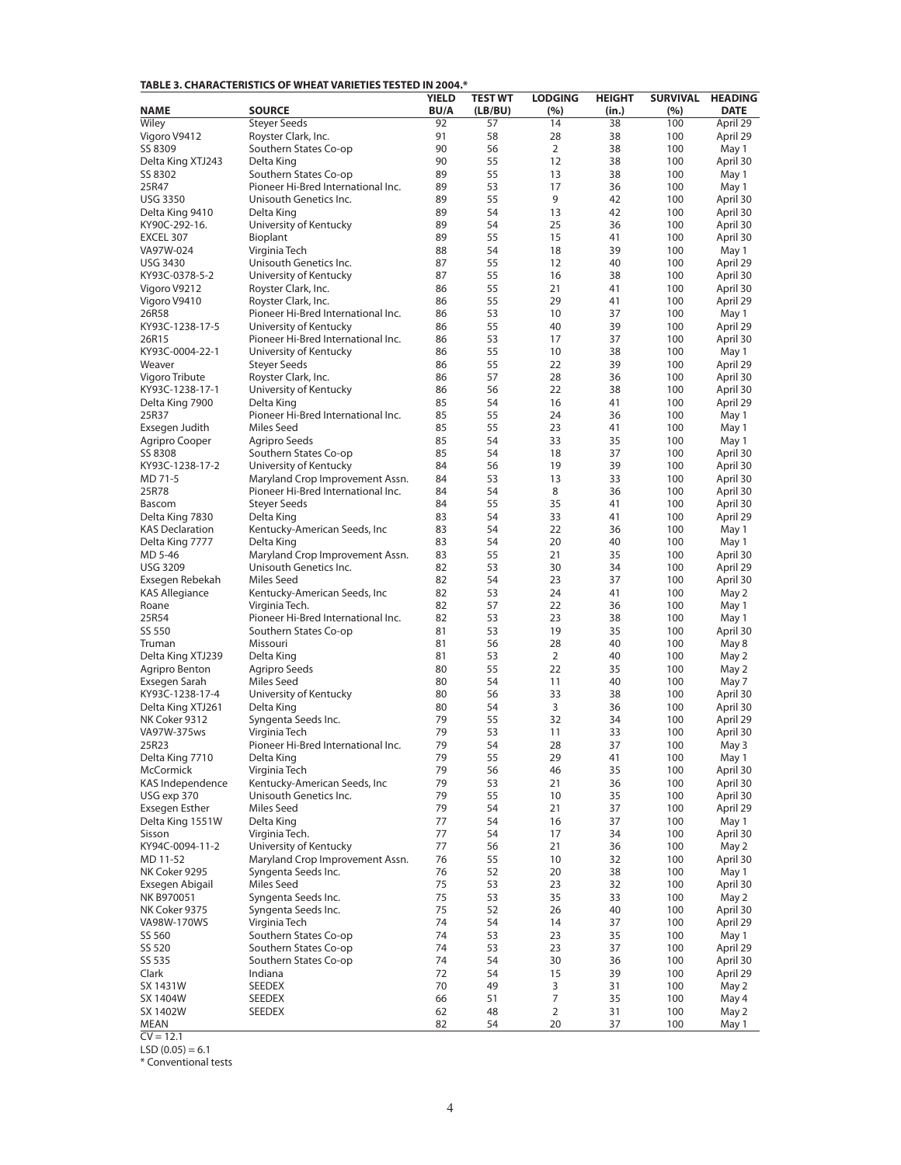| TABLE 3. CHARACTERISTICS OF WHEAT VARIETIES TESTED IN 2004.* |  |
|--------------------------------------------------------------|--|
|--------------------------------------------------------------|--|

|                                  |                                                  | <b>YIELD</b> | <b>TEST WT</b> | <b>LODGING</b> | <b>HEIGHT</b> |            | SURVIVAL HEADING  |
|----------------------------------|--------------------------------------------------|--------------|----------------|----------------|---------------|------------|-------------------|
| <b>NAME</b>                      | <b>SOURCE</b>                                    | <b>BU/A</b>  | (LB/BU)        | (%)            | (in.)         | (%)        | <b>DATE</b>       |
| Wiley                            | <b>Steyer Seeds</b>                              | 92           | 57             | 14             | 38            | 100        | April 29          |
| Vigoro V9412                     | Royster Clark, Inc.                              | 91           | 58             | 28             | 38            | 100        | April 29          |
| SS 8309                          | Southern States Co-op                            | 90<br>90     | 56<br>55       | 2<br>12        | 38<br>38      | 100<br>100 | May 1             |
| Delta King XTJ243<br>SS 8302     | Delta King<br>Southern States Co-op              | 89           | 55             | 13             | 38            | 100        | April 30<br>May 1 |
| 25R47                            | Pioneer Hi-Bred International Inc.               | 89           | 53             | 17             | 36            | 100        | May 1             |
| <b>USG 3350</b>                  | Unisouth Genetics Inc.                           | 89           | 55             | 9              | 42            | 100        | April 30          |
| Delta King 9410                  | Delta King                                       | 89           | 54             | 13             | 42            | 100        | April 30          |
| KY90C-292-16.                    | University of Kentucky                           | 89           | 54             | 25             | 36            | 100        | April 30          |
| EXCEL 307                        | Bioplant                                         | 89           | 55             | 15             | 41            | 100        | April 30          |
| VA97W-024                        | Virginia Tech                                    | 88           | 54             | 18             | 39            | 100        | May 1             |
| <b>USG 3430</b>                  | Unisouth Genetics Inc.                           | 87           | 55             | 12             | 40            | 100        | April 29          |
| KY93C-0378-5-2                   | University of Kentucky                           | 87           | 55             | 16             | 38            | 100        | April 30          |
| Vigoro V9212                     | Royster Clark, Inc.                              | 86           | 55             | 21             | 41            | 100        | April 30          |
| Vigoro V9410                     | Royster Clark, Inc.                              | 86           | 55             | 29             | 41            | 100        | April 29          |
| 26R58                            | Pioneer Hi-Bred International Inc.               | 86           | 53             | 10             | 37            | 100        | May 1             |
| KY93C-1238-17-5                  | University of Kentucky                           | 86           | 55             | 40             | 39            | 100        | April 29          |
| 26R15                            | Pioneer Hi-Bred International Inc.               | 86           | 53             | 17             | 37            | 100        | April 30          |
| KY93C-0004-22-1                  | University of Kentucky                           | 86           | 55             | 10             | 38            | 100        | May 1             |
| Weaver                           | <b>Steyer Seeds</b>                              | 86           | 55             | 22             | 39            | 100        | April 29          |
| Vigoro Tribute                   | Royster Clark, Inc.                              | 86           | 57             | 28             | 36            | 100        | April 30          |
| KY93C-1238-17-1                  | University of Kentucky                           | 86           | 56             | 22             | 38            | 100        | April 30          |
| Delta King 7900                  | Delta King<br>Pioneer Hi-Bred International Inc. | 85<br>85     | 54<br>55       | 16<br>24       | 41<br>36      | 100        | April 29          |
| 25R37<br>Exsegen Judith          | Miles Seed                                       | 85           | 55             | 23             | 41            | 100<br>100 | May 1<br>May 1    |
| Agripro Cooper                   | Agripro Seeds                                    | 85           | 54             | 33             | 35            | 100        | May 1             |
| SS 8308                          | Southern States Co-op                            | 85           | 54             | 18             | 37            | 100        | April 30          |
| KY93C-1238-17-2                  | University of Kentucky                           | 84           | 56             | 19             | 39            | 100        | April 30          |
| MD 71-5                          | Maryland Crop Improvement Assn.                  | 84           | 53             | 13             | 33            | 100        | April 30          |
| 25R78                            | Pioneer Hi-Bred International Inc.               | 84           | 54             | 8              | 36            | 100        | April 30          |
| Bascom                           | <b>Stever Seeds</b>                              | 84           | 55             | 35             | 41            | 100        | April 30          |
| Delta King 7830                  | Delta King                                       | 83           | 54             | 33             | 41            | 100        | April 29          |
| <b>KAS Declaration</b>           | Kentucky-American Seeds, Inc                     | 83           | 54             | 22             | 36            | 100        | May 1             |
| Delta King 7777                  | Delta King                                       | 83           | 54             | 20             | 40            | 100        | May 1             |
| MD 5-46                          | Maryland Crop Improvement Assn.                  | 83           | 55             | 21             | 35            | 100        | April 30          |
| <b>USG 3209</b>                  | Unisouth Genetics Inc.                           | 82           | 53             | 30             | 34            | 100        | April 29          |
| Exsegen Rebekah                  | Miles Seed                                       | 82           | 54             | 23             | 37            | 100        | April 30          |
| <b>KAS Allegiance</b>            | Kentucky-American Seeds, Inc                     | 82           | 53             | 24             | 41            | 100        | May 2             |
| Roane                            | Virginia Tech.                                   | 82           | 57             | 22             | 36            | 100        | May 1             |
| 25R54                            | Pioneer Hi-Bred International Inc.               | 82           | 53             | 23             | 38            | 100        | May 1             |
| SS 550                           | Southern States Co-op                            | 81           | 53<br>56       | 19<br>28       | 35            | 100        | April 30          |
| Truman<br>Delta King XTJ239      | Missouri<br>Delta King                           | 81<br>81     | 53             | 2              | 40<br>40      | 100<br>100 | May 8<br>May 2    |
| Agripro Benton                   | Agripro Seeds                                    | 80           | 55             | 22             | 35            | 100        | May 2             |
| Exsegen Sarah                    | Miles Seed                                       | 80           | 54             | 11             | 40            | 100        | May 7             |
| KY93C-1238-17-4                  | University of Kentucky                           | 80           | 56             | 33             | 38            | 100        | April 30          |
| Delta King XTJ261                | Delta King                                       | 80           | 54             | 3              | 36            | 100        | April 30          |
| NK Coker 9312                    | Syngenta Seeds Inc.                              | 79           | 55             | 32             | 34            | 100        | April 29          |
| VA97W-375ws                      | Virginia Tech                                    | 79           | 53             | 11             | 33            | 100        | April 30          |
| 25R23                            | Pioneer Hi-Bred International Inc.               | 79           | 54             | 28             | 37            | 100        | May 3             |
| Delta King 7710                  | Delta King                                       | 79           | 55             | 29             | 41            | 100        | May 1             |
| <b>McCormick</b>                 | Virginia Tech                                    | 79           | 56             | 46             | 35            | 100        | April 30          |
| KAS Independence                 | Kentucky-American Seeds, Inc                     | 79           | 53             | 21             | 36            | 100        | April 30          |
| USG exp 370                      | Unisouth Genetics Inc.                           | 79           | 55             | 10             | 35            | 100        | April 30          |
| Exsegen Esther                   | Miles Seed                                       | 79           | 54             | 21             | 37            | 100        | April 29          |
| Delta King 1551W                 | Delta King                                       | 77           | 54             | 16             | 37            | 100        | May 1             |
| Sisson                           | Virginia Tech.                                   | 77           | 54             | 17             | 34            | 100        | April 30          |
| KY94C-0094-11-2                  | University of Kentucky                           | 77           | 56             | 21             | 36            | 100        | May 2             |
| MD 11-52                         | Maryland Crop Improvement Assn.                  | 76           | 55             | 10             | 32            | 100        | April 30          |
| NK Coker 9295<br>Exsegen Abigail | Syngenta Seeds Inc.<br><b>Miles Seed</b>         | 76<br>75     | 52<br>53       | 20<br>23       | 38<br>32      | 100<br>100 | May 1<br>April 30 |
| NK B970051                       | Syngenta Seeds Inc.                              | 75           | 53             | 35             | 33            | 100        | May 2             |
| NK Coker 9375                    | Syngenta Seeds Inc.                              | 75           | 52             | 26             | 40            | 100        | April 30          |
| VA98W-170WS                      | Virginia Tech                                    | 74           | 54             | 14             | 37            | 100        | April 29          |
| SS 560                           | Southern States Co-op                            | 74           | 53             | 23             | 35            | 100        | May 1             |
| SS 520                           | Southern States Co-op                            | 74           | 53             | 23             | 37            | 100        | April 29          |
| SS 535                           | Southern States Co-op                            | 74           | 54             | 30             | 36            | 100        | April 30          |
| Clark                            | Indiana                                          | 72           | 54             | 15             | 39            | 100        | April 29          |
| SX 1431W                         | SEEDEX                                           | 70           | 49             | 3              | 31            | 100        | May 2             |
| SX 1404W                         | SEEDEX                                           | 66           | 51             | 7              | 35            | 100        | May 4             |
| SX 1402W                         | SEEDEX                                           | 62           | 48             | $\overline{2}$ | 31            | 100        | May 2             |
| MEAN                             |                                                  | 82           | 54             | 20             | 37            | 100        | May 1             |

 $CV = 12.1$ 

 $LSD (0.05) = 6.1$ 

\* Conventional tests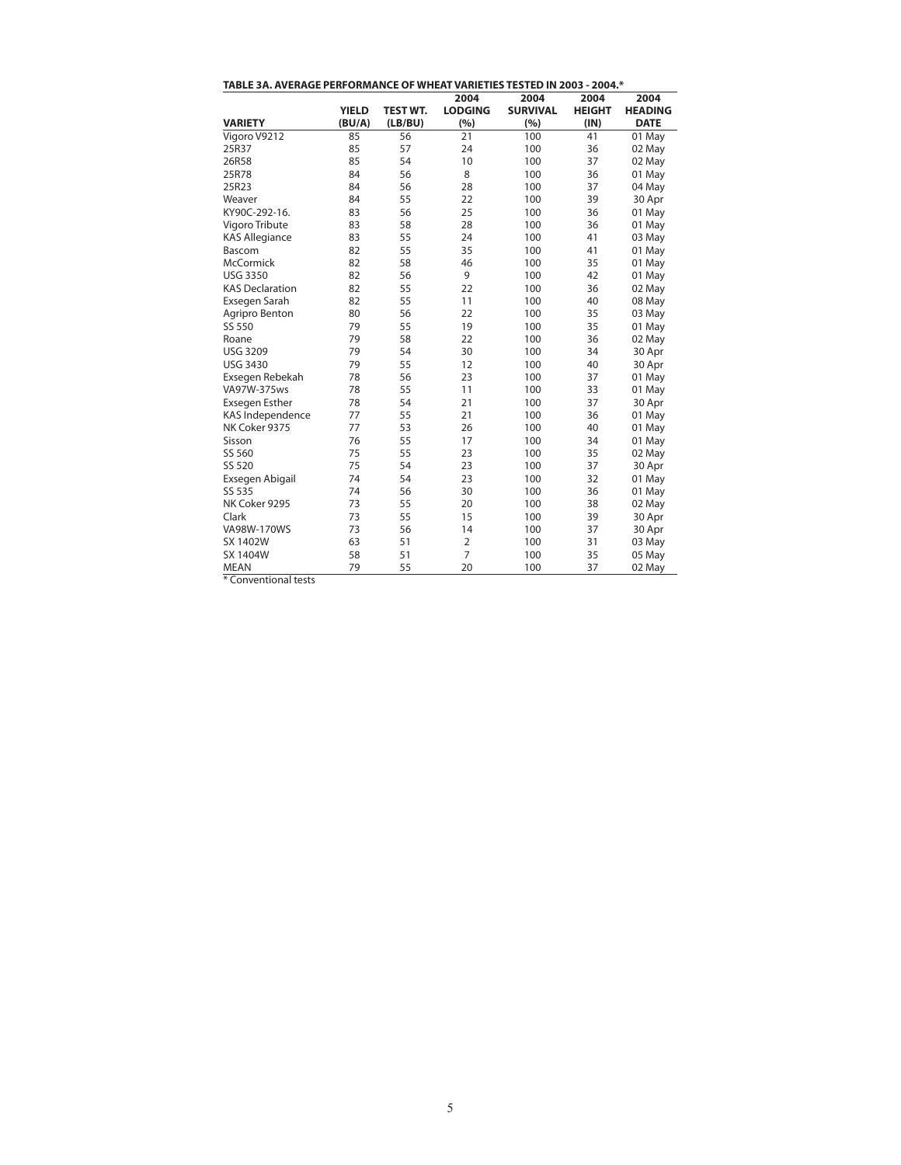| TABLE 3A. AVERAGE PERFORMANCE OF WHEAT VARIETIES TESTED IN 2003 - 2004.* |              |                 |                |                 |               |                |  |  |  |
|--------------------------------------------------------------------------|--------------|-----------------|----------------|-----------------|---------------|----------------|--|--|--|
|                                                                          |              |                 | 2004           | 2004            | 2004          | 2004           |  |  |  |
|                                                                          | <b>YIELD</b> | <b>TEST WT.</b> | <b>LODGING</b> | <b>SURVIVAL</b> | <b>HEIGHT</b> | <b>HEADING</b> |  |  |  |
| <b>VARIETY</b>                                                           | (BU/A)       | (LB/BU)         | (%)            | (%)             | (IN)          | <b>DATE</b>    |  |  |  |
| Vigoro V9212                                                             | 85           | 56              | 21             | 100             | 41            | 01 May         |  |  |  |
| 25R37                                                                    | 85           | 57              | 24             | 100             | 36            | 02 May         |  |  |  |
| 26R58                                                                    | 85           | 54              | 10             | 100             | 37            | 02 May         |  |  |  |
| 25R78                                                                    | 84           | 56              | 8              | 100             | 36            | 01 May         |  |  |  |
| 25R23                                                                    | 84           | 56              | 28             | 100             | 37            | 04 May         |  |  |  |
| Weaver                                                                   | 84           | 55              | 22             | 100             | 39            | 30 Apr         |  |  |  |
| KY90C-292-16.                                                            | 83           | 56              | 25             | 100             | 36            | 01 May         |  |  |  |
| Vigoro Tribute                                                           | 83           | 58              | 28             | 100             | 36            | 01 May         |  |  |  |
| <b>KAS Allegiance</b>                                                    | 83           | 55              | 24             | 100             | 41            | 03 May         |  |  |  |
| Bascom                                                                   | 82           | 55              | 35             | 100             | 41            | 01 May         |  |  |  |
| <b>McCormick</b>                                                         | 82           | 58              | 46             | 100             | 35            | 01 May         |  |  |  |
| <b>USG 3350</b>                                                          | 82           | 56              | 9              | 100             | 42            | 01 May         |  |  |  |
| <b>KAS Declaration</b>                                                   | 82           | 55              | 22             | 100             | 36            | 02 May         |  |  |  |
| Exsegen Sarah                                                            | 82           | 55              | 11             | 100             | 40            | 08 May         |  |  |  |
| Agripro Benton                                                           | 80           | 56              | 22             | 100             | 35            | 03 May         |  |  |  |
| SS 550                                                                   | 79           | 55              | 19             | 100             | 35            | 01 May         |  |  |  |
| Roane                                                                    | 79           | 58              | 22             | 100             | 36            | 02 May         |  |  |  |
| <b>USG 3209</b>                                                          | 79           | 54              | 30             | 100             | 34            | 30 Apr         |  |  |  |
| <b>USG 3430</b>                                                          | 79           | 55              | 12             | 100             | 40            | 30 Apr         |  |  |  |
| Exsegen Rebekah                                                          | 78           | 56              | 23             | 100             | 37            | 01 May         |  |  |  |
| VA97W-375ws                                                              | 78           | 55              | 11             | 100             | 33            | 01 May         |  |  |  |
| Exsegen Esther                                                           | 78           | 54              | 21             | 100             | 37            | 30 Apr         |  |  |  |
| KAS Independence                                                         | 77           | 55              | 21             | 100             | 36            | 01 May         |  |  |  |
| NK Coker 9375                                                            | 77           | 53              | 26             | 100             | 40            | 01 May         |  |  |  |
| Sisson                                                                   | 76           | 55              | 17             | 100             | 34            | 01 May         |  |  |  |
| SS 560                                                                   | 75           | 55              | 23             | 100             | 35            | 02 May         |  |  |  |
| SS 520                                                                   | 75           | 54              | 23             | 100             | 37            | 30 Apr         |  |  |  |
| Exsegen Abigail                                                          | 74           | 54              | 23             | 100             | 32            | 01 May         |  |  |  |
| SS 535                                                                   | 74           | 56              | 30             | 100             | 36            | 01 May         |  |  |  |
| NK Coker 9295                                                            | 73           | 55              | 20             | 100             | 38            | 02 May         |  |  |  |
| Clark                                                                    | 73           | 55              | 15             | 100             | 39            | 30 Apr         |  |  |  |
| VA98W-170WS                                                              | 73           | 56              | 14             | 100             | 37            | 30 Apr         |  |  |  |
| <b>SX 1402W</b>                                                          | 63           | 51              | $\overline{2}$ | 100             | 31            | 03 May         |  |  |  |
| SX 1404W                                                                 | 58           | 51              | $\overline{7}$ | 100             | 35            | 05 May         |  |  |  |
| <b>MEAN</b>                                                              | 79           | 55              | 20             | 100             | 37            | 02 May         |  |  |  |

\* Conventional tests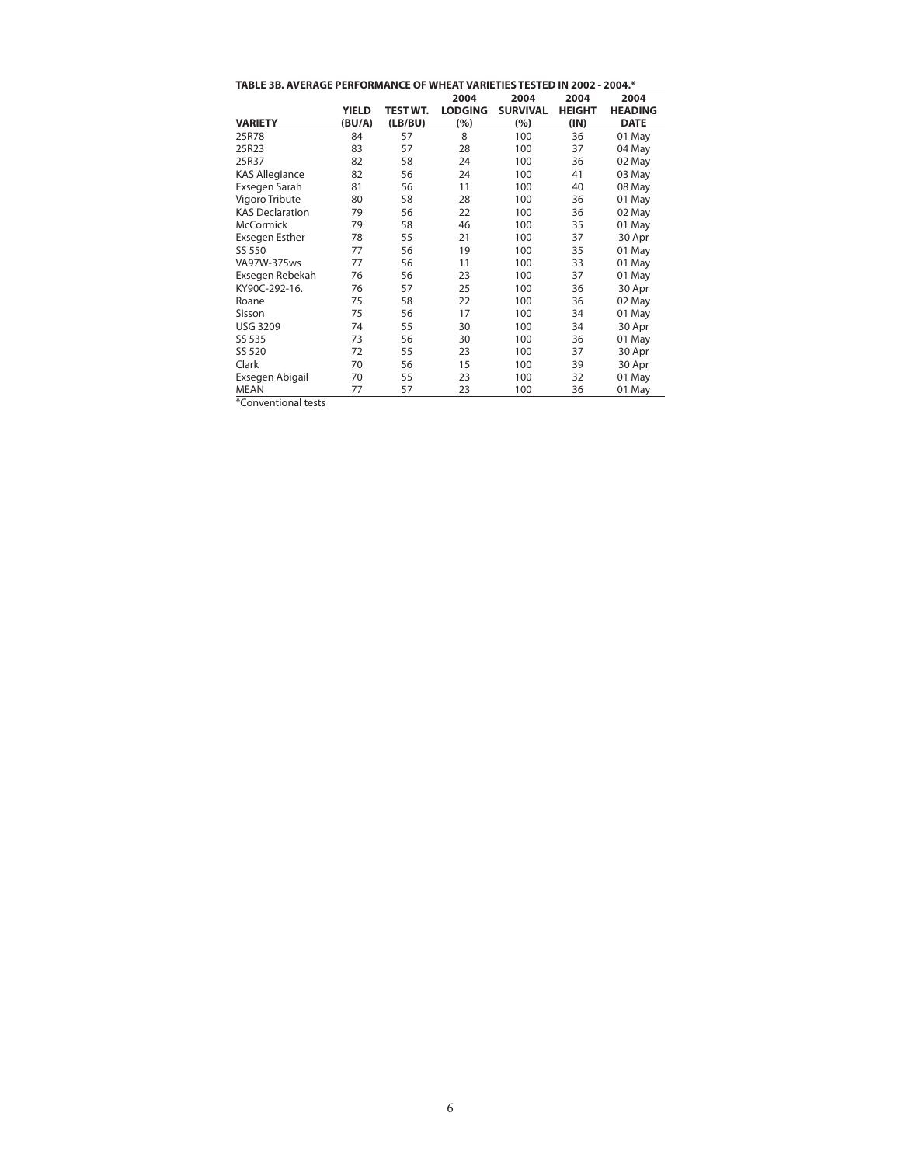| TABLE 3B. AVERAGE PERFORMANCE OF WHEAT VARIETIES TESTED IN 2002 - 2004.* |        |          |                |                 |               |                |  |  |  |  |
|--------------------------------------------------------------------------|--------|----------|----------------|-----------------|---------------|----------------|--|--|--|--|
|                                                                          |        |          | 2004           | 2004            | 2004          | 2004           |  |  |  |  |
|                                                                          | YIELD  | TEST WT. | <b>LODGING</b> | <b>SURVIVAL</b> | <b>HEIGHT</b> | <b>HEADING</b> |  |  |  |  |
| <b>VARIETY</b>                                                           | (BU/A) | (LB/BU)  | (%)            | (%)             | (IN)          | <b>DATE</b>    |  |  |  |  |
| 25R78                                                                    | 84     | 57       | 8              | 100             | 36            | 01 May         |  |  |  |  |
| 25R23                                                                    | 83     | 57       | 28             | 100             | 37            | 04 May         |  |  |  |  |
| 25R37                                                                    | 82     | 58       | 24             | 100             | 36            | 02 May         |  |  |  |  |
| <b>KAS Allegiance</b>                                                    | 82     | 56       | 24             | 100             | 41            | 03 May         |  |  |  |  |
| Exsegen Sarah                                                            | 81     | 56       | 11             | 100             | 40            | 08 May         |  |  |  |  |
| Vigoro Tribute                                                           | 80     | 58       | 28             | 100             | 36            | 01 May         |  |  |  |  |
| <b>KAS Declaration</b>                                                   | 79     | 56       | 22             | 100             | 36            | 02 May         |  |  |  |  |
| <b>McCormick</b>                                                         | 79     | 58       | 46             | 100             | 35            | 01 May         |  |  |  |  |
| Exsegen Esther                                                           | 78     | 55       | 21             | 100             | 37            | 30 Apr         |  |  |  |  |
| SS 550                                                                   | 77     | 56       | 19             | 100             | 35            | 01 May         |  |  |  |  |
| VA97W-375ws                                                              | 77     | 56       | 11             | 100             | 33            | 01 May         |  |  |  |  |
| Exsegen Rebekah                                                          | 76     | 56       | 23             | 100             | 37            | 01 May         |  |  |  |  |
| KY90C-292-16.                                                            | 76     | 57       | 25             | 100             | 36            | 30 Apr         |  |  |  |  |
| Roane                                                                    | 75     | 58       | 22             | 100             | 36            | 02 May         |  |  |  |  |
| Sisson                                                                   | 75     | 56       | 17             | 100             | 34            | 01 May         |  |  |  |  |
| <b>USG 3209</b>                                                          | 74     | 55       | 30             | 100             | 34            | 30 Apr         |  |  |  |  |
| SS 535                                                                   | 73     | 56       | 30             | 100             | 36            | 01 May         |  |  |  |  |
| SS 520                                                                   | 72     | 55       | 23             | 100             | 37            | 30 Apr         |  |  |  |  |
| Clark                                                                    | 70     | 56       | 15             | 100             | 39            | 30 Apr         |  |  |  |  |
| Exsegen Abigail                                                          | 70     | 55       | 23             | 100             | 32            | 01 May         |  |  |  |  |
| <b>MEAN</b>                                                              | 77     | 57       | 23             | 100             | 36            | 01 May         |  |  |  |  |
| $*$ Canuantianal taste                                                   |        |          |                |                 |               |                |  |  |  |  |

\*Conventional tests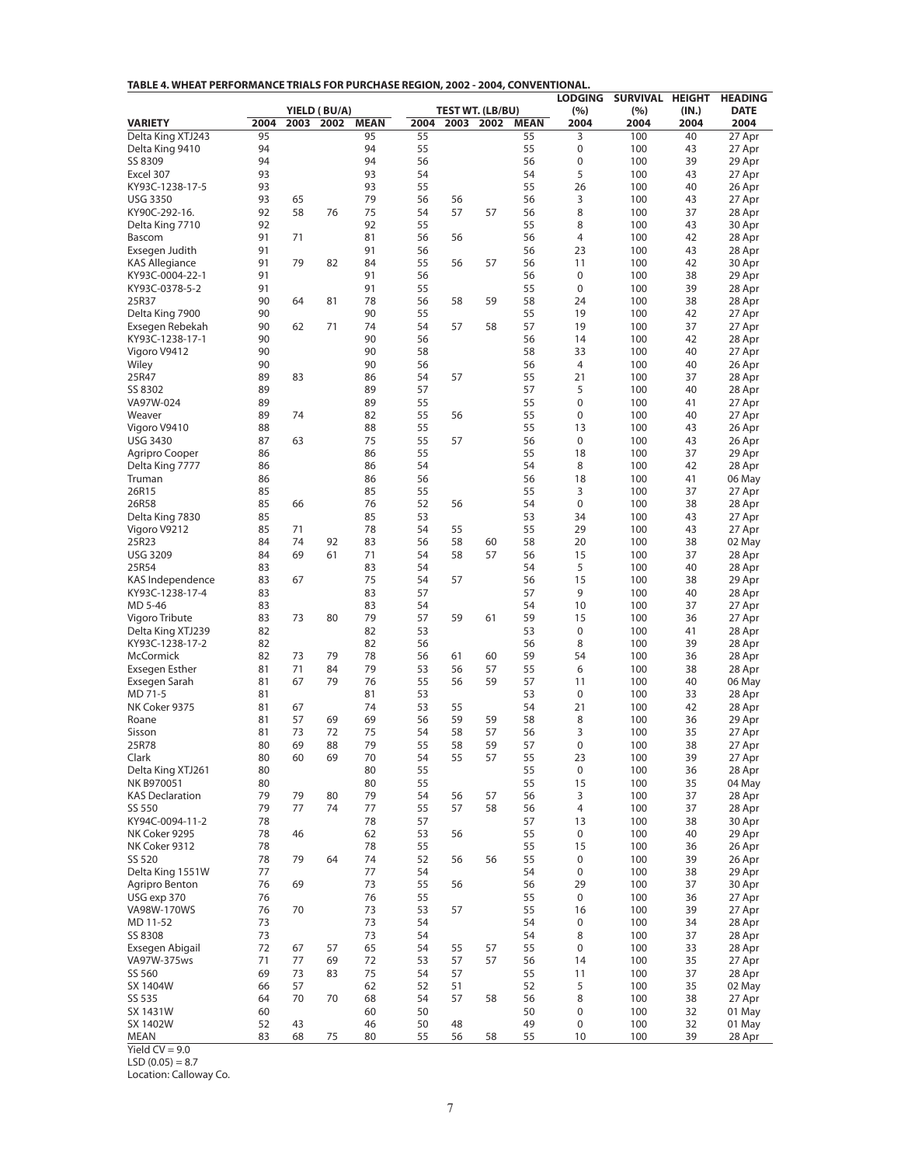| TABLE 4. WHEAT PERFORMANCE TRIALS FOR PURCHASE REGION, 2002 - 2004, CONVENTIONAL. |
|-----------------------------------------------------------------------------------|
|-----------------------------------------------------------------------------------|

| YIELD (BU/A)<br><b>TEST WT. (LB/BU)</b><br><b>VARIETY</b><br>2004<br>2003<br>2002<br><b>MEAN</b><br>2004<br>2003<br>2002<br><b>MEAN</b><br>2004<br>2004<br>2004<br>2004<br>Delta King XTJ243<br>95<br>55<br>3<br>100<br>95<br>55<br>40<br>27 Apr<br>94<br>94<br>55<br>Delta King 9410<br>55<br>0<br>100<br>43<br>27 Apr<br>94<br>$\boldsymbol{0}$<br>SS 8309<br>94<br>56<br>56<br>100<br>39<br>29 Apr<br>93<br>93<br>54<br>5<br>Excel 307<br>54<br>100<br>43<br>27 Apr<br>93<br>93<br>55<br>55<br>26<br>26 Apr<br>KY93C-1238-17-5<br>100<br>40<br>93<br>79<br>3<br><b>USG 3350</b><br>65<br>56<br>56<br>56<br>100<br>43<br>27 Apr<br>92<br>8<br>KY90C-292-16.<br>58<br>76<br>75<br>54<br>57<br>57<br>56<br>100<br>37<br>28 Apr<br>92<br>92<br>55<br>8<br>100<br>Delta King 7710<br>55<br>43<br>30 Apr<br>91<br>81<br>42<br>71<br>56<br>56<br>56<br>4<br>100<br>28 Apr<br>Bascom<br>91<br>Exsegen Judith<br>91<br>56<br>56<br>23<br>100<br>43<br>28 Apr<br>91<br><b>KAS Allegiance</b><br>79<br>82<br>84<br>55<br>56<br>57<br>56<br>11<br>100<br>42<br>30 Apr<br>91<br>$\boldsymbol{0}$<br>KY93C-0004-22-1<br>91<br>56<br>56<br>100<br>38<br>29 Apr<br>91<br>91<br>55<br>55<br>$\mathbf 0$<br>39<br>KY93C-0378-5-2<br>100<br>28 Apr<br>90<br>58<br>25R37<br>64<br>81<br>78<br>56<br>58<br>59<br>24<br>100<br>38<br>28 Apr<br>90<br>Delta King 7900<br>90<br>55<br>55<br>19<br>100<br>42<br>27 Apr<br>57<br>Exsegen Rebekah<br>90<br>71<br>74<br>54<br>57<br>58<br>19<br>100<br>37<br>27 Apr<br>62<br>90<br>90<br>100<br>KY93C-1238-17-1<br>56<br>56<br>14<br>42<br>28 Apr<br>90<br>Vigoro V9412<br>90<br>58<br>58<br>33<br>100<br>40<br>27 Apr<br>90<br>90<br>56<br>56<br>4<br>100<br>40<br>26 Apr<br>Wiley<br>89<br>55<br>21<br>83<br>86<br>54<br>57<br>100<br>37<br>28 Apr<br>25R47<br>89<br>89<br>57<br>57<br>5<br>SS 8302<br>100<br>40<br>28 Apr<br>89<br>89<br>$\boldsymbol{0}$<br>VA97W-024<br>55<br>55<br>100<br>41<br>27 Apr<br>Weaver<br>89<br>74<br>82<br>55<br>56<br>55<br>0<br>100<br>40<br>27 Apr<br>88<br>88<br>55<br>55<br>Vigoro V9410<br>13<br>100<br>43<br>26 Apr<br>75<br>55<br>$\mathbf 0$<br><b>USG 3430</b><br>87<br>63<br>57<br>56<br>100<br>43<br>26 Apr<br>86<br>86<br>55<br>55<br>18<br>100<br>37<br>29 Apr<br>Agripro Cooper<br>Delta King 7777<br>86<br>86<br>54<br>54<br>8<br>100<br>42<br>28 Apr<br>18<br>86<br>86<br>56<br>56<br>100<br>41<br>Truman<br>06 May<br>85<br>85<br>55<br>55<br>3<br>26R15<br>100<br>37<br>27 Apr<br>85<br>$\mathbf 0$<br>26R58<br>66<br>76<br>52<br>56<br>54<br>100<br>38<br>28 Apr<br>85<br>Delta King 7830<br>85<br>53<br>53<br>34<br>100<br>43<br>27 Apr<br>85<br>78<br>55<br>29<br>Vigoro V9212<br>71<br>54<br>55<br>100<br>43<br>27 Apr<br>83<br>25R23<br>84<br>74<br>92<br>56<br>58<br>60<br>58<br>20<br>100<br>38<br>02 May<br><b>USG 3209</b><br>84<br>69<br>61<br>71<br>54<br>58<br>57<br>56<br>15<br>100<br>37<br>28 Apr<br>5<br>25R54<br>83<br>83<br>54<br>54<br>100<br>40<br>28 Apr<br>75<br>15<br>KAS Independence<br>83<br>54<br>57<br>56<br>100<br>38<br>29 Apr<br>67<br>83<br>83<br>57<br>9<br>KY93C-1238-17-4<br>57<br>100<br>40<br>28 Apr<br>83<br>83<br>MD 5-46<br>54<br>54<br>10<br>100<br>37<br>27 Apr<br>79<br>59<br>Vigoro Tribute<br>83<br>73<br>80<br>57<br>59<br>61<br>15<br>100<br>36<br>27 Apr<br>82<br>82<br>0<br>Delta King XTJ239<br>53<br>53<br>100<br>41<br>28 Apr<br>KY93C-1238-17-2<br>82<br>82<br>8<br>39<br>56<br>56<br>100<br>28 Apr<br>McCormick<br>82<br>73<br>79<br>78<br>56<br>61<br>60<br>59<br>54<br>100<br>36<br>28 Apr<br>Exsegen Esther<br>81<br>71<br>84<br>79<br>53<br>56<br>57<br>55<br>6<br>100<br>38<br>28 Apr<br>Exsegen Sarah<br>81<br>67<br>79<br>76<br>55<br>56<br>59<br>57<br>11<br>100<br>40<br>06 May<br>53<br>53<br>$\boldsymbol{0}$<br>MD 71-5<br>81<br>81<br>100<br>33<br>28 Apr<br>NK Coker 9375<br>81<br>74<br>53<br>55<br>54<br>21<br>100<br>42<br>28 Apr<br>67<br>59<br>8<br>Roane<br>81<br>57<br>69<br>69<br>56<br>59<br>58<br>100<br>36<br>29 Apr<br>75<br>58<br>3<br>Sisson<br>81<br>73<br>72<br>54<br>57<br>56<br>100<br>35<br>27 Apr<br>25R78<br>69<br>88<br>79<br>55<br>58<br>59<br>57<br>$\mathbf 0$<br>100<br>38<br>80<br>27 Apr<br>Clark<br>80<br>60<br>69<br>70<br>54<br>55<br>57<br>55<br>23<br>100<br>39<br>27 Apr<br>Delta King XTJ261<br>80<br>55<br>55<br>0<br>28 Apr<br>80<br>100<br>36<br>55<br>15<br>NK B970051<br>80<br>80<br>55<br>100<br>35<br>04 May<br><b>KAS Declaration</b><br>79<br>79<br>80<br>79<br>54<br>56<br>57<br>56<br>3<br>100<br>37<br>28 Apr<br>79<br>77<br>74<br>77<br>55<br>57<br>58<br>56<br>4<br>100<br>37<br>28 Apr<br>SS 550<br>78<br>78<br>57<br>30 Apr<br>KY94C-0094-11-2<br>57<br>13<br>100<br>38<br>78<br>62<br>53<br>56<br>55<br>0<br>100<br>40<br>29 Apr<br>NK Coker 9295<br>46<br>NK Coker 9312<br>78<br>78<br>55<br>55<br>15<br>100<br>26 Apr<br>36<br>SS 520<br>78<br>79<br>64<br>74<br>52<br>56<br>56<br>55<br>0<br>100<br>39<br>26 Apr<br>Delta King 1551W<br>77<br>77<br>54<br>0<br>29 Apr<br>54<br>100<br>38<br>Agripro Benton<br>76<br>73<br>55<br>56<br>56<br>29<br>100<br>37<br>30 Apr<br>69<br>76<br>76<br>55<br>55<br>0<br>100<br>27 Apr<br>USG exp 370<br>36<br>VA98W-170WS<br>76<br>73<br>53<br>55<br>16<br>39<br>27 Apr<br>70<br>57<br>100<br>73<br>MD 11-52<br>73<br>54<br>54<br>0<br>100<br>34<br>28 Apr<br>73<br>73<br>SS 8308<br>54<br>54<br>8<br>100<br>37<br>28 Apr<br>Exsegen Abigail<br>72<br>67<br>65<br>54<br>55<br>55<br>0<br>100<br>33<br>57<br>57<br>28 Apr<br>VA97W-375ws<br>71<br>72<br>77<br>69<br>53<br>57<br>57<br>56<br>14<br>100<br>35<br>27 Apr<br>SS 560<br>69<br>75<br>55<br>73<br>83<br>54<br>57<br>11<br>100<br>37<br>28 Apr<br>5<br>SX 1404W<br>66<br>57<br>62<br>52<br>35<br>52<br>51<br>100<br>02 May<br>SS 535<br>64<br>70<br>68<br>54<br>57<br>58<br>56<br>8<br>38<br>27 Apr<br>70<br>100<br>SX 1431W<br>60<br>60<br>50<br>0<br>100<br>32<br>01 May<br>50 |          |    |    |    |    |    |    | <b>LODGING</b> | SURVIVAL HEIGHT |       | <b>HEADING</b> |
|-----------------------------------------------------------------------------------------------------------------------------------------------------------------------------------------------------------------------------------------------------------------------------------------------------------------------------------------------------------------------------------------------------------------------------------------------------------------------------------------------------------------------------------------------------------------------------------------------------------------------------------------------------------------------------------------------------------------------------------------------------------------------------------------------------------------------------------------------------------------------------------------------------------------------------------------------------------------------------------------------------------------------------------------------------------------------------------------------------------------------------------------------------------------------------------------------------------------------------------------------------------------------------------------------------------------------------------------------------------------------------------------------------------------------------------------------------------------------------------------------------------------------------------------------------------------------------------------------------------------------------------------------------------------------------------------------------------------------------------------------------------------------------------------------------------------------------------------------------------------------------------------------------------------------------------------------------------------------------------------------------------------------------------------------------------------------------------------------------------------------------------------------------------------------------------------------------------------------------------------------------------------------------------------------------------------------------------------------------------------------------------------------------------------------------------------------------------------------------------------------------------------------------------------------------------------------------------------------------------------------------------------------------------------------------------------------------------------------------------------------------------------------------------------------------------------------------------------------------------------------------------------------------------------------------------------------------------------------------------------------------------------------------------------------------------------------------------------------------------------------------------------------------------------------------------------------------------------------------------------------------------------------------------------------------------------------------------------------------------------------------------------------------------------------------------------------------------------------------------------------------------------------------------------------------------------------------------------------------------------------------------------------------------------------------------------------------------------------------------------------------------------------------------------------------------------------------------------------------------------------------------------------------------------------------------------------------------------------------------------------------------------------------------------------------------------------------------------------------------------------------------------------------------------------------------------------------------------------------------------------------------------------------------------------------------------------------------------------------------------------------------------------------------------------------------------------------------------------------------------------------------------------------------------------------------------------------------------------------------------------------------------------------------------------------------------------------------------------------------------------------------------------------------------------------------------------------------------------------------------------------------------------------------------------------------------------------------------------------------------------------------------------------------------------------------------------------------------------------------------------------------------------------------------------------------------------------------------------------------------------------------------------------------------------------------------------------------------------------------------------------------------------------------------------------------------------------------------------------------------------------------------------------------------------------------------------------------------------------------------------------------------------------------------------------------------------------------------------------------------------------------------------------------------------------------------------------------------------------------------------------------|----------|----|----|----|----|----|----|----------------|-----------------|-------|----------------|
|                                                                                                                                                                                                                                                                                                                                                                                                                                                                                                                                                                                                                                                                                                                                                                                                                                                                                                                                                                                                                                                                                                                                                                                                                                                                                                                                                                                                                                                                                                                                                                                                                                                                                                                                                                                                                                                                                                                                                                                                                                                                                                                                                                                                                                                                                                                                                                                                                                                                                                                                                                                                                                                                                                                                                                                                                                                                                                                                                                                                                                                                                                                                                                                                                                                                                                                                                                                                                                                                                                                                                                                                                                                                                                                                                                                                                                                                                                                                                                                                                                                                                                                                                                                                                                                                                                                                                                                                                                                                                                                                                                                                                                                                                                                                                                                                                                                                                                                                                                                                                                                                                                                                                                                                                                                                                                                                                                                                                                                                                                                                                                                                                                                                                                                                                                                                                                                                                   |          |    |    |    |    |    |    | (%)            | (%)             | (IN.) | <b>DATE</b>    |
|                                                                                                                                                                                                                                                                                                                                                                                                                                                                                                                                                                                                                                                                                                                                                                                                                                                                                                                                                                                                                                                                                                                                                                                                                                                                                                                                                                                                                                                                                                                                                                                                                                                                                                                                                                                                                                                                                                                                                                                                                                                                                                                                                                                                                                                                                                                                                                                                                                                                                                                                                                                                                                                                                                                                                                                                                                                                                                                                                                                                                                                                                                                                                                                                                                                                                                                                                                                                                                                                                                                                                                                                                                                                                                                                                                                                                                                                                                                                                                                                                                                                                                                                                                                                                                                                                                                                                                                                                                                                                                                                                                                                                                                                                                                                                                                                                                                                                                                                                                                                                                                                                                                                                                                                                                                                                                                                                                                                                                                                                                                                                                                                                                                                                                                                                                                                                                                                                   |          |    |    |    |    |    |    |                |                 |       |                |
|                                                                                                                                                                                                                                                                                                                                                                                                                                                                                                                                                                                                                                                                                                                                                                                                                                                                                                                                                                                                                                                                                                                                                                                                                                                                                                                                                                                                                                                                                                                                                                                                                                                                                                                                                                                                                                                                                                                                                                                                                                                                                                                                                                                                                                                                                                                                                                                                                                                                                                                                                                                                                                                                                                                                                                                                                                                                                                                                                                                                                                                                                                                                                                                                                                                                                                                                                                                                                                                                                                                                                                                                                                                                                                                                                                                                                                                                                                                                                                                                                                                                                                                                                                                                                                                                                                                                                                                                                                                                                                                                                                                                                                                                                                                                                                                                                                                                                                                                                                                                                                                                                                                                                                                                                                                                                                                                                                                                                                                                                                                                                                                                                                                                                                                                                                                                                                                                                   |          |    |    |    |    |    |    |                |                 |       |                |
|                                                                                                                                                                                                                                                                                                                                                                                                                                                                                                                                                                                                                                                                                                                                                                                                                                                                                                                                                                                                                                                                                                                                                                                                                                                                                                                                                                                                                                                                                                                                                                                                                                                                                                                                                                                                                                                                                                                                                                                                                                                                                                                                                                                                                                                                                                                                                                                                                                                                                                                                                                                                                                                                                                                                                                                                                                                                                                                                                                                                                                                                                                                                                                                                                                                                                                                                                                                                                                                                                                                                                                                                                                                                                                                                                                                                                                                                                                                                                                                                                                                                                                                                                                                                                                                                                                                                                                                                                                                                                                                                                                                                                                                                                                                                                                                                                                                                                                                                                                                                                                                                                                                                                                                                                                                                                                                                                                                                                                                                                                                                                                                                                                                                                                                                                                                                                                                                                   |          |    |    |    |    |    |    |                |                 |       |                |
|                                                                                                                                                                                                                                                                                                                                                                                                                                                                                                                                                                                                                                                                                                                                                                                                                                                                                                                                                                                                                                                                                                                                                                                                                                                                                                                                                                                                                                                                                                                                                                                                                                                                                                                                                                                                                                                                                                                                                                                                                                                                                                                                                                                                                                                                                                                                                                                                                                                                                                                                                                                                                                                                                                                                                                                                                                                                                                                                                                                                                                                                                                                                                                                                                                                                                                                                                                                                                                                                                                                                                                                                                                                                                                                                                                                                                                                                                                                                                                                                                                                                                                                                                                                                                                                                                                                                                                                                                                                                                                                                                                                                                                                                                                                                                                                                                                                                                                                                                                                                                                                                                                                                                                                                                                                                                                                                                                                                                                                                                                                                                                                                                                                                                                                                                                                                                                                                                   |          |    |    |    |    |    |    |                |                 |       |                |
|                                                                                                                                                                                                                                                                                                                                                                                                                                                                                                                                                                                                                                                                                                                                                                                                                                                                                                                                                                                                                                                                                                                                                                                                                                                                                                                                                                                                                                                                                                                                                                                                                                                                                                                                                                                                                                                                                                                                                                                                                                                                                                                                                                                                                                                                                                                                                                                                                                                                                                                                                                                                                                                                                                                                                                                                                                                                                                                                                                                                                                                                                                                                                                                                                                                                                                                                                                                                                                                                                                                                                                                                                                                                                                                                                                                                                                                                                                                                                                                                                                                                                                                                                                                                                                                                                                                                                                                                                                                                                                                                                                                                                                                                                                                                                                                                                                                                                                                                                                                                                                                                                                                                                                                                                                                                                                                                                                                                                                                                                                                                                                                                                                                                                                                                                                                                                                                                                   |          |    |    |    |    |    |    |                |                 |       |                |
|                                                                                                                                                                                                                                                                                                                                                                                                                                                                                                                                                                                                                                                                                                                                                                                                                                                                                                                                                                                                                                                                                                                                                                                                                                                                                                                                                                                                                                                                                                                                                                                                                                                                                                                                                                                                                                                                                                                                                                                                                                                                                                                                                                                                                                                                                                                                                                                                                                                                                                                                                                                                                                                                                                                                                                                                                                                                                                                                                                                                                                                                                                                                                                                                                                                                                                                                                                                                                                                                                                                                                                                                                                                                                                                                                                                                                                                                                                                                                                                                                                                                                                                                                                                                                                                                                                                                                                                                                                                                                                                                                                                                                                                                                                                                                                                                                                                                                                                                                                                                                                                                                                                                                                                                                                                                                                                                                                                                                                                                                                                                                                                                                                                                                                                                                                                                                                                                                   |          |    |    |    |    |    |    |                |                 |       |                |
|                                                                                                                                                                                                                                                                                                                                                                                                                                                                                                                                                                                                                                                                                                                                                                                                                                                                                                                                                                                                                                                                                                                                                                                                                                                                                                                                                                                                                                                                                                                                                                                                                                                                                                                                                                                                                                                                                                                                                                                                                                                                                                                                                                                                                                                                                                                                                                                                                                                                                                                                                                                                                                                                                                                                                                                                                                                                                                                                                                                                                                                                                                                                                                                                                                                                                                                                                                                                                                                                                                                                                                                                                                                                                                                                                                                                                                                                                                                                                                                                                                                                                                                                                                                                                                                                                                                                                                                                                                                                                                                                                                                                                                                                                                                                                                                                                                                                                                                                                                                                                                                                                                                                                                                                                                                                                                                                                                                                                                                                                                                                                                                                                                                                                                                                                                                                                                                                                   |          |    |    |    |    |    |    |                |                 |       |                |
|                                                                                                                                                                                                                                                                                                                                                                                                                                                                                                                                                                                                                                                                                                                                                                                                                                                                                                                                                                                                                                                                                                                                                                                                                                                                                                                                                                                                                                                                                                                                                                                                                                                                                                                                                                                                                                                                                                                                                                                                                                                                                                                                                                                                                                                                                                                                                                                                                                                                                                                                                                                                                                                                                                                                                                                                                                                                                                                                                                                                                                                                                                                                                                                                                                                                                                                                                                                                                                                                                                                                                                                                                                                                                                                                                                                                                                                                                                                                                                                                                                                                                                                                                                                                                                                                                                                                                                                                                                                                                                                                                                                                                                                                                                                                                                                                                                                                                                                                                                                                                                                                                                                                                                                                                                                                                                                                                                                                                                                                                                                                                                                                                                                                                                                                                                                                                                                                                   |          |    |    |    |    |    |    |                |                 |       |                |
|                                                                                                                                                                                                                                                                                                                                                                                                                                                                                                                                                                                                                                                                                                                                                                                                                                                                                                                                                                                                                                                                                                                                                                                                                                                                                                                                                                                                                                                                                                                                                                                                                                                                                                                                                                                                                                                                                                                                                                                                                                                                                                                                                                                                                                                                                                                                                                                                                                                                                                                                                                                                                                                                                                                                                                                                                                                                                                                                                                                                                                                                                                                                                                                                                                                                                                                                                                                                                                                                                                                                                                                                                                                                                                                                                                                                                                                                                                                                                                                                                                                                                                                                                                                                                                                                                                                                                                                                                                                                                                                                                                                                                                                                                                                                                                                                                                                                                                                                                                                                                                                                                                                                                                                                                                                                                                                                                                                                                                                                                                                                                                                                                                                                                                                                                                                                                                                                                   |          |    |    |    |    |    |    |                |                 |       |                |
|                                                                                                                                                                                                                                                                                                                                                                                                                                                                                                                                                                                                                                                                                                                                                                                                                                                                                                                                                                                                                                                                                                                                                                                                                                                                                                                                                                                                                                                                                                                                                                                                                                                                                                                                                                                                                                                                                                                                                                                                                                                                                                                                                                                                                                                                                                                                                                                                                                                                                                                                                                                                                                                                                                                                                                                                                                                                                                                                                                                                                                                                                                                                                                                                                                                                                                                                                                                                                                                                                                                                                                                                                                                                                                                                                                                                                                                                                                                                                                                                                                                                                                                                                                                                                                                                                                                                                                                                                                                                                                                                                                                                                                                                                                                                                                                                                                                                                                                                                                                                                                                                                                                                                                                                                                                                                                                                                                                                                                                                                                                                                                                                                                                                                                                                                                                                                                                                                   |          |    |    |    |    |    |    |                |                 |       |                |
|                                                                                                                                                                                                                                                                                                                                                                                                                                                                                                                                                                                                                                                                                                                                                                                                                                                                                                                                                                                                                                                                                                                                                                                                                                                                                                                                                                                                                                                                                                                                                                                                                                                                                                                                                                                                                                                                                                                                                                                                                                                                                                                                                                                                                                                                                                                                                                                                                                                                                                                                                                                                                                                                                                                                                                                                                                                                                                                                                                                                                                                                                                                                                                                                                                                                                                                                                                                                                                                                                                                                                                                                                                                                                                                                                                                                                                                                                                                                                                                                                                                                                                                                                                                                                                                                                                                                                                                                                                                                                                                                                                                                                                                                                                                                                                                                                                                                                                                                                                                                                                                                                                                                                                                                                                                                                                                                                                                                                                                                                                                                                                                                                                                                                                                                                                                                                                                                                   |          |    |    |    |    |    |    |                |                 |       |                |
|                                                                                                                                                                                                                                                                                                                                                                                                                                                                                                                                                                                                                                                                                                                                                                                                                                                                                                                                                                                                                                                                                                                                                                                                                                                                                                                                                                                                                                                                                                                                                                                                                                                                                                                                                                                                                                                                                                                                                                                                                                                                                                                                                                                                                                                                                                                                                                                                                                                                                                                                                                                                                                                                                                                                                                                                                                                                                                                                                                                                                                                                                                                                                                                                                                                                                                                                                                                                                                                                                                                                                                                                                                                                                                                                                                                                                                                                                                                                                                                                                                                                                                                                                                                                                                                                                                                                                                                                                                                                                                                                                                                                                                                                                                                                                                                                                                                                                                                                                                                                                                                                                                                                                                                                                                                                                                                                                                                                                                                                                                                                                                                                                                                                                                                                                                                                                                                                                   |          |    |    |    |    |    |    |                |                 |       |                |
|                                                                                                                                                                                                                                                                                                                                                                                                                                                                                                                                                                                                                                                                                                                                                                                                                                                                                                                                                                                                                                                                                                                                                                                                                                                                                                                                                                                                                                                                                                                                                                                                                                                                                                                                                                                                                                                                                                                                                                                                                                                                                                                                                                                                                                                                                                                                                                                                                                                                                                                                                                                                                                                                                                                                                                                                                                                                                                                                                                                                                                                                                                                                                                                                                                                                                                                                                                                                                                                                                                                                                                                                                                                                                                                                                                                                                                                                                                                                                                                                                                                                                                                                                                                                                                                                                                                                                                                                                                                                                                                                                                                                                                                                                                                                                                                                                                                                                                                                                                                                                                                                                                                                                                                                                                                                                                                                                                                                                                                                                                                                                                                                                                                                                                                                                                                                                                                                                   |          |    |    |    |    |    |    |                |                 |       |                |
|                                                                                                                                                                                                                                                                                                                                                                                                                                                                                                                                                                                                                                                                                                                                                                                                                                                                                                                                                                                                                                                                                                                                                                                                                                                                                                                                                                                                                                                                                                                                                                                                                                                                                                                                                                                                                                                                                                                                                                                                                                                                                                                                                                                                                                                                                                                                                                                                                                                                                                                                                                                                                                                                                                                                                                                                                                                                                                                                                                                                                                                                                                                                                                                                                                                                                                                                                                                                                                                                                                                                                                                                                                                                                                                                                                                                                                                                                                                                                                                                                                                                                                                                                                                                                                                                                                                                                                                                                                                                                                                                                                                                                                                                                                                                                                                                                                                                                                                                                                                                                                                                                                                                                                                                                                                                                                                                                                                                                                                                                                                                                                                                                                                                                                                                                                                                                                                                                   |          |    |    |    |    |    |    |                |                 |       |                |
|                                                                                                                                                                                                                                                                                                                                                                                                                                                                                                                                                                                                                                                                                                                                                                                                                                                                                                                                                                                                                                                                                                                                                                                                                                                                                                                                                                                                                                                                                                                                                                                                                                                                                                                                                                                                                                                                                                                                                                                                                                                                                                                                                                                                                                                                                                                                                                                                                                                                                                                                                                                                                                                                                                                                                                                                                                                                                                                                                                                                                                                                                                                                                                                                                                                                                                                                                                                                                                                                                                                                                                                                                                                                                                                                                                                                                                                                                                                                                                                                                                                                                                                                                                                                                                                                                                                                                                                                                                                                                                                                                                                                                                                                                                                                                                                                                                                                                                                                                                                                                                                                                                                                                                                                                                                                                                                                                                                                                                                                                                                                                                                                                                                                                                                                                                                                                                                                                   |          |    |    |    |    |    |    |                |                 |       |                |
|                                                                                                                                                                                                                                                                                                                                                                                                                                                                                                                                                                                                                                                                                                                                                                                                                                                                                                                                                                                                                                                                                                                                                                                                                                                                                                                                                                                                                                                                                                                                                                                                                                                                                                                                                                                                                                                                                                                                                                                                                                                                                                                                                                                                                                                                                                                                                                                                                                                                                                                                                                                                                                                                                                                                                                                                                                                                                                                                                                                                                                                                                                                                                                                                                                                                                                                                                                                                                                                                                                                                                                                                                                                                                                                                                                                                                                                                                                                                                                                                                                                                                                                                                                                                                                                                                                                                                                                                                                                                                                                                                                                                                                                                                                                                                                                                                                                                                                                                                                                                                                                                                                                                                                                                                                                                                                                                                                                                                                                                                                                                                                                                                                                                                                                                                                                                                                                                                   |          |    |    |    |    |    |    |                |                 |       |                |
|                                                                                                                                                                                                                                                                                                                                                                                                                                                                                                                                                                                                                                                                                                                                                                                                                                                                                                                                                                                                                                                                                                                                                                                                                                                                                                                                                                                                                                                                                                                                                                                                                                                                                                                                                                                                                                                                                                                                                                                                                                                                                                                                                                                                                                                                                                                                                                                                                                                                                                                                                                                                                                                                                                                                                                                                                                                                                                                                                                                                                                                                                                                                                                                                                                                                                                                                                                                                                                                                                                                                                                                                                                                                                                                                                                                                                                                                                                                                                                                                                                                                                                                                                                                                                                                                                                                                                                                                                                                                                                                                                                                                                                                                                                                                                                                                                                                                                                                                                                                                                                                                                                                                                                                                                                                                                                                                                                                                                                                                                                                                                                                                                                                                                                                                                                                                                                                                                   |          |    |    |    |    |    |    |                |                 |       |                |
|                                                                                                                                                                                                                                                                                                                                                                                                                                                                                                                                                                                                                                                                                                                                                                                                                                                                                                                                                                                                                                                                                                                                                                                                                                                                                                                                                                                                                                                                                                                                                                                                                                                                                                                                                                                                                                                                                                                                                                                                                                                                                                                                                                                                                                                                                                                                                                                                                                                                                                                                                                                                                                                                                                                                                                                                                                                                                                                                                                                                                                                                                                                                                                                                                                                                                                                                                                                                                                                                                                                                                                                                                                                                                                                                                                                                                                                                                                                                                                                                                                                                                                                                                                                                                                                                                                                                                                                                                                                                                                                                                                                                                                                                                                                                                                                                                                                                                                                                                                                                                                                                                                                                                                                                                                                                                                                                                                                                                                                                                                                                                                                                                                                                                                                                                                                                                                                                                   |          |    |    |    |    |    |    |                |                 |       |                |
|                                                                                                                                                                                                                                                                                                                                                                                                                                                                                                                                                                                                                                                                                                                                                                                                                                                                                                                                                                                                                                                                                                                                                                                                                                                                                                                                                                                                                                                                                                                                                                                                                                                                                                                                                                                                                                                                                                                                                                                                                                                                                                                                                                                                                                                                                                                                                                                                                                                                                                                                                                                                                                                                                                                                                                                                                                                                                                                                                                                                                                                                                                                                                                                                                                                                                                                                                                                                                                                                                                                                                                                                                                                                                                                                                                                                                                                                                                                                                                                                                                                                                                                                                                                                                                                                                                                                                                                                                                                                                                                                                                                                                                                                                                                                                                                                                                                                                                                                                                                                                                                                                                                                                                                                                                                                                                                                                                                                                                                                                                                                                                                                                                                                                                                                                                                                                                                                                   |          |    |    |    |    |    |    |                |                 |       |                |
|                                                                                                                                                                                                                                                                                                                                                                                                                                                                                                                                                                                                                                                                                                                                                                                                                                                                                                                                                                                                                                                                                                                                                                                                                                                                                                                                                                                                                                                                                                                                                                                                                                                                                                                                                                                                                                                                                                                                                                                                                                                                                                                                                                                                                                                                                                                                                                                                                                                                                                                                                                                                                                                                                                                                                                                                                                                                                                                                                                                                                                                                                                                                                                                                                                                                                                                                                                                                                                                                                                                                                                                                                                                                                                                                                                                                                                                                                                                                                                                                                                                                                                                                                                                                                                                                                                                                                                                                                                                                                                                                                                                                                                                                                                                                                                                                                                                                                                                                                                                                                                                                                                                                                                                                                                                                                                                                                                                                                                                                                                                                                                                                                                                                                                                                                                                                                                                                                   |          |    |    |    |    |    |    |                |                 |       |                |
|                                                                                                                                                                                                                                                                                                                                                                                                                                                                                                                                                                                                                                                                                                                                                                                                                                                                                                                                                                                                                                                                                                                                                                                                                                                                                                                                                                                                                                                                                                                                                                                                                                                                                                                                                                                                                                                                                                                                                                                                                                                                                                                                                                                                                                                                                                                                                                                                                                                                                                                                                                                                                                                                                                                                                                                                                                                                                                                                                                                                                                                                                                                                                                                                                                                                                                                                                                                                                                                                                                                                                                                                                                                                                                                                                                                                                                                                                                                                                                                                                                                                                                                                                                                                                                                                                                                                                                                                                                                                                                                                                                                                                                                                                                                                                                                                                                                                                                                                                                                                                                                                                                                                                                                                                                                                                                                                                                                                                                                                                                                                                                                                                                                                                                                                                                                                                                                                                   |          |    |    |    |    |    |    |                |                 |       |                |
|                                                                                                                                                                                                                                                                                                                                                                                                                                                                                                                                                                                                                                                                                                                                                                                                                                                                                                                                                                                                                                                                                                                                                                                                                                                                                                                                                                                                                                                                                                                                                                                                                                                                                                                                                                                                                                                                                                                                                                                                                                                                                                                                                                                                                                                                                                                                                                                                                                                                                                                                                                                                                                                                                                                                                                                                                                                                                                                                                                                                                                                                                                                                                                                                                                                                                                                                                                                                                                                                                                                                                                                                                                                                                                                                                                                                                                                                                                                                                                                                                                                                                                                                                                                                                                                                                                                                                                                                                                                                                                                                                                                                                                                                                                                                                                                                                                                                                                                                                                                                                                                                                                                                                                                                                                                                                                                                                                                                                                                                                                                                                                                                                                                                                                                                                                                                                                                                                   |          |    |    |    |    |    |    |                |                 |       |                |
|                                                                                                                                                                                                                                                                                                                                                                                                                                                                                                                                                                                                                                                                                                                                                                                                                                                                                                                                                                                                                                                                                                                                                                                                                                                                                                                                                                                                                                                                                                                                                                                                                                                                                                                                                                                                                                                                                                                                                                                                                                                                                                                                                                                                                                                                                                                                                                                                                                                                                                                                                                                                                                                                                                                                                                                                                                                                                                                                                                                                                                                                                                                                                                                                                                                                                                                                                                                                                                                                                                                                                                                                                                                                                                                                                                                                                                                                                                                                                                                                                                                                                                                                                                                                                                                                                                                                                                                                                                                                                                                                                                                                                                                                                                                                                                                                                                                                                                                                                                                                                                                                                                                                                                                                                                                                                                                                                                                                                                                                                                                                                                                                                                                                                                                                                                                                                                                                                   |          |    |    |    |    |    |    |                |                 |       |                |
|                                                                                                                                                                                                                                                                                                                                                                                                                                                                                                                                                                                                                                                                                                                                                                                                                                                                                                                                                                                                                                                                                                                                                                                                                                                                                                                                                                                                                                                                                                                                                                                                                                                                                                                                                                                                                                                                                                                                                                                                                                                                                                                                                                                                                                                                                                                                                                                                                                                                                                                                                                                                                                                                                                                                                                                                                                                                                                                                                                                                                                                                                                                                                                                                                                                                                                                                                                                                                                                                                                                                                                                                                                                                                                                                                                                                                                                                                                                                                                                                                                                                                                                                                                                                                                                                                                                                                                                                                                                                                                                                                                                                                                                                                                                                                                                                                                                                                                                                                                                                                                                                                                                                                                                                                                                                                                                                                                                                                                                                                                                                                                                                                                                                                                                                                                                                                                                                                   |          |    |    |    |    |    |    |                |                 |       |                |
|                                                                                                                                                                                                                                                                                                                                                                                                                                                                                                                                                                                                                                                                                                                                                                                                                                                                                                                                                                                                                                                                                                                                                                                                                                                                                                                                                                                                                                                                                                                                                                                                                                                                                                                                                                                                                                                                                                                                                                                                                                                                                                                                                                                                                                                                                                                                                                                                                                                                                                                                                                                                                                                                                                                                                                                                                                                                                                                                                                                                                                                                                                                                                                                                                                                                                                                                                                                                                                                                                                                                                                                                                                                                                                                                                                                                                                                                                                                                                                                                                                                                                                                                                                                                                                                                                                                                                                                                                                                                                                                                                                                                                                                                                                                                                                                                                                                                                                                                                                                                                                                                                                                                                                                                                                                                                                                                                                                                                                                                                                                                                                                                                                                                                                                                                                                                                                                                                   |          |    |    |    |    |    |    |                |                 |       |                |
|                                                                                                                                                                                                                                                                                                                                                                                                                                                                                                                                                                                                                                                                                                                                                                                                                                                                                                                                                                                                                                                                                                                                                                                                                                                                                                                                                                                                                                                                                                                                                                                                                                                                                                                                                                                                                                                                                                                                                                                                                                                                                                                                                                                                                                                                                                                                                                                                                                                                                                                                                                                                                                                                                                                                                                                                                                                                                                                                                                                                                                                                                                                                                                                                                                                                                                                                                                                                                                                                                                                                                                                                                                                                                                                                                                                                                                                                                                                                                                                                                                                                                                                                                                                                                                                                                                                                                                                                                                                                                                                                                                                                                                                                                                                                                                                                                                                                                                                                                                                                                                                                                                                                                                                                                                                                                                                                                                                                                                                                                                                                                                                                                                                                                                                                                                                                                                                                                   |          |    |    |    |    |    |    |                |                 |       |                |
|                                                                                                                                                                                                                                                                                                                                                                                                                                                                                                                                                                                                                                                                                                                                                                                                                                                                                                                                                                                                                                                                                                                                                                                                                                                                                                                                                                                                                                                                                                                                                                                                                                                                                                                                                                                                                                                                                                                                                                                                                                                                                                                                                                                                                                                                                                                                                                                                                                                                                                                                                                                                                                                                                                                                                                                                                                                                                                                                                                                                                                                                                                                                                                                                                                                                                                                                                                                                                                                                                                                                                                                                                                                                                                                                                                                                                                                                                                                                                                                                                                                                                                                                                                                                                                                                                                                                                                                                                                                                                                                                                                                                                                                                                                                                                                                                                                                                                                                                                                                                                                                                                                                                                                                                                                                                                                                                                                                                                                                                                                                                                                                                                                                                                                                                                                                                                                                                                   |          |    |    |    |    |    |    |                |                 |       |                |
|                                                                                                                                                                                                                                                                                                                                                                                                                                                                                                                                                                                                                                                                                                                                                                                                                                                                                                                                                                                                                                                                                                                                                                                                                                                                                                                                                                                                                                                                                                                                                                                                                                                                                                                                                                                                                                                                                                                                                                                                                                                                                                                                                                                                                                                                                                                                                                                                                                                                                                                                                                                                                                                                                                                                                                                                                                                                                                                                                                                                                                                                                                                                                                                                                                                                                                                                                                                                                                                                                                                                                                                                                                                                                                                                                                                                                                                                                                                                                                                                                                                                                                                                                                                                                                                                                                                                                                                                                                                                                                                                                                                                                                                                                                                                                                                                                                                                                                                                                                                                                                                                                                                                                                                                                                                                                                                                                                                                                                                                                                                                                                                                                                                                                                                                                                                                                                                                                   |          |    |    |    |    |    |    |                |                 |       |                |
|                                                                                                                                                                                                                                                                                                                                                                                                                                                                                                                                                                                                                                                                                                                                                                                                                                                                                                                                                                                                                                                                                                                                                                                                                                                                                                                                                                                                                                                                                                                                                                                                                                                                                                                                                                                                                                                                                                                                                                                                                                                                                                                                                                                                                                                                                                                                                                                                                                                                                                                                                                                                                                                                                                                                                                                                                                                                                                                                                                                                                                                                                                                                                                                                                                                                                                                                                                                                                                                                                                                                                                                                                                                                                                                                                                                                                                                                                                                                                                                                                                                                                                                                                                                                                                                                                                                                                                                                                                                                                                                                                                                                                                                                                                                                                                                                                                                                                                                                                                                                                                                                                                                                                                                                                                                                                                                                                                                                                                                                                                                                                                                                                                                                                                                                                                                                                                                                                   |          |    |    |    |    |    |    |                |                 |       |                |
|                                                                                                                                                                                                                                                                                                                                                                                                                                                                                                                                                                                                                                                                                                                                                                                                                                                                                                                                                                                                                                                                                                                                                                                                                                                                                                                                                                                                                                                                                                                                                                                                                                                                                                                                                                                                                                                                                                                                                                                                                                                                                                                                                                                                                                                                                                                                                                                                                                                                                                                                                                                                                                                                                                                                                                                                                                                                                                                                                                                                                                                                                                                                                                                                                                                                                                                                                                                                                                                                                                                                                                                                                                                                                                                                                                                                                                                                                                                                                                                                                                                                                                                                                                                                                                                                                                                                                                                                                                                                                                                                                                                                                                                                                                                                                                                                                                                                                                                                                                                                                                                                                                                                                                                                                                                                                                                                                                                                                                                                                                                                                                                                                                                                                                                                                                                                                                                                                   |          |    |    |    |    |    |    |                |                 |       |                |
|                                                                                                                                                                                                                                                                                                                                                                                                                                                                                                                                                                                                                                                                                                                                                                                                                                                                                                                                                                                                                                                                                                                                                                                                                                                                                                                                                                                                                                                                                                                                                                                                                                                                                                                                                                                                                                                                                                                                                                                                                                                                                                                                                                                                                                                                                                                                                                                                                                                                                                                                                                                                                                                                                                                                                                                                                                                                                                                                                                                                                                                                                                                                                                                                                                                                                                                                                                                                                                                                                                                                                                                                                                                                                                                                                                                                                                                                                                                                                                                                                                                                                                                                                                                                                                                                                                                                                                                                                                                                                                                                                                                                                                                                                                                                                                                                                                                                                                                                                                                                                                                                                                                                                                                                                                                                                                                                                                                                                                                                                                                                                                                                                                                                                                                                                                                                                                                                                   |          |    |    |    |    |    |    |                |                 |       |                |
|                                                                                                                                                                                                                                                                                                                                                                                                                                                                                                                                                                                                                                                                                                                                                                                                                                                                                                                                                                                                                                                                                                                                                                                                                                                                                                                                                                                                                                                                                                                                                                                                                                                                                                                                                                                                                                                                                                                                                                                                                                                                                                                                                                                                                                                                                                                                                                                                                                                                                                                                                                                                                                                                                                                                                                                                                                                                                                                                                                                                                                                                                                                                                                                                                                                                                                                                                                                                                                                                                                                                                                                                                                                                                                                                                                                                                                                                                                                                                                                                                                                                                                                                                                                                                                                                                                                                                                                                                                                                                                                                                                                                                                                                                                                                                                                                                                                                                                                                                                                                                                                                                                                                                                                                                                                                                                                                                                                                                                                                                                                                                                                                                                                                                                                                                                                                                                                                                   |          |    |    |    |    |    |    |                |                 |       |                |
|                                                                                                                                                                                                                                                                                                                                                                                                                                                                                                                                                                                                                                                                                                                                                                                                                                                                                                                                                                                                                                                                                                                                                                                                                                                                                                                                                                                                                                                                                                                                                                                                                                                                                                                                                                                                                                                                                                                                                                                                                                                                                                                                                                                                                                                                                                                                                                                                                                                                                                                                                                                                                                                                                                                                                                                                                                                                                                                                                                                                                                                                                                                                                                                                                                                                                                                                                                                                                                                                                                                                                                                                                                                                                                                                                                                                                                                                                                                                                                                                                                                                                                                                                                                                                                                                                                                                                                                                                                                                                                                                                                                                                                                                                                                                                                                                                                                                                                                                                                                                                                                                                                                                                                                                                                                                                                                                                                                                                                                                                                                                                                                                                                                                                                                                                                                                                                                                                   |          |    |    |    |    |    |    |                |                 |       |                |
|                                                                                                                                                                                                                                                                                                                                                                                                                                                                                                                                                                                                                                                                                                                                                                                                                                                                                                                                                                                                                                                                                                                                                                                                                                                                                                                                                                                                                                                                                                                                                                                                                                                                                                                                                                                                                                                                                                                                                                                                                                                                                                                                                                                                                                                                                                                                                                                                                                                                                                                                                                                                                                                                                                                                                                                                                                                                                                                                                                                                                                                                                                                                                                                                                                                                                                                                                                                                                                                                                                                                                                                                                                                                                                                                                                                                                                                                                                                                                                                                                                                                                                                                                                                                                                                                                                                                                                                                                                                                                                                                                                                                                                                                                                                                                                                                                                                                                                                                                                                                                                                                                                                                                                                                                                                                                                                                                                                                                                                                                                                                                                                                                                                                                                                                                                                                                                                                                   |          |    |    |    |    |    |    |                |                 |       |                |
|                                                                                                                                                                                                                                                                                                                                                                                                                                                                                                                                                                                                                                                                                                                                                                                                                                                                                                                                                                                                                                                                                                                                                                                                                                                                                                                                                                                                                                                                                                                                                                                                                                                                                                                                                                                                                                                                                                                                                                                                                                                                                                                                                                                                                                                                                                                                                                                                                                                                                                                                                                                                                                                                                                                                                                                                                                                                                                                                                                                                                                                                                                                                                                                                                                                                                                                                                                                                                                                                                                                                                                                                                                                                                                                                                                                                                                                                                                                                                                                                                                                                                                                                                                                                                                                                                                                                                                                                                                                                                                                                                                                                                                                                                                                                                                                                                                                                                                                                                                                                                                                                                                                                                                                                                                                                                                                                                                                                                                                                                                                                                                                                                                                                                                                                                                                                                                                                                   |          |    |    |    |    |    |    |                |                 |       |                |
|                                                                                                                                                                                                                                                                                                                                                                                                                                                                                                                                                                                                                                                                                                                                                                                                                                                                                                                                                                                                                                                                                                                                                                                                                                                                                                                                                                                                                                                                                                                                                                                                                                                                                                                                                                                                                                                                                                                                                                                                                                                                                                                                                                                                                                                                                                                                                                                                                                                                                                                                                                                                                                                                                                                                                                                                                                                                                                                                                                                                                                                                                                                                                                                                                                                                                                                                                                                                                                                                                                                                                                                                                                                                                                                                                                                                                                                                                                                                                                                                                                                                                                                                                                                                                                                                                                                                                                                                                                                                                                                                                                                                                                                                                                                                                                                                                                                                                                                                                                                                                                                                                                                                                                                                                                                                                                                                                                                                                                                                                                                                                                                                                                                                                                                                                                                                                                                                                   |          |    |    |    |    |    |    |                |                 |       |                |
|                                                                                                                                                                                                                                                                                                                                                                                                                                                                                                                                                                                                                                                                                                                                                                                                                                                                                                                                                                                                                                                                                                                                                                                                                                                                                                                                                                                                                                                                                                                                                                                                                                                                                                                                                                                                                                                                                                                                                                                                                                                                                                                                                                                                                                                                                                                                                                                                                                                                                                                                                                                                                                                                                                                                                                                                                                                                                                                                                                                                                                                                                                                                                                                                                                                                                                                                                                                                                                                                                                                                                                                                                                                                                                                                                                                                                                                                                                                                                                                                                                                                                                                                                                                                                                                                                                                                                                                                                                                                                                                                                                                                                                                                                                                                                                                                                                                                                                                                                                                                                                                                                                                                                                                                                                                                                                                                                                                                                                                                                                                                                                                                                                                                                                                                                                                                                                                                                   |          |    |    |    |    |    |    |                |                 |       |                |
|                                                                                                                                                                                                                                                                                                                                                                                                                                                                                                                                                                                                                                                                                                                                                                                                                                                                                                                                                                                                                                                                                                                                                                                                                                                                                                                                                                                                                                                                                                                                                                                                                                                                                                                                                                                                                                                                                                                                                                                                                                                                                                                                                                                                                                                                                                                                                                                                                                                                                                                                                                                                                                                                                                                                                                                                                                                                                                                                                                                                                                                                                                                                                                                                                                                                                                                                                                                                                                                                                                                                                                                                                                                                                                                                                                                                                                                                                                                                                                                                                                                                                                                                                                                                                                                                                                                                                                                                                                                                                                                                                                                                                                                                                                                                                                                                                                                                                                                                                                                                                                                                                                                                                                                                                                                                                                                                                                                                                                                                                                                                                                                                                                                                                                                                                                                                                                                                                   |          |    |    |    |    |    |    |                |                 |       |                |
|                                                                                                                                                                                                                                                                                                                                                                                                                                                                                                                                                                                                                                                                                                                                                                                                                                                                                                                                                                                                                                                                                                                                                                                                                                                                                                                                                                                                                                                                                                                                                                                                                                                                                                                                                                                                                                                                                                                                                                                                                                                                                                                                                                                                                                                                                                                                                                                                                                                                                                                                                                                                                                                                                                                                                                                                                                                                                                                                                                                                                                                                                                                                                                                                                                                                                                                                                                                                                                                                                                                                                                                                                                                                                                                                                                                                                                                                                                                                                                                                                                                                                                                                                                                                                                                                                                                                                                                                                                                                                                                                                                                                                                                                                                                                                                                                                                                                                                                                                                                                                                                                                                                                                                                                                                                                                                                                                                                                                                                                                                                                                                                                                                                                                                                                                                                                                                                                                   |          |    |    |    |    |    |    |                |                 |       |                |
|                                                                                                                                                                                                                                                                                                                                                                                                                                                                                                                                                                                                                                                                                                                                                                                                                                                                                                                                                                                                                                                                                                                                                                                                                                                                                                                                                                                                                                                                                                                                                                                                                                                                                                                                                                                                                                                                                                                                                                                                                                                                                                                                                                                                                                                                                                                                                                                                                                                                                                                                                                                                                                                                                                                                                                                                                                                                                                                                                                                                                                                                                                                                                                                                                                                                                                                                                                                                                                                                                                                                                                                                                                                                                                                                                                                                                                                                                                                                                                                                                                                                                                                                                                                                                                                                                                                                                                                                                                                                                                                                                                                                                                                                                                                                                                                                                                                                                                                                                                                                                                                                                                                                                                                                                                                                                                                                                                                                                                                                                                                                                                                                                                                                                                                                                                                                                                                                                   |          |    |    |    |    |    |    |                |                 |       |                |
|                                                                                                                                                                                                                                                                                                                                                                                                                                                                                                                                                                                                                                                                                                                                                                                                                                                                                                                                                                                                                                                                                                                                                                                                                                                                                                                                                                                                                                                                                                                                                                                                                                                                                                                                                                                                                                                                                                                                                                                                                                                                                                                                                                                                                                                                                                                                                                                                                                                                                                                                                                                                                                                                                                                                                                                                                                                                                                                                                                                                                                                                                                                                                                                                                                                                                                                                                                                                                                                                                                                                                                                                                                                                                                                                                                                                                                                                                                                                                                                                                                                                                                                                                                                                                                                                                                                                                                                                                                                                                                                                                                                                                                                                                                                                                                                                                                                                                                                                                                                                                                                                                                                                                                                                                                                                                                                                                                                                                                                                                                                                                                                                                                                                                                                                                                                                                                                                                   |          |    |    |    |    |    |    |                |                 |       |                |
|                                                                                                                                                                                                                                                                                                                                                                                                                                                                                                                                                                                                                                                                                                                                                                                                                                                                                                                                                                                                                                                                                                                                                                                                                                                                                                                                                                                                                                                                                                                                                                                                                                                                                                                                                                                                                                                                                                                                                                                                                                                                                                                                                                                                                                                                                                                                                                                                                                                                                                                                                                                                                                                                                                                                                                                                                                                                                                                                                                                                                                                                                                                                                                                                                                                                                                                                                                                                                                                                                                                                                                                                                                                                                                                                                                                                                                                                                                                                                                                                                                                                                                                                                                                                                                                                                                                                                                                                                                                                                                                                                                                                                                                                                                                                                                                                                                                                                                                                                                                                                                                                                                                                                                                                                                                                                                                                                                                                                                                                                                                                                                                                                                                                                                                                                                                                                                                                                   |          |    |    |    |    |    |    |                |                 |       |                |
|                                                                                                                                                                                                                                                                                                                                                                                                                                                                                                                                                                                                                                                                                                                                                                                                                                                                                                                                                                                                                                                                                                                                                                                                                                                                                                                                                                                                                                                                                                                                                                                                                                                                                                                                                                                                                                                                                                                                                                                                                                                                                                                                                                                                                                                                                                                                                                                                                                                                                                                                                                                                                                                                                                                                                                                                                                                                                                                                                                                                                                                                                                                                                                                                                                                                                                                                                                                                                                                                                                                                                                                                                                                                                                                                                                                                                                                                                                                                                                                                                                                                                                                                                                                                                                                                                                                                                                                                                                                                                                                                                                                                                                                                                                                                                                                                                                                                                                                                                                                                                                                                                                                                                                                                                                                                                                                                                                                                                                                                                                                                                                                                                                                                                                                                                                                                                                                                                   |          |    |    |    |    |    |    |                |                 |       |                |
|                                                                                                                                                                                                                                                                                                                                                                                                                                                                                                                                                                                                                                                                                                                                                                                                                                                                                                                                                                                                                                                                                                                                                                                                                                                                                                                                                                                                                                                                                                                                                                                                                                                                                                                                                                                                                                                                                                                                                                                                                                                                                                                                                                                                                                                                                                                                                                                                                                                                                                                                                                                                                                                                                                                                                                                                                                                                                                                                                                                                                                                                                                                                                                                                                                                                                                                                                                                                                                                                                                                                                                                                                                                                                                                                                                                                                                                                                                                                                                                                                                                                                                                                                                                                                                                                                                                                                                                                                                                                                                                                                                                                                                                                                                                                                                                                                                                                                                                                                                                                                                                                                                                                                                                                                                                                                                                                                                                                                                                                                                                                                                                                                                                                                                                                                                                                                                                                                   |          |    |    |    |    |    |    |                |                 |       |                |
|                                                                                                                                                                                                                                                                                                                                                                                                                                                                                                                                                                                                                                                                                                                                                                                                                                                                                                                                                                                                                                                                                                                                                                                                                                                                                                                                                                                                                                                                                                                                                                                                                                                                                                                                                                                                                                                                                                                                                                                                                                                                                                                                                                                                                                                                                                                                                                                                                                                                                                                                                                                                                                                                                                                                                                                                                                                                                                                                                                                                                                                                                                                                                                                                                                                                                                                                                                                                                                                                                                                                                                                                                                                                                                                                                                                                                                                                                                                                                                                                                                                                                                                                                                                                                                                                                                                                                                                                                                                                                                                                                                                                                                                                                                                                                                                                                                                                                                                                                                                                                                                                                                                                                                                                                                                                                                                                                                                                                                                                                                                                                                                                                                                                                                                                                                                                                                                                                   |          |    |    |    |    |    |    |                |                 |       |                |
|                                                                                                                                                                                                                                                                                                                                                                                                                                                                                                                                                                                                                                                                                                                                                                                                                                                                                                                                                                                                                                                                                                                                                                                                                                                                                                                                                                                                                                                                                                                                                                                                                                                                                                                                                                                                                                                                                                                                                                                                                                                                                                                                                                                                                                                                                                                                                                                                                                                                                                                                                                                                                                                                                                                                                                                                                                                                                                                                                                                                                                                                                                                                                                                                                                                                                                                                                                                                                                                                                                                                                                                                                                                                                                                                                                                                                                                                                                                                                                                                                                                                                                                                                                                                                                                                                                                                                                                                                                                                                                                                                                                                                                                                                                                                                                                                                                                                                                                                                                                                                                                                                                                                                                                                                                                                                                                                                                                                                                                                                                                                                                                                                                                                                                                                                                                                                                                                                   |          |    |    |    |    |    |    |                |                 |       |                |
|                                                                                                                                                                                                                                                                                                                                                                                                                                                                                                                                                                                                                                                                                                                                                                                                                                                                                                                                                                                                                                                                                                                                                                                                                                                                                                                                                                                                                                                                                                                                                                                                                                                                                                                                                                                                                                                                                                                                                                                                                                                                                                                                                                                                                                                                                                                                                                                                                                                                                                                                                                                                                                                                                                                                                                                                                                                                                                                                                                                                                                                                                                                                                                                                                                                                                                                                                                                                                                                                                                                                                                                                                                                                                                                                                                                                                                                                                                                                                                                                                                                                                                                                                                                                                                                                                                                                                                                                                                                                                                                                                                                                                                                                                                                                                                                                                                                                                                                                                                                                                                                                                                                                                                                                                                                                                                                                                                                                                                                                                                                                                                                                                                                                                                                                                                                                                                                                                   |          |    |    |    |    |    |    |                |                 |       |                |
|                                                                                                                                                                                                                                                                                                                                                                                                                                                                                                                                                                                                                                                                                                                                                                                                                                                                                                                                                                                                                                                                                                                                                                                                                                                                                                                                                                                                                                                                                                                                                                                                                                                                                                                                                                                                                                                                                                                                                                                                                                                                                                                                                                                                                                                                                                                                                                                                                                                                                                                                                                                                                                                                                                                                                                                                                                                                                                                                                                                                                                                                                                                                                                                                                                                                                                                                                                                                                                                                                                                                                                                                                                                                                                                                                                                                                                                                                                                                                                                                                                                                                                                                                                                                                                                                                                                                                                                                                                                                                                                                                                                                                                                                                                                                                                                                                                                                                                                                                                                                                                                                                                                                                                                                                                                                                                                                                                                                                                                                                                                                                                                                                                                                                                                                                                                                                                                                                   |          |    |    |    |    |    |    |                |                 |       |                |
|                                                                                                                                                                                                                                                                                                                                                                                                                                                                                                                                                                                                                                                                                                                                                                                                                                                                                                                                                                                                                                                                                                                                                                                                                                                                                                                                                                                                                                                                                                                                                                                                                                                                                                                                                                                                                                                                                                                                                                                                                                                                                                                                                                                                                                                                                                                                                                                                                                                                                                                                                                                                                                                                                                                                                                                                                                                                                                                                                                                                                                                                                                                                                                                                                                                                                                                                                                                                                                                                                                                                                                                                                                                                                                                                                                                                                                                                                                                                                                                                                                                                                                                                                                                                                                                                                                                                                                                                                                                                                                                                                                                                                                                                                                                                                                                                                                                                                                                                                                                                                                                                                                                                                                                                                                                                                                                                                                                                                                                                                                                                                                                                                                                                                                                                                                                                                                                                                   |          |    |    |    |    |    |    |                |                 |       |                |
|                                                                                                                                                                                                                                                                                                                                                                                                                                                                                                                                                                                                                                                                                                                                                                                                                                                                                                                                                                                                                                                                                                                                                                                                                                                                                                                                                                                                                                                                                                                                                                                                                                                                                                                                                                                                                                                                                                                                                                                                                                                                                                                                                                                                                                                                                                                                                                                                                                                                                                                                                                                                                                                                                                                                                                                                                                                                                                                                                                                                                                                                                                                                                                                                                                                                                                                                                                                                                                                                                                                                                                                                                                                                                                                                                                                                                                                                                                                                                                                                                                                                                                                                                                                                                                                                                                                                                                                                                                                                                                                                                                                                                                                                                                                                                                                                                                                                                                                                                                                                                                                                                                                                                                                                                                                                                                                                                                                                                                                                                                                                                                                                                                                                                                                                                                                                                                                                                   |          |    |    |    |    |    |    |                |                 |       |                |
|                                                                                                                                                                                                                                                                                                                                                                                                                                                                                                                                                                                                                                                                                                                                                                                                                                                                                                                                                                                                                                                                                                                                                                                                                                                                                                                                                                                                                                                                                                                                                                                                                                                                                                                                                                                                                                                                                                                                                                                                                                                                                                                                                                                                                                                                                                                                                                                                                                                                                                                                                                                                                                                                                                                                                                                                                                                                                                                                                                                                                                                                                                                                                                                                                                                                                                                                                                                                                                                                                                                                                                                                                                                                                                                                                                                                                                                                                                                                                                                                                                                                                                                                                                                                                                                                                                                                                                                                                                                                                                                                                                                                                                                                                                                                                                                                                                                                                                                                                                                                                                                                                                                                                                                                                                                                                                                                                                                                                                                                                                                                                                                                                                                                                                                                                                                                                                                                                   |          |    |    |    |    |    |    |                |                 |       |                |
|                                                                                                                                                                                                                                                                                                                                                                                                                                                                                                                                                                                                                                                                                                                                                                                                                                                                                                                                                                                                                                                                                                                                                                                                                                                                                                                                                                                                                                                                                                                                                                                                                                                                                                                                                                                                                                                                                                                                                                                                                                                                                                                                                                                                                                                                                                                                                                                                                                                                                                                                                                                                                                                                                                                                                                                                                                                                                                                                                                                                                                                                                                                                                                                                                                                                                                                                                                                                                                                                                                                                                                                                                                                                                                                                                                                                                                                                                                                                                                                                                                                                                                                                                                                                                                                                                                                                                                                                                                                                                                                                                                                                                                                                                                                                                                                                                                                                                                                                                                                                                                                                                                                                                                                                                                                                                                                                                                                                                                                                                                                                                                                                                                                                                                                                                                                                                                                                                   |          |    |    |    |    |    |    |                |                 |       |                |
|                                                                                                                                                                                                                                                                                                                                                                                                                                                                                                                                                                                                                                                                                                                                                                                                                                                                                                                                                                                                                                                                                                                                                                                                                                                                                                                                                                                                                                                                                                                                                                                                                                                                                                                                                                                                                                                                                                                                                                                                                                                                                                                                                                                                                                                                                                                                                                                                                                                                                                                                                                                                                                                                                                                                                                                                                                                                                                                                                                                                                                                                                                                                                                                                                                                                                                                                                                                                                                                                                                                                                                                                                                                                                                                                                                                                                                                                                                                                                                                                                                                                                                                                                                                                                                                                                                                                                                                                                                                                                                                                                                                                                                                                                                                                                                                                                                                                                                                                                                                                                                                                                                                                                                                                                                                                                                                                                                                                                                                                                                                                                                                                                                                                                                                                                                                                                                                                                   |          |    |    |    |    |    |    |                |                 |       |                |
|                                                                                                                                                                                                                                                                                                                                                                                                                                                                                                                                                                                                                                                                                                                                                                                                                                                                                                                                                                                                                                                                                                                                                                                                                                                                                                                                                                                                                                                                                                                                                                                                                                                                                                                                                                                                                                                                                                                                                                                                                                                                                                                                                                                                                                                                                                                                                                                                                                                                                                                                                                                                                                                                                                                                                                                                                                                                                                                                                                                                                                                                                                                                                                                                                                                                                                                                                                                                                                                                                                                                                                                                                                                                                                                                                                                                                                                                                                                                                                                                                                                                                                                                                                                                                                                                                                                                                                                                                                                                                                                                                                                                                                                                                                                                                                                                                                                                                                                                                                                                                                                                                                                                                                                                                                                                                                                                                                                                                                                                                                                                                                                                                                                                                                                                                                                                                                                                                   |          |    |    |    |    |    |    |                |                 |       |                |
|                                                                                                                                                                                                                                                                                                                                                                                                                                                                                                                                                                                                                                                                                                                                                                                                                                                                                                                                                                                                                                                                                                                                                                                                                                                                                                                                                                                                                                                                                                                                                                                                                                                                                                                                                                                                                                                                                                                                                                                                                                                                                                                                                                                                                                                                                                                                                                                                                                                                                                                                                                                                                                                                                                                                                                                                                                                                                                                                                                                                                                                                                                                                                                                                                                                                                                                                                                                                                                                                                                                                                                                                                                                                                                                                                                                                                                                                                                                                                                                                                                                                                                                                                                                                                                                                                                                                                                                                                                                                                                                                                                                                                                                                                                                                                                                                                                                                                                                                                                                                                                                                                                                                                                                                                                                                                                                                                                                                                                                                                                                                                                                                                                                                                                                                                                                                                                                                                   |          |    |    |    |    |    |    |                |                 |       |                |
|                                                                                                                                                                                                                                                                                                                                                                                                                                                                                                                                                                                                                                                                                                                                                                                                                                                                                                                                                                                                                                                                                                                                                                                                                                                                                                                                                                                                                                                                                                                                                                                                                                                                                                                                                                                                                                                                                                                                                                                                                                                                                                                                                                                                                                                                                                                                                                                                                                                                                                                                                                                                                                                                                                                                                                                                                                                                                                                                                                                                                                                                                                                                                                                                                                                                                                                                                                                                                                                                                                                                                                                                                                                                                                                                                                                                                                                                                                                                                                                                                                                                                                                                                                                                                                                                                                                                                                                                                                                                                                                                                                                                                                                                                                                                                                                                                                                                                                                                                                                                                                                                                                                                                                                                                                                                                                                                                                                                                                                                                                                                                                                                                                                                                                                                                                                                                                                                                   |          |    |    |    |    |    |    |                |                 |       |                |
|                                                                                                                                                                                                                                                                                                                                                                                                                                                                                                                                                                                                                                                                                                                                                                                                                                                                                                                                                                                                                                                                                                                                                                                                                                                                                                                                                                                                                                                                                                                                                                                                                                                                                                                                                                                                                                                                                                                                                                                                                                                                                                                                                                                                                                                                                                                                                                                                                                                                                                                                                                                                                                                                                                                                                                                                                                                                                                                                                                                                                                                                                                                                                                                                                                                                                                                                                                                                                                                                                                                                                                                                                                                                                                                                                                                                                                                                                                                                                                                                                                                                                                                                                                                                                                                                                                                                                                                                                                                                                                                                                                                                                                                                                                                                                                                                                                                                                                                                                                                                                                                                                                                                                                                                                                                                                                                                                                                                                                                                                                                                                                                                                                                                                                                                                                                                                                                                                   |          |    |    |    |    |    |    |                |                 |       |                |
|                                                                                                                                                                                                                                                                                                                                                                                                                                                                                                                                                                                                                                                                                                                                                                                                                                                                                                                                                                                                                                                                                                                                                                                                                                                                                                                                                                                                                                                                                                                                                                                                                                                                                                                                                                                                                                                                                                                                                                                                                                                                                                                                                                                                                                                                                                                                                                                                                                                                                                                                                                                                                                                                                                                                                                                                                                                                                                                                                                                                                                                                                                                                                                                                                                                                                                                                                                                                                                                                                                                                                                                                                                                                                                                                                                                                                                                                                                                                                                                                                                                                                                                                                                                                                                                                                                                                                                                                                                                                                                                                                                                                                                                                                                                                                                                                                                                                                                                                                                                                                                                                                                                                                                                                                                                                                                                                                                                                                                                                                                                                                                                                                                                                                                                                                                                                                                                                                   |          |    |    |    |    |    |    |                |                 |       |                |
|                                                                                                                                                                                                                                                                                                                                                                                                                                                                                                                                                                                                                                                                                                                                                                                                                                                                                                                                                                                                                                                                                                                                                                                                                                                                                                                                                                                                                                                                                                                                                                                                                                                                                                                                                                                                                                                                                                                                                                                                                                                                                                                                                                                                                                                                                                                                                                                                                                                                                                                                                                                                                                                                                                                                                                                                                                                                                                                                                                                                                                                                                                                                                                                                                                                                                                                                                                                                                                                                                                                                                                                                                                                                                                                                                                                                                                                                                                                                                                                                                                                                                                                                                                                                                                                                                                                                                                                                                                                                                                                                                                                                                                                                                                                                                                                                                                                                                                                                                                                                                                                                                                                                                                                                                                                                                                                                                                                                                                                                                                                                                                                                                                                                                                                                                                                                                                                                                   |          |    |    |    |    |    |    |                |                 |       |                |
|                                                                                                                                                                                                                                                                                                                                                                                                                                                                                                                                                                                                                                                                                                                                                                                                                                                                                                                                                                                                                                                                                                                                                                                                                                                                                                                                                                                                                                                                                                                                                                                                                                                                                                                                                                                                                                                                                                                                                                                                                                                                                                                                                                                                                                                                                                                                                                                                                                                                                                                                                                                                                                                                                                                                                                                                                                                                                                                                                                                                                                                                                                                                                                                                                                                                                                                                                                                                                                                                                                                                                                                                                                                                                                                                                                                                                                                                                                                                                                                                                                                                                                                                                                                                                                                                                                                                                                                                                                                                                                                                                                                                                                                                                                                                                                                                                                                                                                                                                                                                                                                                                                                                                                                                                                                                                                                                                                                                                                                                                                                                                                                                                                                                                                                                                                                                                                                                                   |          |    |    |    |    |    |    |                |                 |       |                |
|                                                                                                                                                                                                                                                                                                                                                                                                                                                                                                                                                                                                                                                                                                                                                                                                                                                                                                                                                                                                                                                                                                                                                                                                                                                                                                                                                                                                                                                                                                                                                                                                                                                                                                                                                                                                                                                                                                                                                                                                                                                                                                                                                                                                                                                                                                                                                                                                                                                                                                                                                                                                                                                                                                                                                                                                                                                                                                                                                                                                                                                                                                                                                                                                                                                                                                                                                                                                                                                                                                                                                                                                                                                                                                                                                                                                                                                                                                                                                                                                                                                                                                                                                                                                                                                                                                                                                                                                                                                                                                                                                                                                                                                                                                                                                                                                                                                                                                                                                                                                                                                                                                                                                                                                                                                                                                                                                                                                                                                                                                                                                                                                                                                                                                                                                                                                                                                                                   |          |    |    |    |    |    |    |                |                 |       |                |
|                                                                                                                                                                                                                                                                                                                                                                                                                                                                                                                                                                                                                                                                                                                                                                                                                                                                                                                                                                                                                                                                                                                                                                                                                                                                                                                                                                                                                                                                                                                                                                                                                                                                                                                                                                                                                                                                                                                                                                                                                                                                                                                                                                                                                                                                                                                                                                                                                                                                                                                                                                                                                                                                                                                                                                                                                                                                                                                                                                                                                                                                                                                                                                                                                                                                                                                                                                                                                                                                                                                                                                                                                                                                                                                                                                                                                                                                                                                                                                                                                                                                                                                                                                                                                                                                                                                                                                                                                                                                                                                                                                                                                                                                                                                                                                                                                                                                                                                                                                                                                                                                                                                                                                                                                                                                                                                                                                                                                                                                                                                                                                                                                                                                                                                                                                                                                                                                                   |          |    |    |    |    |    |    |                |                 |       |                |
|                                                                                                                                                                                                                                                                                                                                                                                                                                                                                                                                                                                                                                                                                                                                                                                                                                                                                                                                                                                                                                                                                                                                                                                                                                                                                                                                                                                                                                                                                                                                                                                                                                                                                                                                                                                                                                                                                                                                                                                                                                                                                                                                                                                                                                                                                                                                                                                                                                                                                                                                                                                                                                                                                                                                                                                                                                                                                                                                                                                                                                                                                                                                                                                                                                                                                                                                                                                                                                                                                                                                                                                                                                                                                                                                                                                                                                                                                                                                                                                                                                                                                                                                                                                                                                                                                                                                                                                                                                                                                                                                                                                                                                                                                                                                                                                                                                                                                                                                                                                                                                                                                                                                                                                                                                                                                                                                                                                                                                                                                                                                                                                                                                                                                                                                                                                                                                                                                   |          |    |    |    |    |    |    |                |                 |       |                |
|                                                                                                                                                                                                                                                                                                                                                                                                                                                                                                                                                                                                                                                                                                                                                                                                                                                                                                                                                                                                                                                                                                                                                                                                                                                                                                                                                                                                                                                                                                                                                                                                                                                                                                                                                                                                                                                                                                                                                                                                                                                                                                                                                                                                                                                                                                                                                                                                                                                                                                                                                                                                                                                                                                                                                                                                                                                                                                                                                                                                                                                                                                                                                                                                                                                                                                                                                                                                                                                                                                                                                                                                                                                                                                                                                                                                                                                                                                                                                                                                                                                                                                                                                                                                                                                                                                                                                                                                                                                                                                                                                                                                                                                                                                                                                                                                                                                                                                                                                                                                                                                                                                                                                                                                                                                                                                                                                                                                                                                                                                                                                                                                                                                                                                                                                                                                                                                                                   |          |    |    |    |    |    |    |                |                 |       |                |
|                                                                                                                                                                                                                                                                                                                                                                                                                                                                                                                                                                                                                                                                                                                                                                                                                                                                                                                                                                                                                                                                                                                                                                                                                                                                                                                                                                                                                                                                                                                                                                                                                                                                                                                                                                                                                                                                                                                                                                                                                                                                                                                                                                                                                                                                                                                                                                                                                                                                                                                                                                                                                                                                                                                                                                                                                                                                                                                                                                                                                                                                                                                                                                                                                                                                                                                                                                                                                                                                                                                                                                                                                                                                                                                                                                                                                                                                                                                                                                                                                                                                                                                                                                                                                                                                                                                                                                                                                                                                                                                                                                                                                                                                                                                                                                                                                                                                                                                                                                                                                                                                                                                                                                                                                                                                                                                                                                                                                                                                                                                                                                                                                                                                                                                                                                                                                                                                                   | SX 1402W | 52 | 43 | 46 | 50 | 48 | 49 | 0              | 100             | 32    | 01 May         |
| 83<br><b>MEAN</b><br>68<br>75<br>80<br>55<br>56<br>58<br>55<br>10<br>100<br>39<br>28 Apr                                                                                                                                                                                                                                                                                                                                                                                                                                                                                                                                                                                                                                                                                                                                                                                                                                                                                                                                                                                                                                                                                                                                                                                                                                                                                                                                                                                                                                                                                                                                                                                                                                                                                                                                                                                                                                                                                                                                                                                                                                                                                                                                                                                                                                                                                                                                                                                                                                                                                                                                                                                                                                                                                                                                                                                                                                                                                                                                                                                                                                                                                                                                                                                                                                                                                                                                                                                                                                                                                                                                                                                                                                                                                                                                                                                                                                                                                                                                                                                                                                                                                                                                                                                                                                                                                                                                                                                                                                                                                                                                                                                                                                                                                                                                                                                                                                                                                                                                                                                                                                                                                                                                                                                                                                                                                                                                                                                                                                                                                                                                                                                                                                                                                                                                                                                          |          |    |    |    |    |    |    |                |                 |       |                |

Yield  $CV = 9.0$ 

 $LSD (0.05) = 8.7$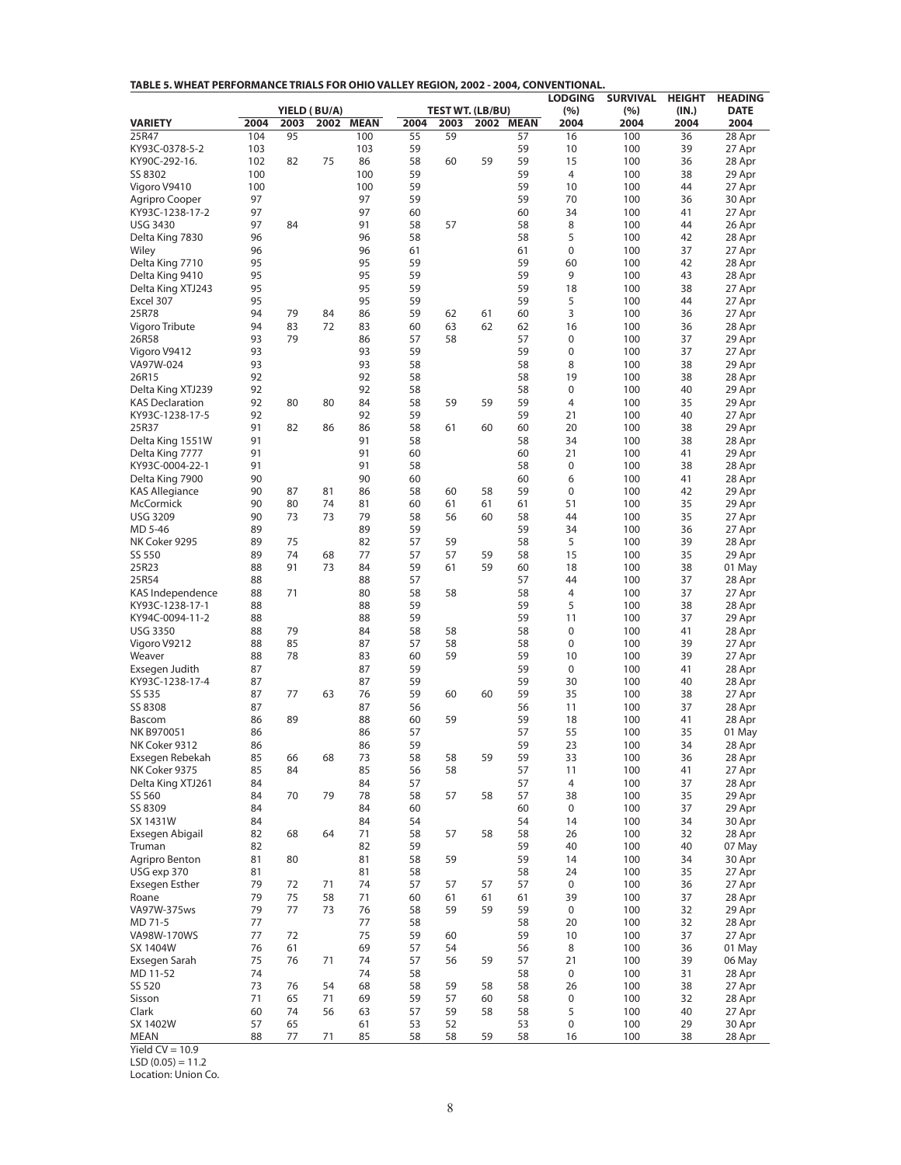| TABLE 5. WHEAT PERFORMANCE TRIALS FOR OHIO VALLEY REGION, 2002 - 2004, CONVENTIONAL. |  |
|--------------------------------------------------------------------------------------|--|
|--------------------------------------------------------------------------------------|--|

|                                    |          |          |                      |             |          |                                 |      |             | <b>LODGING</b> | <b>SURVIVAL</b> | <b>HEIGHT</b> | <b>HEADING</b>      |
|------------------------------------|----------|----------|----------------------|-------------|----------|---------------------------------|------|-------------|----------------|-----------------|---------------|---------------------|
| <b>VARIETY</b>                     | 2004     | 2003     | YIELD (BU/A)<br>2002 | <b>MEAN</b> | 2004     | <b>TEST WT. (LB/BU)</b><br>2003 | 2002 | <b>MEAN</b> | (%)<br>2004    | (%)<br>2004     | (IN.)<br>2004 | <b>DATE</b><br>2004 |
| 25R47                              | 104      | 95       |                      | 100         | 55       | 59                              |      | 57          | 16             | 100             | 36            | 28 Apr              |
| KY93C-0378-5-2                     | 103      |          |                      | 103         | 59       |                                 |      | 59          | 10             | 100             | 39            | 27 Apr              |
| KY90C-292-16.                      | 102      | 82       | 75                   | 86          | 58       | 60                              | 59   | 59          | 15             | 100             | 36            | 28 Apr              |
| SS 8302                            | 100      |          |                      | 100         | 59       |                                 |      | 59          | $\overline{4}$ | 100             | 38            | 29 Apr              |
| Vigoro V9410                       | 100      |          |                      | 100         | 59       |                                 |      | 59          | 10             | 100             | 44            | 27 Apr              |
| Agripro Cooper                     | 97       |          |                      | 97<br>97    | 59       |                                 |      | 59          | 70             | 100             | 36            | 30 Apr              |
| KY93C-1238-17-2<br><b>USG 3430</b> | 97<br>97 | 84       |                      | 91          | 60<br>58 | 57                              |      | 60<br>58    | 34<br>8        | 100<br>100      | 41<br>44      | 27 Apr<br>26 Apr    |
| Delta King 7830                    | 96       |          |                      | 96          | 58       |                                 |      | 58          | 5              | 100             | 42            | 28 Apr              |
| Wiley                              | 96       |          |                      | 96          | 61       |                                 |      | 61          | 0              | 100             | 37            | 27 Apr              |
| Delta King 7710                    | 95       |          |                      | 95          | 59       |                                 |      | 59          | 60             | 100             | 42            | 28 Apr              |
| Delta King 9410                    | 95       |          |                      | 95          | 59       |                                 |      | 59          | 9              | 100             | 43            | 28 Apr              |
| Delta King XTJ243                  | 95       |          |                      | 95          | 59       |                                 |      | 59          | 18             | 100             | 38            | 27 Apr              |
| Excel 307                          | 95       |          |                      | 95          | 59       |                                 |      | 59          | 5              | 100             | 44            | 27 Apr              |
| 25R78                              | 94       | 79       | 84                   | 86<br>83    | 59       | 62                              | 61   | 60          | 3              | 100             | 36            | 27 Apr              |
| Vigoro Tribute<br>26R58            | 94<br>93 | 83<br>79 | 72                   | 86          | 60<br>57 | 63<br>58                        | 62   | 62<br>57    | 16<br>0        | 100<br>100      | 36<br>37      | 28 Apr<br>29 Apr    |
| Vigoro V9412                       | 93       |          |                      | 93          | 59       |                                 |      | 59          | 0              | 100             | 37            | 27 Apr              |
| VA97W-024                          | 93       |          |                      | 93          | 58       |                                 |      | 58          | 8              | 100             | 38            | 29 Apr              |
| 26R15                              | 92       |          |                      | 92          | 58       |                                 |      | 58          | 19             | 100             | 38            | 28 Apr              |
| Delta King XTJ239                  | 92       |          |                      | 92          | 58       |                                 |      | 58          | 0              | 100             | 40            | 29 Apr              |
| <b>KAS Declaration</b>             | 92       | 80       | 80                   | 84          | 58       | 59                              | 59   | 59          | 4              | 100             | 35            | 29 Apr              |
| KY93C-1238-17-5                    | 92       |          |                      | 92          | 59       |                                 |      | 59          | 21             | 100             | 40            | 27 Apr              |
| 25R37                              | 91       | 82       | 86                   | 86          | 58       | 61                              | 60   | 60          | 20             | 100             | 38            | 29 Apr              |
| Delta King 1551W                   | 91       |          |                      | 91          | 58       |                                 |      | 58          | 34             | 100             | 38            | 28 Apr              |
| Delta King 7777<br>KY93C-0004-22-1 | 91<br>91 |          |                      | 91<br>91    | 60<br>58 |                                 |      | 60<br>58    | 21<br>0        | 100<br>100      | 41<br>38      | 29 Apr<br>28 Apr    |
| Delta King 7900                    | 90       |          |                      | 90          | 60       |                                 |      | 60          | 6              | 100             | 41            | 28 Apr              |
| <b>KAS Allegiance</b>              | 90       | 87       | 81                   | 86          | 58       | 60                              | 58   | 59          | 0              | 100             | 42            | 29 Apr              |
| McCormick                          | 90       | 80       | 74                   | 81          | 60       | 61                              | 61   | 61          | 51             | 100             | 35            | 29 Apr              |
| <b>USG 3209</b>                    | 90       | 73       | 73                   | 79          | 58       | 56                              | 60   | 58          | 44             | 100             | 35            | 27 Apr              |
| MD 5-46                            | 89       |          |                      | 89          | 59       |                                 |      | 59          | 34             | 100             | 36            | 27 Apr              |
| NK Coker 9295                      | 89       | 75       |                      | 82          | 57       | 59                              |      | 58          | 5              | 100             | 39            | 28 Apr              |
| SS 550                             | 89       | 74       | 68                   | 77          | 57       | 57                              | 59   | 58          | 15             | 100             | 35            | 29 Apr              |
| 25R23<br>25R54                     | 88<br>88 | 91       | 73                   | 84<br>88    | 59<br>57 | 61                              | 59   | 60<br>57    | 18<br>44       | 100<br>100      | 38<br>37      | 01 May<br>28 Apr    |
| KAS Independence                   | 88       | 71       |                      | 80          | 58       | 58                              |      | 58          | 4              | 100             | 37            | 27 Apr              |
| KY93C-1238-17-1                    | 88       |          |                      | 88          | 59       |                                 |      | 59          | 5              | 100             | 38            | 28 Apr              |
| KY94C-0094-11-2                    | 88       |          |                      | 88          | 59       |                                 |      | 59          | 11             | 100             | 37            | 29 Apr              |
| <b>USG 3350</b>                    | 88       | 79       |                      | 84          | 58       | 58                              |      | 58          | $\mathbf 0$    | 100             | 41            | 28 Apr              |
| Vigoro V9212                       | 88       | 85       |                      | 87          | 57       | 58                              |      | 58          | 0              | 100             | 39            | 27 Apr              |
| Weaver                             | 88       | 78       |                      | 83          | 60       | 59                              |      | 59          | 10             | 100             | 39            | 27 Apr              |
| Exsegen Judith                     | 87       |          |                      | 87          | 59       |                                 |      | 59          | 0              | 100             | 41            | 28 Apr              |
| KY93C-1238-17-4<br>SS 535          | 87<br>87 | 77       | 63                   | 87<br>76    | 59<br>59 | 60                              | 60   | 59<br>59    | 30<br>35       | 100<br>100      | 40<br>38      | 28 Apr<br>27 Apr    |
| SS 8308                            | 87       |          |                      | 87          | 56       |                                 |      | 56          | 11             | 100             | 37            | 28 Apr              |
| Bascom                             | 86       | 89       |                      | 88          | 60       | 59                              |      | 59          | 18             | 100             | 41            | 28 Apr              |
| NK B970051                         | 86       |          |                      | 86          | 57       |                                 |      | 57          | 55             | 100             | 35            | 01 May              |
| NK Coker 9312                      | 86       |          |                      | 86          | 59       |                                 |      | 59          | 23             | 100             | 34            | 28 Apr              |
| Exsegen Rebekah                    | 85       | 66       | 68                   | 73          | 58       | 58                              | 59   | 59          | 33             | 100             | 36            | 28 Apr              |
| NK Coker 9375                      | 85       | 84       |                      | 85          | 56       | 58                              |      | 57          | 11             | 100             | 41            | 27 Apr              |
| Delta King XTJ261                  | 84       |          |                      | 84          | 57       |                                 |      | 57          | 4              | 100             | 37            | 28 Apr              |
| SS 560<br>SS 8309                  | 84<br>84 | 70       | 79                   | 78<br>84    | 58<br>60 | 57                              | 58   | 57<br>60    | 38<br>0        | 100<br>100      | 35<br>37      | 29 Apr<br>29 Apr    |
| SX 1431W                           | 84       |          |                      | 84          | 54       |                                 |      | 54          | 14             | 100             | 34            | 30 Apr              |
| Exsegen Abigail                    | 82       | 68       | 64                   | 71          | 58       | 57                              | 58   | 58          | 26             | 100             | 32            | 28 Apr              |
| Truman                             | 82       |          |                      | 82          | 59       |                                 |      | 59          | 40             | 100             | 40            | 07 May              |
| Agripro Benton                     | 81       | 80       |                      | 81          | 58       | 59                              |      | 59          | 14             | 100             | 34            | 30 Apr              |
| USG exp 370                        | 81       |          |                      | 81          | 58       |                                 |      | 58          | 24             | 100             | 35            | 27 Apr              |
| Exsegen Esther                     | 79       | 72       | 71                   | 74          | 57       | 57                              | 57   | 57          | $\mathbf 0$    | 100             | 36            | 27 Apr              |
| Roane                              | 79       | 75       | 58                   | 71          | 60       | 61                              | 61   | 61          | 39             | 100             | 37            | 28 Apr              |
| VA97W-375ws<br>MD 71-5             | 79<br>77 | 77       | 73                   | 76<br>77    | 58<br>58 | 59                              | 59   | 59<br>58    | 0<br>20        | 100<br>100      | 32<br>32      | 29 Apr<br>28 Apr    |
| VA98W-170WS                        | 77       | 72       |                      | 75          | 59       | 60                              |      | 59          | 10             | 100             | 37            | 27 Apr              |
| SX 1404W                           | 76       | 61       |                      | 69          | 57       | 54                              |      | 56          | 8              | 100             | 36            | 01 May              |
| Exsegen Sarah                      | 75       | 76       | 71                   | 74          | 57       | 56                              | 59   | 57          | 21             | 100             | 39            | 06 May              |
| MD 11-52                           | 74       |          |                      | 74          | 58       |                                 |      | 58          | $\mathbf 0$    | 100             | 31            | 28 Apr              |
| SS 520                             | 73       | 76       | 54                   | 68          | 58       | 59                              | 58   | 58          | 26             | 100             | 38            | 27 Apr              |
| Sisson                             | 71       | 65       | 71                   | 69          | 59       | 57                              | 60   | 58          | 0              | 100             | 32            | 28 Apr              |
| Clark                              | 60       | 74       | 56                   | 63          | 57       | 59                              | 58   | 58          | 5              | 100             | 40            | 27 Apr              |
| SX 1402W                           | 57       | 65       |                      | 61          | 53       | 52                              |      | 53          | 0              | 100<br>100      | 29            | 30 Apr              |
| <b>MEAN</b>                        | 88       | 77       | 71                   | 85          | 58       | 58                              | 59   | 58          | 16             |                 | 38            | 28 Apr              |

Yield  $CV = 10.9$ 

 $LSD (0.05) = 11.2$ 

Location: Union Co.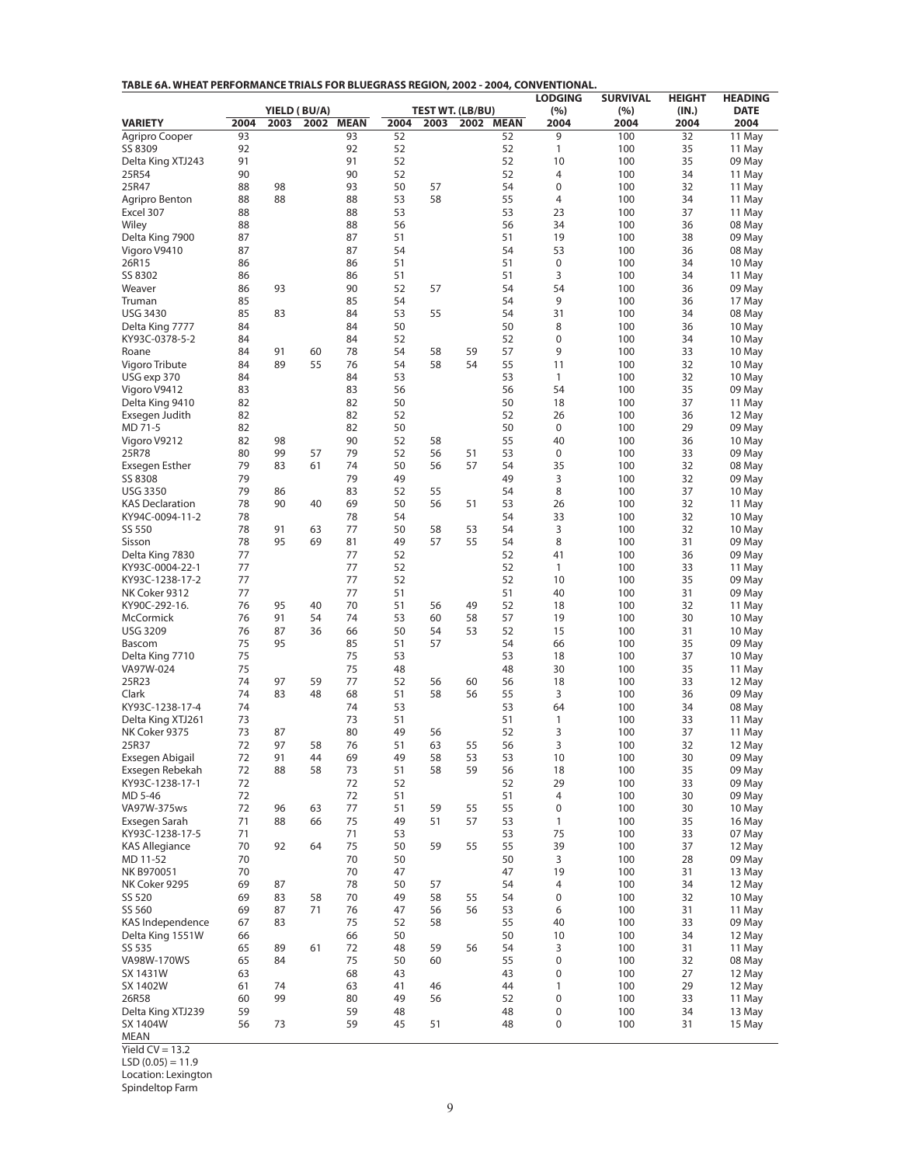| TABLE 6A. WHEAT PERFORMANCE TRIALS FOR BLUEGRASS REGION, 2002 - 2004, CONVENTIONAL. |  |
|-------------------------------------------------------------------------------------|--|
|-------------------------------------------------------------------------------------|--|

|                                           |          |          |                      |             |          |          |                         |           | <b>LODGING</b>    | <b>SURVIVAL</b> | <b>HEIGHT</b> | <b>HEADING</b>      |
|-------------------------------------------|----------|----------|----------------------|-------------|----------|----------|-------------------------|-----------|-------------------|-----------------|---------------|---------------------|
| <b>VARIETY</b>                            | 2004     | 2003     | YIELD (BU/A)<br>2002 | <b>MEAN</b> | 2004     | 2003     | <b>TEST WT. (LB/BU)</b> | 2002 MEAN | (%)<br>2004       | (%)<br>2004     | (IN.)<br>2004 | <b>DATE</b><br>2004 |
| Agripro Cooper                            | 93       |          |                      | 93          | 52       |          |                         | 52        | 9                 | 100             | 32            | 11 May              |
| SS 8309                                   | 92       |          |                      | 92          | 52       |          |                         | 52        | 1                 | 100             | 35            | 11 May              |
| Delta King XTJ243                         | 91       |          |                      | 91          | 52       |          |                         | 52        | 10                | 100             | 35            | 09 May              |
| 25R54<br>25R47                            | 90       |          |                      | 90          | 52       |          |                         | 52<br>54  | 4<br>0            | 100             | 34            | 11 May              |
| Agripro Benton                            | 88<br>88 | 98<br>88 |                      | 93<br>88    | 50<br>53 | 57<br>58 |                         | 55        | 4                 | 100<br>100      | 32<br>34      | 11 May<br>11 May    |
| Excel 307                                 | 88       |          |                      | 88          | 53       |          |                         | 53        | 23                | 100             | 37            | 11 May              |
| Wiley                                     | 88       |          |                      | 88          | 56       |          |                         | 56        | 34                | 100             | 36            | 08 May              |
| Delta King 7900                           | 87       |          |                      | 87          | 51       |          |                         | 51        | 19                | 100             | 38            | 09 May              |
| Vigoro V9410                              | 87       |          |                      | 87          | 54       |          |                         | 54        | 53                | 100             | 36            | 08 May              |
| 26R15                                     | 86       |          |                      | 86          | 51       |          |                         | 51        | $\pmb{0}$         | 100             | 34            | 10 May              |
| SS 8302<br>Weaver                         | 86       | 93       |                      | 86          | 51       |          |                         | 51<br>54  | 3<br>54           | 100             | 34            | 11 May              |
| Truman                                    | 86<br>85 |          |                      | 90<br>85    | 52<br>54 | 57       |                         | 54        | 9                 | 100<br>100      | 36<br>36      | 09 May<br>17 May    |
| <b>USG 3430</b>                           | 85       | 83       |                      | 84          | 53       | 55       |                         | 54        | 31                | 100             | 34            | 08 May              |
| Delta King 7777                           | 84       |          |                      | 84          | 50       |          |                         | 50        | 8                 | 100             | 36            | 10 May              |
| KY93C-0378-5-2                            | 84       |          |                      | 84          | 52       |          |                         | 52        | 0                 | 100             | 34            | 10 May              |
| Roane                                     | 84       | 91       | 60                   | 78          | 54       | 58       | 59                      | 57        | 9                 | 100             | 33            | 10 May              |
| Vigoro Tribute                            | 84       | 89       | 55                   | 76          | 54       | 58       | 54                      | 55        | 11                | 100             | 32            | 10 May              |
| USG exp 370                               | 84       |          |                      | 84          | 53       |          |                         | 53        | 1                 | 100             | 32            | 10 May              |
| Vigoro V9412<br>Delta King 9410           | 83<br>82 |          |                      | 83<br>82    | 56<br>50 |          |                         | 56<br>50  | 54<br>18          | 100<br>100      | 35<br>37      | 09 May<br>11 May    |
| Exsegen Judith                            | 82       |          |                      | 82          | 52       |          |                         | 52        | 26                | 100             | 36            | 12 May              |
| MD 71-5                                   | 82       |          |                      | 82          | 50       |          |                         | 50        | 0                 | 100             | 29            | 09 May              |
| Vigoro V9212                              | 82       | 98       |                      | 90          | 52       | 58       |                         | 55        | 40                | 100             | 36            | 10 May              |
| 25R78                                     | 80       | 99       | 57                   | 79          | 52       | 56       | 51                      | 53        | 0                 | 100             | 33            | 09 May              |
| Exsegen Esther                            | 79       | 83       | 61                   | 74          | 50       | 56       | 57                      | 54        | 35                | 100             | 32            | 08 May              |
| SS 8308                                   | 79       |          |                      | 79          | 49       |          |                         | 49        | 3                 | 100             | 32            | 09 May              |
| <b>USG 3350</b>                           | 79       | 86       |                      | 83          | 52       | 55       |                         | 54        | 8                 | 100             | 37            | 10 May              |
| <b>KAS Declaration</b><br>KY94C-0094-11-2 | 78<br>78 | 90       | 40                   | 69<br>78    | 50<br>54 | 56       | 51                      | 53<br>54  | 26<br>33          | 100<br>100      | 32<br>32      | 11 May<br>10 May    |
| SS 550                                    | 78       | 91       | 63                   | 77          | 50       | 58       | 53                      | 54        | 3                 | 100             | 32            | 10 May              |
| Sisson                                    | 78       | 95       | 69                   | 81          | 49       | 57       | 55                      | 54        | 8                 | 100             | 31            | 09 May              |
| Delta King 7830                           | 77       |          |                      | 77          | 52       |          |                         | 52        | 41                | 100             | 36            | 09 May              |
| KY93C-0004-22-1                           | 77       |          |                      | 77          | 52       |          |                         | 52        | 1                 | 100             | 33            | 11 May              |
| KY93C-1238-17-2                           | 77       |          |                      | 77          | 52       |          |                         | 52        | 10                | 100             | 35            | 09 May              |
| NK Coker 9312                             | 77       |          |                      | 77          | 51       |          |                         | 51        | 40                | 100             | 31            | 09 May              |
| KY90C-292-16.<br>McCormick                | 76<br>76 | 95<br>91 | 40<br>54             | 70<br>74    | 51<br>53 | 56<br>60 | 49<br>58                | 52<br>57  | 18<br>19          | 100<br>100      | 32<br>30      | 11 May<br>10 May    |
| <b>USG 3209</b>                           | 76       | 87       | 36                   | 66          | 50       | 54       | 53                      | 52        | 15                | 100             | 31            | 10 May              |
| Bascom                                    | 75       | 95       |                      | 85          | 51       | 57       |                         | 54        | 66                | 100             | 35            | 09 May              |
| Delta King 7710                           | 75       |          |                      | 75          | 53       |          |                         | 53        | 18                | 100             | 37            | 10 May              |
| VA97W-024                                 | 75       |          |                      | 75          | 48       |          |                         | 48        | 30                | 100             | 35            | 11 May              |
| 25R23                                     | 74       | 97       | 59                   | 77          | 52       | 56       | 60                      | 56        | 18                | 100             | 33            | 12 May              |
| Clark                                     | 74       | 83       | 48                   | 68<br>74    | 51<br>53 | 58       | 56                      | 55<br>53  | 3                 | 100             | 36            | 09 May              |
| KY93C-1238-17-4<br>Delta King XTJ261      | 74<br>73 |          |                      | 73          | 51       |          |                         | 51        | 64<br>1           | 100<br>100      | 34<br>33      | 08 May<br>11 May    |
| NK Coker 9375                             | 73       | 87       |                      | 80          | 49       | 56       |                         | 52        | 3                 | 100             | 37            | 11 May              |
| 25R37                                     | 72       | 97       | 58                   | 76          | 51       | 63       | 55                      | 56        | 3                 | 100             | 32            | 12 May              |
| Exsegen Abigail                           | 72       | 91       | 44                   | 69          | 49       | 58       | 53                      | 53        | 10                | 100             | 30            | 09 May              |
| Exsegen Rebekah                           | 72       | 88       | 58                   | 73          | 51       | 58       | 59                      | 56        | 18                | 100             | 35            | 09 May              |
| KY93C-1238-17-1                           | 72       |          |                      | 72          | 52       |          |                         | 52        | 29                | 100             | 33            | 09 May              |
| MD 5-46                                   | 72       |          |                      | 72          | 51       |          |                         | 51        | 4                 | 100             | 30            | 09 May              |
| VA97W-375ws<br>Exsegen Sarah              | 72<br>71 | 96<br>88 | 63<br>66             | 77<br>75    | 51<br>49 | 59<br>51 | 55<br>57                | 55<br>53  | 0<br>$\mathbf{1}$ | 100<br>100      | 30<br>35      | 10 May<br>16 May    |
| KY93C-1238-17-5                           | 71       |          |                      | 71          | 53       |          |                         | 53        | 75                | 100             | 33            | 07 May              |
| <b>KAS Allegiance</b>                     | 70       | 92       | 64                   | 75          | 50       | 59       | 55                      | 55        | 39                | 100             | 37            | 12 May              |
| MD 11-52                                  | 70       |          |                      | 70          | 50       |          |                         | 50        | 3                 | 100             | 28            | 09 May              |
| NK B970051                                | 70       |          |                      | 70          | 47       |          |                         | 47        | 19                | 100             | 31            | 13 May              |
| NK Coker 9295                             | 69       | 87       |                      | 78          | 50       | 57       |                         | 54        | 4                 | 100             | 34            | 12 May              |
| SS 520                                    | 69       | 83       | 58                   | 70          | 49       | 58       | 55                      | 54        | 0                 | 100             | 32            | 10 May              |
| SS 560<br>KAS Independence                | 69<br>67 | 87<br>83 | 71                   | 76<br>75    | 47<br>52 | 56<br>58 | 56                      | 53<br>55  | 6<br>40           | 100<br>100      | 31<br>33      | 11 May<br>09 May    |
| Delta King 1551W                          | 66       |          |                      | 66          | 50       |          |                         | 50        | 10                | 100             | 34            | 12 May              |
| SS 535                                    | 65       | 89       | 61                   | 72          | 48       | 59       | 56                      | 54        | 3                 | 100             | 31            | 11 May              |
| VA98W-170WS                               | 65       | 84       |                      | 75          | 50       | 60       |                         | 55        | 0                 | 100             | 32            | 08 May              |
| SX 1431W                                  | 63       |          |                      | 68          | 43       |          |                         | 43        | 0                 | 100             | 27            | 12 May              |
| SX 1402W                                  | 61       | 74       |                      | 63          | 41       | 46       |                         | 44        | 1                 | 100             | 29            | 12 May              |
| 26R58                                     | 60       | 99       |                      | 80          | 49       | 56       |                         | 52        | 0                 | 100             | 33            | 11 May              |
| Delta King XTJ239<br>SX 1404W             | 59<br>56 | 73       |                      | 59<br>59    | 48<br>45 | 51       |                         | 48<br>48  | 0<br>0            | 100<br>100      | 34<br>31      | 13 May<br>15 May    |
| <b>MEAN</b>                               |          |          |                      |             |          |          |                         |           |                   |                 |               |                     |

Yield  $CV = 13.2$ 

 $LSD (0.05) = 11.9$ 

Location: Lexington

Spindeltop Farm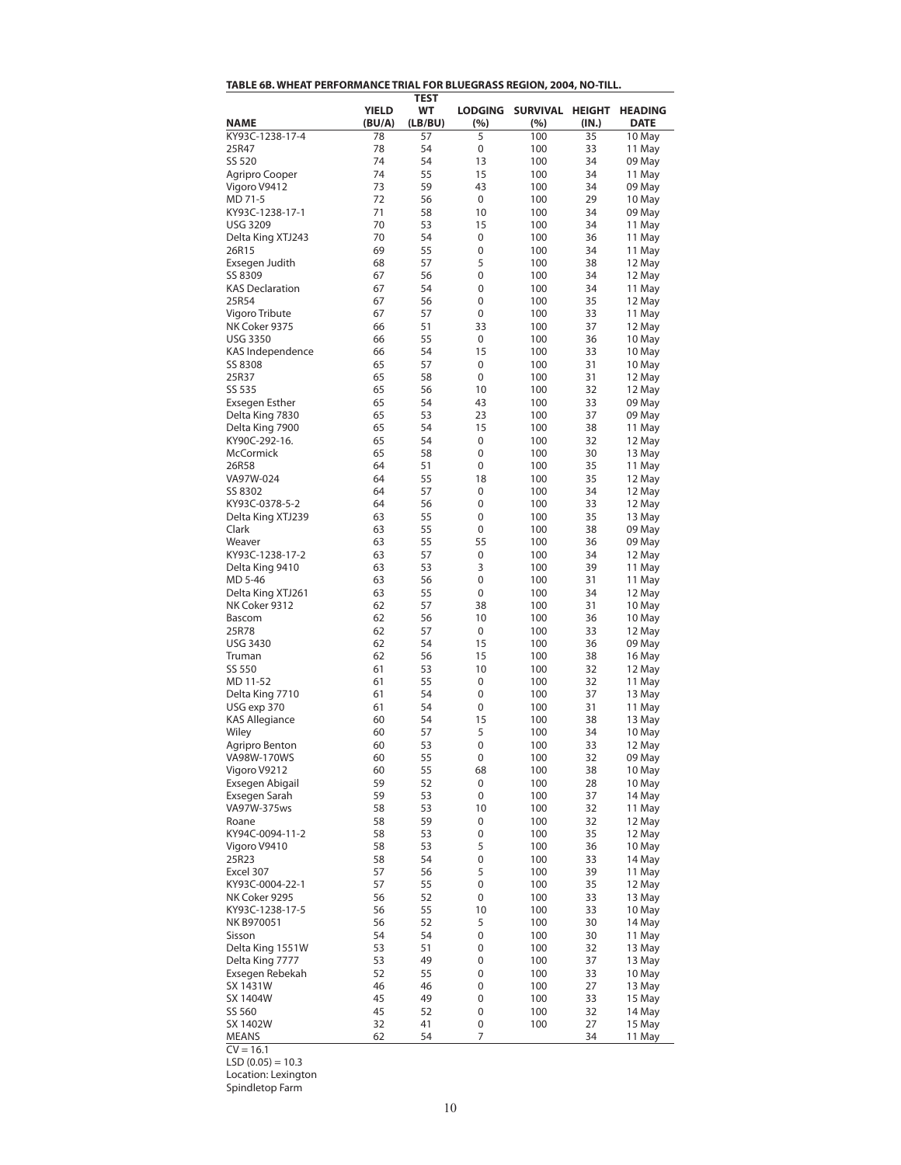| <u>INDEE OD, WITERITTENI ONIMATIVEE TIMAET ON DEUEGIMOO NEGIOIV, 2004, IVO</u> |              |                   |                |                         |       |             |
|--------------------------------------------------------------------------------|--------------|-------------------|----------------|-------------------------|-------|-------------|
|                                                                                | <b>YIELD</b> | <b>TEST</b><br>WT | <b>LODGING</b> | SURVIVAL HEIGHT HEADING |       |             |
|                                                                                |              |                   |                |                         |       |             |
| <b>NAME</b>                                                                    | (BU/A)       | (LB/BU)           | (%)            | (%)                     | (IN.) | <b>DATE</b> |
| KY93C-1238-17-4                                                                | 78           | 57                | 5              | 100                     | 35    | 10 May      |
| 25R47                                                                          | 78           | 54                | 0              | 100                     | 33    | 11 May      |
| SS 520                                                                         | 74           | 54                | 13             | 100                     | 34    | 09 May      |
| Agripro Cooper                                                                 | 74           | 55                | 15             | 100                     | 34    | 11 May      |
| Vigoro V9412                                                                   | 73           | 59                | 43             | 100                     | 34    | 09 May      |
| MD 71-5                                                                        | 72           | 56                | 0              | 100                     | 29    | 10 May      |
| KY93C-1238-17-1                                                                | 71           | 58                | 10             | 100                     | 34    | 09 May      |
| <b>USG 3209</b>                                                                | 70           | 53                | 15             | 100                     | 34    | 11 May      |
| Delta King XTJ243                                                              | 70           | 54                | 0              | 100                     | 36    | 11 May      |
|                                                                                |              |                   |                |                         |       |             |
| 26R15                                                                          | 69           | 55                | 0              | 100                     | 34    | 11 May      |
| Exsegen Judith                                                                 | 68           | 57                | 5              | 100                     | 38    | 12 May      |
| SS 8309                                                                        | 67           | 56                | 0              | 100                     | 34    | 12 May      |
| <b>KAS Declaration</b>                                                         | 67           | 54                | 0              | 100                     | 34    | 11 May      |
| 25R54                                                                          | 67           | 56                | 0              | 100                     | 35    | 12 May      |
| Vigoro Tribute                                                                 | 67           | 57                | 0              | 100                     | 33    | 11 May      |
| NK Coker 9375                                                                  | 66           | 51                | 33             | 100                     | 37    | 12 May      |
| <b>USG 3350</b>                                                                | 66           | 55                | 0              | 100                     | 36    | 10 May      |
| KAS Independence                                                               | 66           | 54                | 15             | 100                     | 33    | 10 May      |
|                                                                                |              |                   |                |                         |       |             |
| SS 8308                                                                        | 65           | 57                | 0              | 100                     | 31    | 10 May      |
| 25R37                                                                          | 65           | 58                | 0              | 100                     | 31    | 12 May      |
| SS 535                                                                         | 65           | 56                | 10             | 100                     | 32    | 12 May      |
| <b>Exsegen Esther</b>                                                          | 65           | 54                | 43             | 100                     | 33    | 09 May      |
| Delta King 7830                                                                | 65           | 53                | 23             | 100                     | 37    | 09 May      |
| Delta King 7900                                                                | 65           | 54                | 15             | 100                     | 38    | 11 May      |
| KY90C-292-16.                                                                  | 65           | 54                | 0              | 100                     | 32    | 12 May      |
| McCormick                                                                      | 65           | 58                | 0              | 100                     | 30    | 13 May      |
| 26R58                                                                          | 64           | 51                | 0              | 100                     | 35    | 11 May      |
|                                                                                |              |                   |                |                         |       |             |
| VA97W-024                                                                      | 64           | 55                | 18             | 100                     | 35    | 12 May      |
| SS 8302                                                                        | 64           | 57                | 0              | 100                     | 34    | 12 May      |
| KY93C-0378-5-2                                                                 | 64           | 56                | 0              | 100                     | 33    | 12 May      |
| Delta King XTJ239                                                              | 63           | 55                | 0              | 100                     | 35    | 13 May      |
| Clark                                                                          | 63           | 55                | 0              | 100                     | 38    | 09 May      |
| Weaver                                                                         | 63           | 55                | 55             | 100                     | 36    | 09 May      |
| KY93C-1238-17-2                                                                | 63           | 57                | 0              | 100                     | 34    | 12 May      |
| Delta King 9410                                                                | 63           | 53                | 3              | 100                     | 39    | 11 May      |
| MD 5-46                                                                        | 63           | 56                | 0              | 100                     | 31    | 11 May      |
|                                                                                |              |                   |                |                         |       |             |
| Delta King XTJ261                                                              | 63           | 55                | 0              | 100                     | 34    | 12 May      |
| NK Coker 9312                                                                  | 62           | 57                | 38             | 100                     | 31    | 10 May      |
| Bascom                                                                         | 62           | 56                | 10             | 100                     | 36    | 10 May      |
| 25R78                                                                          | 62           | 57                | 0              | 100                     | 33    | 12 May      |
| <b>USG 3430</b>                                                                | 62           | 54                | 15             | 100                     | 36    | 09 May      |
| Truman                                                                         | 62           | 56                | 15             | 100                     | 38    | 16 May      |
| SS 550                                                                         | 61           | 53                | 10             | 100                     | 32    | 12 May      |
| MD 11-52                                                                       | 61           | 55                | 0              | 100                     | 32    | 11 May      |
| Delta King 7710                                                                | 61           | 54                | 0              | 100                     | 37    | 13 May      |
|                                                                                | 61           | 54                | 0              | 100                     |       | 11 May      |
| USG exp 370                                                                    |              |                   |                |                         | 31    |             |
| <b>KAS Allegiance</b>                                                          | 60           | 54                | 15             | 100                     | 38    | 13 May      |
| Wiley                                                                          | 60           | 57                | 5              | 100                     | 34    | 10 May      |
| Agripro Benton                                                                 | 60           | 53                | 0              | 100                     | 33    | 12 May      |
| VA98W-170WS                                                                    | 60           | 55                | 0              | 100                     | 32    | 09 May      |
| Vigoro V9212                                                                   | 60           | 55                | 68             | 100                     | 38    | 10 May      |
| Exsegen Abigail                                                                | 59           | 52                | 0              | 100                     | 28    | 10 May      |
| Exsegen Sarah                                                                  | 59           | 53                | 0              | 100                     | 37    | 14 May      |
| VA97W-375ws                                                                    | 58           | 53                | 10             | 100                     | 32    | 11 May      |
| Roane                                                                          | 58           | 59                | 0              | 100                     | 32    | 12 May      |
|                                                                                |              |                   |                |                         |       |             |
| KY94C-0094-11-2                                                                | 58           | 53                | 0              | 100                     | 35    | 12 May      |
| Vigoro V9410                                                                   | 58           | 53                | 5              | 100                     | 36    | 10 May      |
| 25R23                                                                          | 58           | 54                | 0              | 100                     | 33    | 14 May      |
| Excel 307                                                                      | 57           | 56                | 5              | 100                     | 39    | 11 May      |
| KY93C-0004-22-1                                                                | 57           | 55                | 0              | 100                     | 35    | 12 May      |
| NK Coker 9295                                                                  | 56           | 52                | 0              | 100                     | 33    | 13 May      |
| KY93C-1238-17-5                                                                | 56           | 55                | 10             | 100                     | 33    | 10 May      |
| NK B970051                                                                     | 56           | 52                | 5              | 100                     | 30    | 14 May      |
| Sisson                                                                         | 54           | 54                | 0              | 100                     | 30    | 11 May      |
|                                                                                |              |                   |                |                         |       |             |
| Delta King 1551W                                                               | 53           | 51                | 0              | 100                     | 32    | 13 May      |
| Delta King 7777                                                                | 53           | 49                | 0              | 100                     | 37    | 13 May      |
| Exsegen Rebekah                                                                | 52           | 55                | 0              | 100                     | 33    | 10 May      |
| SX 1431W                                                                       | 46           | 46                | 0              | 100                     | 27    | 13 May      |
| SX 1404W                                                                       | 45           | 49                | 0              | 100                     | 33    | 15 May      |
| SS 560                                                                         | 45           | 52                | 0              | 100                     | 32    | 14 May      |
| SX 1402W                                                                       | 32           | 41                | 0              | 100                     | 27    | 15 May      |
| <b>MEANS</b>                                                                   | 62           | 54                | 7              |                         | 34    | 11 May      |

| TABLE 6B. WHEAT PERFORMANCE TRIAL FOR BLUEGRASS REGION, 2004, NO-TILL. |
|------------------------------------------------------------------------|
|------------------------------------------------------------------------|

 $LSD (0.05) = 10.3$ Location: Lexington

 $CV = 16.1$ 

Spindletop Farm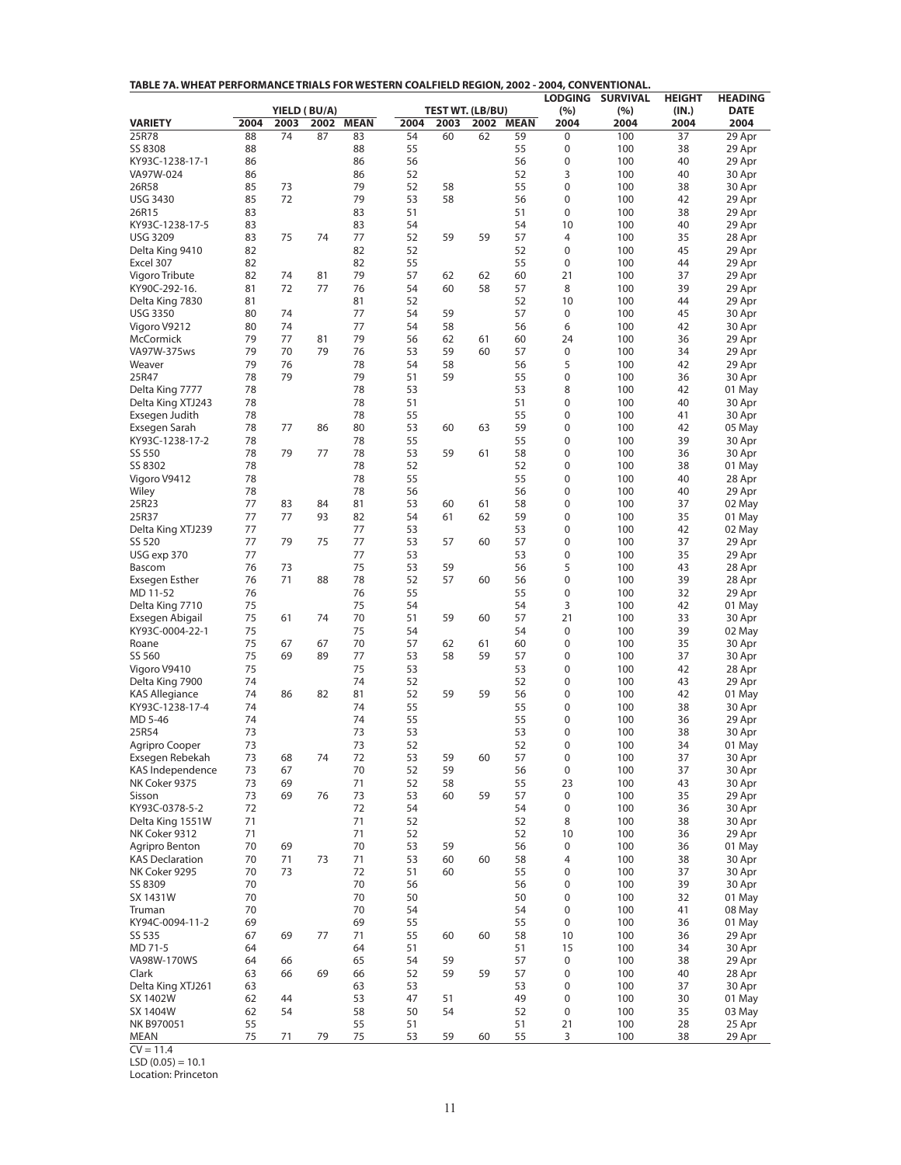| TABLE 7A. WHEAT PERFORMANCE TRIALS FOR WESTERN COALFIELD REGION, 2002 - 2004, CONVENTIONAL. |
|---------------------------------------------------------------------------------------------|
|---------------------------------------------------------------------------------------------|

|                                         |          |          |                      |             |          |                                 |      |             | <b>LODGING</b>      | <b>SURVIVAL</b> | <b>HEIGHT</b> | <b>HEADING</b>      |
|-----------------------------------------|----------|----------|----------------------|-------------|----------|---------------------------------|------|-------------|---------------------|-----------------|---------------|---------------------|
| <b>VARIETY</b>                          | 2004     | 2003     | YIELD (BU/A)<br>2002 | <b>MEAN</b> | 2004     | <b>TEST WT. (LB/BU)</b><br>2003 | 2002 | <b>MEAN</b> | (%)<br>2004         | (%)<br>2004     | (IN.)<br>2004 | <b>DATE</b><br>2004 |
| 25R78                                   | 88       | 74       | 87                   | 83          | 54       | 60                              | 62   | 59          | 0                   | 100             | 37            | 29 Apr              |
| SS 8308                                 | 88       |          |                      | 88          | 55       |                                 |      | 55          | 0                   | 100             | 38            | 29 Apr              |
| KY93C-1238-17-1                         | 86       |          |                      | 86          | 56       |                                 |      | 56          | 0                   | 100             | 40            | 29 Apr              |
| VA97W-024                               | 86       |          |                      | 86          | 52       |                                 |      | 52          | 3                   | 100             | 40            | 30 Apr              |
| 26R58                                   | 85       | 73       |                      | 79          | 52       | 58                              |      | 55          | 0                   | 100             | 38            | 30 Apr              |
| <b>USG 3430</b>                         | 85       | 72       |                      | 79          | 53       | 58                              |      | 56          | 0                   | 100             | 42            | 29 Apr              |
| 26R15                                   | 83       |          |                      | 83          | 51       |                                 |      | 51          | 0                   | 100             | 38            | 29 Apr              |
| KY93C-1238-17-5<br><b>USG 3209</b>      | 83<br>83 | 75       | 74                   | 83<br>77    | 54<br>52 | 59                              | 59   | 54<br>57    | 10<br>4             | 100<br>100      | 40<br>35      | 29 Apr<br>28 Apr    |
| Delta King 9410                         | 82       |          |                      | 82          | 52       |                                 |      | 52          | 0                   | 100             | 45            | 29 Apr              |
| Excel 307                               | 82       |          |                      | 82          | 55       |                                 |      | 55          | 0                   | 100             | 44            | 29 Apr              |
| Vigoro Tribute                          | 82       | 74       | 81                   | 79          | 57       | 62                              | 62   | 60          | 21                  | 100             | 37            | 29 Apr              |
| KY90C-292-16.                           | 81       | 72       | 77                   | 76          | 54       | 60                              | 58   | 57          | 8                   | 100             | 39            | 29 Apr              |
| Delta King 7830                         | 81       |          |                      | 81          | 52       |                                 |      | 52          | 10                  | 100             | 44            | 29 Apr              |
| <b>USG 3350</b>                         | 80       | 74       |                      | 77          | 54       | 59                              |      | 57          | 0                   | 100             | 45            | 30 Apr              |
| Vigoro V9212                            | 80       | 74       |                      | 77          | 54       | 58                              |      | 56          | 6                   | 100             | 42            | 30 Apr              |
| McCormick                               | 79<br>79 | 77<br>70 | 81<br>79             | 79          | 56       | 62<br>59                        | 61   | 60          | 24                  | 100             | 36            | 29 Apr              |
| VA97W-375ws<br>Weaver                   | 79       | 76       |                      | 76<br>78    | 53<br>54 | 58                              | 60   | 57<br>56    | $\pmb{0}$<br>5      | 100<br>100      | 34<br>42      | 29 Apr<br>29 Apr    |
| 25R47                                   | 78       | 79       |                      | 79          | 51       | 59                              |      | 55          | 0                   | 100             | 36            | 30 Apr              |
| Delta King 7777                         | 78       |          |                      | 78          | 53       |                                 |      | 53          | 8                   | 100             | 42            | 01 May              |
| Delta King XTJ243                       | 78       |          |                      | 78          | 51       |                                 |      | 51          | 0                   | 100             | 40            | 30 Apr              |
| Exsegen Judith                          | 78       |          |                      | 78          | 55       |                                 |      | 55          | 0                   | 100             | 41            | 30 Apr              |
| Exsegen Sarah                           | 78       | 77       | 86                   | 80          | 53       | 60                              | 63   | 59          | 0                   | 100             | 42            | 05 May              |
| KY93C-1238-17-2                         | 78       |          |                      | 78          | 55       |                                 |      | 55          | 0                   | 100             | 39            | 30 Apr              |
| SS 550                                  | 78       | 79       | 77                   | 78          | 53       | 59                              | 61   | 58          | 0                   | 100             | 36            | 30 Apr              |
| SS 8302                                 | 78       |          |                      | 78          | 52       |                                 |      | 52          | 0                   | 100             | 38            | 01 May              |
| Vigoro V9412<br>Wiley                   | 78<br>78 |          |                      | 78<br>78    | 55<br>56 |                                 |      | 55<br>56    | 0<br>0              | 100<br>100      | 40<br>40      | 28 Apr              |
| 25R23                                   | 77       | 83       | 84                   | 81          | 53       | 60                              | 61   | 58          | 0                   | 100             | 37            | 29 Apr<br>02 May    |
| 25R37                                   | 77       | 77       | 93                   | 82          | 54       | 61                              | 62   | 59          | 0                   | 100             | 35            | 01 May              |
| Delta King XTJ239                       | 77       |          |                      | 77          | 53       |                                 |      | 53          | 0                   | 100             | 42            | 02 May              |
| SS 520                                  | 77       | 79       | 75                   | 77          | 53       | 57                              | 60   | 57          | 0                   | 100             | 37            | 29 Apr              |
| USG exp 370                             | 77       |          |                      | 77          | 53       |                                 |      | 53          | 0                   | 100             | 35            | 29 Apr              |
| Bascom                                  | 76       | 73       |                      | 75          | 53       | 59                              |      | 56          | 5                   | 100             | 43            | 28 Apr              |
| Exsegen Esther                          | 76       | 71       | 88                   | 78          | 52       | 57                              | 60   | 56          | 0                   | 100             | 39            | 28 Apr              |
| MD 11-52                                | 76       |          |                      | 76          | 55       |                                 |      | 55          | 0                   | 100             | 32            | 29 Apr              |
| Delta King 7710                         | 75       |          |                      | 75<br>70    | 54       |                                 |      | 54          | 3                   | 100             | 42            | 01 May              |
| Exsegen Abigail<br>KY93C-0004-22-1      | 75<br>75 | 61       | 74                   | 75          | 51<br>54 | 59                              | 60   | 57<br>54    | 21<br>0             | 100<br>100      | 33<br>39      | 30 Apr<br>02 May    |
| Roane                                   | 75       | 67       | 67                   | 70          | 57       | 62                              | 61   | 60          | 0                   | 100             | 35            | 30 Apr              |
| SS 560                                  | 75       | 69       | 89                   | 77          | 53       | 58                              | 59   | 57          | 0                   | 100             | 37            | 30 Apr              |
| Vigoro V9410                            | 75       |          |                      | 75          | 53       |                                 |      | 53          | 0                   | 100             | 42            | 28 Apr              |
| Delta King 7900                         | 74       |          |                      | 74          | 52       |                                 |      | 52          | 0                   | 100             | 43            | 29 Apr              |
| <b>KAS Allegiance</b>                   | 74       | 86       | 82                   | 81          | 52       | 59                              | 59   | 56          | 0                   | 100             | 42            | 01 May              |
| KY93C-1238-17-4                         | 74       |          |                      | 74          | 55       |                                 |      | 55          | 0                   | 100             | 38            | 30 Apr              |
| MD 5-46                                 | 74       |          |                      | 74          | 55       |                                 |      | 55          | 0                   | 100             | 36            | 29 Apr              |
| 25R54<br>Agripro Cooper                 | 73<br>73 |          |                      | 73<br>73    | 53<br>52 |                                 |      | 53<br>52    | 0<br>$\Omega$       | 100<br>100      | 38<br>34      | 30 Apr<br>01 May    |
| Exsegen Rebekah                         | 73       | 68       | 74                   | 72          | 53       | 59                              | 60   | 57          | 0                   | 100             | 37            | 30 Apr              |
| KAS Independence                        | 73       | 67       |                      | 70          | 52       | 59                              |      | 56          | 0                   | 100             | 37            | 30 Apr              |
| NK Coker 9375                           | 73       | 69       |                      | 71          | 52       | 58                              |      | 55          | 23                  | 100             | 43            | 30 Apr              |
| Sisson                                  | 73       | 69       | 76                   | 73          | 53       | 60                              | 59   | 57          | 0                   | 100             | 35            | 29 Apr              |
| KY93C-0378-5-2                          | 72       |          |                      | 72          | 54       |                                 |      | 54          | 0                   | 100             | 36            | 30 Apr              |
| Delta King 1551W                        | 71       |          |                      | 71          | 52       |                                 |      | 52          | 8                   | 100             | 38            | 30 Apr              |
| NK Coker 9312                           | 71       |          |                      | 71          | 52       |                                 |      | 52          | 10                  | 100             | 36            | 29 Apr              |
| Agripro Benton                          | 70       | 69       |                      | 70          | 53       | 59                              |      | 56          | 0                   | 100             | 36            | 01 May              |
| <b>KAS Declaration</b><br>NK Coker 9295 | 70<br>70 | 71<br>73 | 73                   | 71<br>72    | 53<br>51 | 60<br>60                        | 60   | 58<br>55    | $\overline{4}$<br>0 | 100<br>100      | 38<br>37      | 30 Apr<br>30 Apr    |
| SS 8309                                 | 70       |          |                      | 70          | 56       |                                 |      | 56          | 0                   | 100             | 39            | 30 Apr              |
| SX 1431W                                | 70       |          |                      | 70          | 50       |                                 |      | 50          | 0                   | 100             | 32            | 01 May              |
| Truman                                  | 70       |          |                      | 70          | 54       |                                 |      | 54          | 0                   | 100             | 41            | 08 May              |
| KY94C-0094-11-2                         | 69       |          |                      | 69          | 55       |                                 |      | 55          | 0                   | 100             | 36            | 01 May              |
| SS 535                                  | 67       | 69       | 77                   | 71          | 55       | 60                              | 60   | 58          | 10                  | 100             | 36            | 29 Apr              |
| MD 71-5                                 | 64       |          |                      | 64          | 51       |                                 |      | 51          | 15                  | 100             | 34            | 30 Apr              |
| VA98W-170WS                             | 64       | 66       |                      | 65          | 54       | 59                              |      | 57          | 0                   | 100             | 38            | 29 Apr              |
| Clark                                   | 63       | 66       | 69                   | 66          | 52       | 59                              | 59   | 57          | 0                   | 100             | 40            | 28 Apr              |
| Delta King XTJ261                       | 63       |          |                      | 63          | 53       |                                 |      | 53          | 0                   | 100             | 37            | 30 Apr              |
| SX 1402W<br>SX 1404W                    | 62<br>62 | 44<br>54 |                      | 53<br>58    | 47<br>50 | 51<br>54                        |      | 49<br>52    | 0<br>0              | 100<br>100      | 30<br>35      | 01 May<br>03 May    |
| NK B970051                              | 55       |          |                      | 55          | 51       |                                 |      | 51          | 21                  | 100             | 28            | 25 Apr              |
| <b>MEAN</b>                             | 75       | 71       | 79                   | 75          | 53       | 59                              | 60   | 55          | 3                   | 100             | 38            | 29 Apr              |

 $CV = 11.4$ 

 $LSD (0.05) = 10.1$ 

Location: Princeton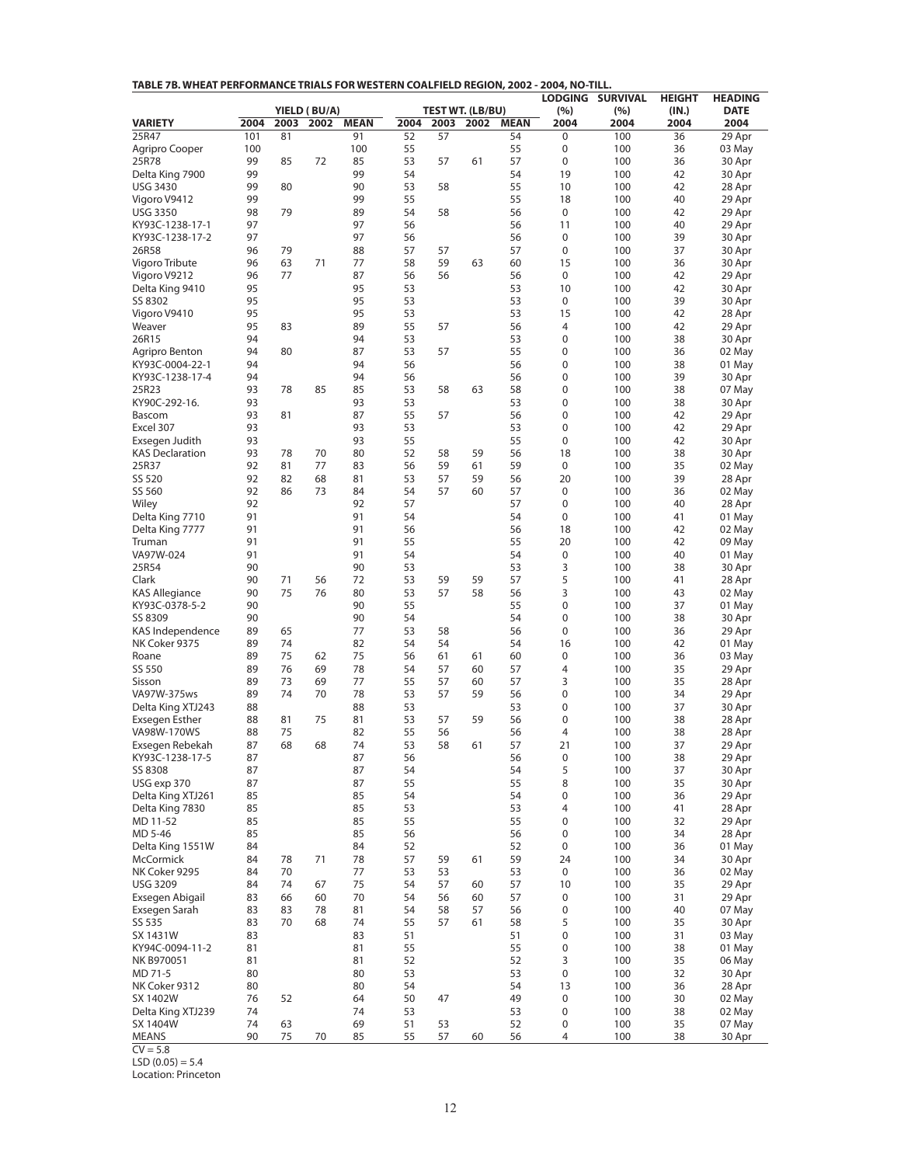| TABLE 7B. WHEAT PERFORMANCE TRIALS FOR WESTERN COALFIELD REGION, 2002 - 2004, NO-TILL. |          |          |                      |             |          |          |                                      |             |                |                 |               |                     |
|----------------------------------------------------------------------------------------|----------|----------|----------------------|-------------|----------|----------|--------------------------------------|-------------|----------------|-----------------|---------------|---------------------|
|                                                                                        |          |          |                      |             |          |          |                                      |             | <b>LODGING</b> | <b>SURVIVAL</b> | <b>HEIGHT</b> | <b>HEADING</b>      |
| <b>VARIETY</b>                                                                         | 2004     | 2003     | YIELD (BU/A)<br>2002 | <b>MEAN</b> | 2004     |          | <b>TEST WT. (LB/BU)</b><br>2003 2002 | <b>MEAN</b> | (%)<br>2004    | (%)<br>2004     | (IN.)<br>2004 | <b>DATE</b><br>2004 |
| 25R47                                                                                  | 101      | 81       |                      | 91          | 52       | 57       |                                      | 54          | 0              | 100             | 36            | 29 Apr              |
| Agripro Cooper                                                                         | 100      |          |                      | 100         | 55       |          |                                      | 55          | 0              | 100             | 36            | 03 May              |
| 25R78                                                                                  | 99       | 85       | 72                   | 85          | 53       | 57       | 61                                   | 57          | 0              | 100             | 36            | 30 Apr              |
| Delta King 7900                                                                        | 99       |          |                      | 99          | 54       |          |                                      | 54          | 19             | 100             | 42            | 30 Apr              |
| <b>USG 3430</b>                                                                        | 99       | 80       |                      | 90          | 53       | 58       |                                      | 55          | 10             | 100             | 42            | 28 Apr              |
| Vigoro V9412                                                                           | 99       |          |                      | 99          | 55       |          |                                      | 55          | 18             | 100             | 40            | 29 Apr              |
| <b>USG 3350</b><br>KY93C-1238-17-1                                                     | 98<br>97 | 79       |                      | 89<br>97    | 54<br>56 | 58       |                                      | 56<br>56    | 0<br>11        | 100<br>100      | 42<br>40      | 29 Apr<br>29 Apr    |
| KY93C-1238-17-2                                                                        | 97       |          |                      | 97          | 56       |          |                                      | 56          | 0              | 100             | 39            | 30 Apr              |
| 26R58                                                                                  | 96       | 79       |                      | 88          | 57       | 57       |                                      | 57          | 0              | 100             | 37            | 30 Apr              |
| Vigoro Tribute                                                                         | 96       | 63       | 71                   | 77          | 58       | 59       | 63                                   | 60          | 15             | 100             | 36            | 30 Apr              |
| Vigoro V9212                                                                           | 96       | 77       |                      | 87          | 56       | 56       |                                      | 56          | 0              | 100             | 42            | 29 Apr              |
| Delta King 9410                                                                        | 95       |          |                      | 95          | 53       |          |                                      | 53          | 10             | 100             | 42            | 30 Apr              |
| SS 8302                                                                                | 95       |          |                      | 95          | 53       |          |                                      | 53          | 0              | 100             | 39            | 30 Apr              |
| Vigoro V9410                                                                           | 95       |          |                      | 95          | 53       |          |                                      | 53          | 15             | 100             | 42            | 28 Apr              |
| Weaver                                                                                 | 95       | 83       |                      | 89          | 55       | 57       |                                      | 56          | 4              | 100             | 42            | 29 Apr              |
| 26R15                                                                                  | 94<br>94 | 80       |                      | 94<br>87    | 53<br>53 | 57       |                                      | 53<br>55    | 0<br>0         | 100<br>100      | 38<br>36      | 30 Apr<br>02 May    |
| Agripro Benton<br>KY93C-0004-22-1                                                      | 94       |          |                      | 94          | 56       |          |                                      | 56          | 0              | 100             | 38            | 01 May              |
| KY93C-1238-17-4                                                                        | 94       |          |                      | 94          | 56       |          |                                      | 56          | 0              | 100             | 39            | 30 Apr              |
| 25R23                                                                                  | 93       | 78       | 85                   | 85          | 53       | 58       | 63                                   | 58          | 0              | 100             | 38            | 07 May              |
| KY90C-292-16.                                                                          | 93       |          |                      | 93          | 53       |          |                                      | 53          | 0              | 100             | 38            | 30 Apr              |
| Bascom                                                                                 | 93       | 81       |                      | 87          | 55       | 57       |                                      | 56          | 0              | 100             | 42            | 29 Apr              |
| Excel 307                                                                              | 93       |          |                      | 93          | 53       |          |                                      | 53          | 0              | 100             | 42            | 29 Apr              |
| Exsegen Judith                                                                         | 93       |          |                      | 93          | 55       |          |                                      | 55          | 0              | 100             | 42            | 30 Apr              |
| <b>KAS Declaration</b>                                                                 | 93       | 78       | 70                   | 80          | 52       | 58       | 59                                   | 56          | 18             | 100             | 38            | 30 Apr              |
| 25R37                                                                                  | 92       | 81       | 77                   | 83          | 56       | 59       | 61                                   | 59          | 0              | 100             | 35            | 02 May              |
| SS 520                                                                                 | 92       | 82       | 68                   | 81          | 53       | 57       | 59                                   | 56          | 20             | 100             | 39            | 28 Apr              |
| SS 560                                                                                 | 92<br>92 | 86       | 73                   | 84          | 54<br>57 | 57       | 60                                   | 57          | 0              | 100             | 36            | 02 May              |
| Wiley<br>Delta King 7710                                                               | 91       |          |                      | 92<br>91    | 54       |          |                                      | 57<br>54    | 0<br>0         | 100<br>100      | 40<br>41      | 28 Apr<br>01 May    |
| Delta King 7777                                                                        | 91       |          |                      | 91          | 56       |          |                                      | 56          | 18             | 100             | 42            | 02 May              |
| Truman                                                                                 | 91       |          |                      | 91          | 55       |          |                                      | 55          | 20             | 100             | 42            | 09 May              |
| VA97W-024                                                                              | 91       |          |                      | 91          | 54       |          |                                      | 54          | 0              | 100             | 40            | 01 May              |
| 25R54                                                                                  | 90       |          |                      | 90          | 53       |          |                                      | 53          | 3              | 100             | 38            | 30 Apr              |
| Clark                                                                                  | 90       | 71       | 56                   | 72          | 53       | 59       | 59                                   | 57          | 5              | 100             | 41            | 28 Apr              |
| <b>KAS Allegiance</b>                                                                  | 90       | 75       | 76                   | 80          | 53       | 57       | 58                                   | 56          | 3              | 100             | 43            | 02 May              |
| KY93C-0378-5-2                                                                         | 90       |          |                      | 90          | 55       |          |                                      | 55          | 0              | 100             | 37            | 01 May              |
| SS 8309                                                                                | 90       |          |                      | 90          | 54       |          |                                      | 54          | 0              | 100             | 38            | 30 Apr              |
| KAS Independence<br>NK Coker 9375                                                      | 89<br>89 | 65<br>74 |                      | 77<br>82    | 53<br>54 | 58<br>54 |                                      | 56<br>54    | 0<br>16        | 100<br>100      | 36<br>42      | 29 Apr              |
| Roane                                                                                  | 89       | 75       | 62                   | 75          | 56       | 61       | 61                                   | 60          | 0              | 100             | 36            | 01 May<br>03 May    |
| SS 550                                                                                 | 89       | 76       | 69                   | 78          | 54       | 57       | 60                                   | 57          | 4              | 100             | 35            | 29 Apr              |
| Sisson                                                                                 | 89       | 73       | 69                   | 77          | 55       | 57       | 60                                   | 57          | 3              | 100             | 35            | 28 Apr              |
| VA97W-375ws                                                                            | 89       | 74       | 70                   | 78          | 53       | 57       | 59                                   | 56          | 0              | 100             | 34            | 29 Apr              |
| Delta King XTJ243                                                                      | 88       |          |                      | 88          | 53       |          |                                      | 53          | 0              | 100             | 37            | 30 Apr              |
| <b>Exsegen Esther</b>                                                                  | 88       | 81       | 75                   | 81          | 53       | 57       | 59                                   | 56          | 0              | 100             | 38            | 28 Apr              |
| VA98W-170WS                                                                            | 88       | 75       |                      | 82          | 55       | 56       |                                      | 56          | 4              | 100             | 38            | 28 Apr              |
| Exsegen Rebekah                                                                        | 87       | 68       | 68                   | 74          | 53       | 58       | 61                                   | 57          | 21             | 100             | 37            | 29 Apr              |
| KY93C-1238-17-5                                                                        | 87       |          |                      | 87          | 56       |          |                                      | 56          | 0              | 100             | 38            | 29 Apr              |
| SS 8308<br>USG exp 370                                                                 | 87<br>87 |          |                      | 87<br>87    | 54<br>55 |          |                                      | 54<br>55    | 5<br>8         | 100<br>100      | 37<br>35      | 30 Apr<br>30 Apr    |
| Delta King XTJ261                                                                      | 85       |          |                      | 85          | 54       |          |                                      | 54          | 0              | 100             | 36            | 29 Apr              |
| Delta King 7830                                                                        | 85       |          |                      | 85          | 53       |          |                                      | 53          | 4              | 100             | 41            | 28 Apr              |
| MD 11-52                                                                               | 85       |          |                      | 85          | 55       |          |                                      | 55          | 0              | 100             | 32            | 29 Apr              |
| MD 5-46                                                                                | 85       |          |                      | 85          | 56       |          |                                      | 56          | 0              | 100             | 34            | 28 Apr              |
| Delta King 1551W                                                                       | 84       |          |                      | 84          | 52       |          |                                      | 52          | 0              | 100             | 36            | 01 May              |
| <b>McCormick</b>                                                                       | 84       | 78       | 71                   | 78          | 57       | 59       | 61                                   | 59          | 24             | 100             | 34            | 30 Apr              |
| NK Coker 9295                                                                          | 84       | 70       |                      | 77          | 53       | 53       |                                      | 53          | 0              | 100             | 36            | 02 May              |
| <b>USG 3209</b>                                                                        | 84       | 74       | 67                   | 75          | 54       | 57       | 60                                   | 57          | 10             | 100             | 35            | 29 Apr              |
| Exsegen Abigail                                                                        | 83       | 66       | 60                   | 70          | 54       | 56       | 60                                   | 57          | 0              | 100             | 31            | 29 Apr              |
| Exsegen Sarah<br>SS 535                                                                | 83<br>83 | 83<br>70 | 78<br>68             | 81<br>74    | 54<br>55 | 58<br>57 | 57<br>61                             | 56<br>58    | 0<br>5         | 100<br>100      | 40<br>35      | 07 May<br>30 Apr    |
| SX 1431W                                                                               | 83       |          |                      | 83          | 51       |          |                                      | 51          | 0              | 100             | 31            | 03 May              |
| KY94C-0094-11-2                                                                        | 81       |          |                      | 81          | 55       |          |                                      | 55          | 0              | 100             | 38            | 01 May              |
| NK B970051                                                                             | 81       |          |                      | 81          | 52       |          |                                      | 52          | 3              | 100             | 35            | 06 May              |
| MD 71-5                                                                                | 80       |          |                      | 80          | 53       |          |                                      | 53          | 0              | 100             | 32            | 30 Apr              |
| NK Coker 9312                                                                          | 80       |          |                      | 80          | 54       |          |                                      | 54          | 13             | 100             | 36            | 28 Apr              |
| SX 1402W                                                                               | 76       | 52       |                      | 64          | 50       | 47       |                                      | 49          | 0              | 100             | 30            | 02 May              |
| Delta King XTJ239                                                                      | 74       |          |                      | 74          | 53       |          |                                      | 53          | 0              | 100             | 38            | 02 May              |
| SX 1404W                                                                               | 74       | 63       |                      | 69          | 51       | 53       |                                      | 52          | 0              | 100             | 35            | 07 May              |
| MEANS                                                                                  | 90       | 75       | 70                   | 85          | 55       | 57       | 60                                   | 56          | 4              | 100             | 38            | 30 Apr              |

 $CV = 5.8$  $LSD (0.05) = 5.4$ 

Location: Princeton

12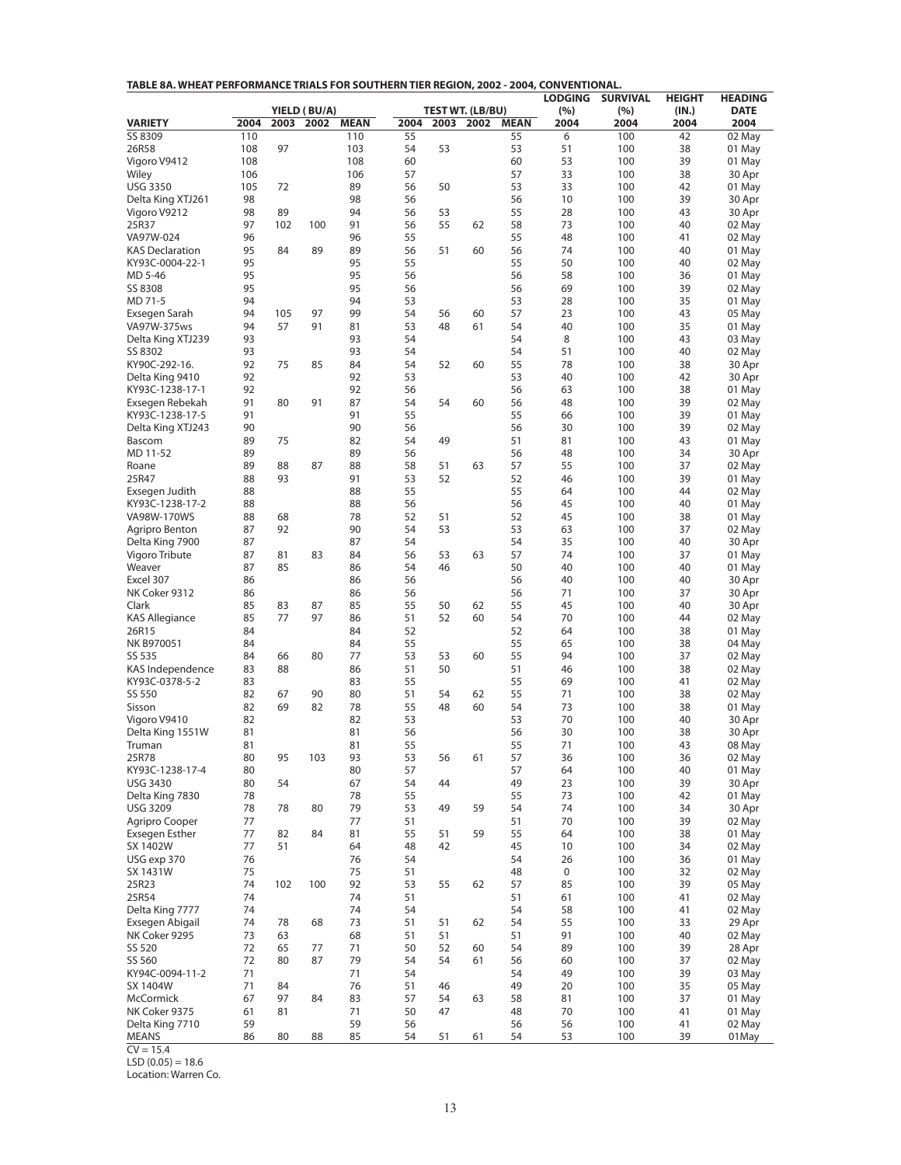|  |  |  |  | TABLE 8A. WHEAT PERFORMANCE TRIALS FOR SOUTHERN TIER REGION, 2002 - 2004, CONVENTIONAL. |
|--|--|--|--|-----------------------------------------------------------------------------------------|
|--|--|--|--|-----------------------------------------------------------------------------------------|

|                                    |          |           |                      |             |          |          |                                 |             | <b>LODGING</b> | <b>SURVIVAL</b> | <b>HEIGHT</b> | <b>HEADING</b>      |
|------------------------------------|----------|-----------|----------------------|-------------|----------|----------|---------------------------------|-------------|----------------|-----------------|---------------|---------------------|
| <b>VARIETY</b>                     | 2004     | 2003      | YIELD (BU/A)<br>2002 | <b>MEAN</b> | 2004     | 2003     | <b>TEST WT. (LB/BU)</b><br>2002 | <b>MEAN</b> | (%)<br>2004    | (%)<br>2004     | (IN.)<br>2004 | <b>DATE</b><br>2004 |
| SS 8309                            | 110      |           |                      | 110         | 55       |          |                                 | 55          | 6              | 100             | 42            | 02 May              |
| 26R58                              | 108      | 97        |                      | 103         | 54       | 53       |                                 | 53          | 51             | 100             | 38            | 01 May              |
| Vigoro V9412                       | 108      |           |                      | 108         | 60       |          |                                 | 60          | 53             | 100             | 39            | 01 May              |
| Wiley                              | 106      |           |                      | 106         | 57       |          |                                 | 57          | 33             | 100             | 38            | 30 Apr              |
| <b>USG 3350</b>                    | 105      | 72        |                      | 89          | 56       | 50       |                                 | 53          | 33             | 100             | 42            | 01 May              |
| Delta King XTJ261                  | 98       |           |                      | 98          | 56       |          |                                 | 56          | 10             | 100             | 39            | 30 Apr              |
| Vigoro V9212                       | 98<br>97 | 89<br>102 | 100                  | 94<br>91    | 56<br>56 | 53<br>55 | 62                              | 55<br>58    | 28<br>73       | 100<br>100      | 43<br>40      | 30 Apr              |
| 25R37<br>VA97W-024                 | 96       |           |                      | 96          | 55       |          |                                 | 55          | 48             | 100             | 41            | 02 May<br>02 May    |
| <b>KAS Declaration</b>             | 95       | 84        | 89                   | 89          | 56       | 51       | 60                              | 56          | 74             | 100             | 40            | 01 May              |
| KY93C-0004-22-1                    | 95       |           |                      | 95          | 55       |          |                                 | 55          | 50             | 100             | 40            | 02 May              |
| MD 5-46                            | 95       |           |                      | 95          | 56       |          |                                 | 56          | 58             | 100             | 36            | 01 May              |
| SS 8308                            | 95       |           |                      | 95          | 56       |          |                                 | 56          | 69             | 100             | 39            | 02 May              |
| MD 71-5                            | 94       |           |                      | 94          | 53       |          |                                 | 53          | 28             | 100             | 35            | 01 May              |
| Exsegen Sarah                      | 94       | 105       | 97                   | 99          | 54       | 56       | 60                              | 57          | 23             | 100             | 43            | 05 May              |
| VA97W-375ws<br>Delta King XTJ239   | 94<br>93 | 57        | 91                   | 81<br>93    | 53<br>54 | 48       | 61                              | 54<br>54    | 40<br>8        | 100<br>100      | 35<br>43      | 01 May<br>03 May    |
| SS 8302                            | 93       |           |                      | 93          | 54       |          |                                 | 54          | 51             | 100             | 40            | 02 May              |
| KY90C-292-16.                      | 92       | 75        | 85                   | 84          | 54       | 52       | 60                              | 55          | 78             | 100             | 38            | 30 Apr              |
| Delta King 9410                    | 92       |           |                      | 92          | 53       |          |                                 | 53          | 40             | 100             | 42            | 30 Apr              |
| KY93C-1238-17-1                    | 92       |           |                      | 92          | 56       |          |                                 | 56          | 63             | 100             | 38            | 01 May              |
| Exsegen Rebekah                    | 91       | 80        | 91                   | 87          | 54       | 54       | 60                              | 56          | 48             | 100             | 39            | 02 May              |
| KY93C-1238-17-5                    | 91       |           |                      | 91          | 55       |          |                                 | 55          | 66             | 100             | 39            | 01 May              |
| Delta King XTJ243                  | 90       |           |                      | 90          | 56       |          |                                 | 56          | 30             | 100             | 39            | 02 May              |
| Bascom<br>MD 11-52                 | 89<br>89 | 75        |                      | 82<br>89    | 54<br>56 | 49       |                                 | 51<br>56    | 81<br>48       | 100<br>100      | 43<br>34      | 01 May              |
| Roane                              | 89       | 88        | 87                   | 88          | 58       | 51       | 63                              | 57          | 55             | 100             | 37            | 30 Apr<br>02 May    |
| 25R47                              | 88       | 93        |                      | 91          | 53       | 52       |                                 | 52          | 46             | 100             | 39            | 01 May              |
| Exsegen Judith                     | 88       |           |                      | 88          | 55       |          |                                 | 55          | 64             | 100             | 44            | 02 May              |
| KY93C-1238-17-2                    | 88       |           |                      | 88          | 56       |          |                                 | 56          | 45             | 100             | 40            | 01 May              |
| VA98W-170WS                        | 88       | 68        |                      | 78          | 52       | 51       |                                 | 52          | 45             | 100             | 38            | 01 May              |
| Agripro Benton                     | 87       | 92        |                      | 90          | 54       | 53       |                                 | 53          | 63             | 100             | 37            | 02 May              |
| Delta King 7900                    | 87       |           |                      | 87          | 54       |          |                                 | 54          | 35             | 100             | 40            | 30 Apr              |
| Vigoro Tribute                     | 87       | 81        | 83                   | 84          | 56       | 53       | 63                              | 57          | 74             | 100             | 37            | 01 May              |
| Weaver<br>Excel 307                | 87<br>86 | 85        |                      | 86<br>86    | 54<br>56 | 46       |                                 | 50<br>56    | 40<br>40       | 100<br>100      | 40<br>40      | 01 May<br>30 Apr    |
| NK Coker 9312                      | 86       |           |                      | 86          | 56       |          |                                 | 56          | 71             | 100             | 37            | 30 Apr              |
| Clark                              | 85       | 83        | 87                   | 85          | 55       | 50       | 62                              | 55          | 45             | 100             | 40            | 30 Apr              |
| <b>KAS Allegiance</b>              | 85       | 77        | 97                   | 86          | 51       | 52       | 60                              | 54          | 70             | 100             | 44            | 02 May              |
| 26R15                              | 84       |           |                      | 84          | 52       |          |                                 | 52          | 64             | 100             | 38            | 01 May              |
| NK B970051                         | 84       |           |                      | 84          | 55       |          |                                 | 55          | 65             | 100             | 38            | 04 May              |
| SS 535                             | 84       | 66        | 80                   | 77          | 53       | 53       | 60                              | 55          | 94             | 100             | 37            | 02 May              |
| KAS Independence                   | 83       | 88        |                      | 86          | 51       | 50       |                                 | 51          | 46             | 100             | 38            | 02 May              |
| KY93C-0378-5-2<br>SS 550           | 83<br>82 | 67        | 90                   | 83<br>80    | 55<br>51 | 54       | 62                              | 55<br>55    | 69<br>71       | 100<br>100      | 41<br>38      | 02 May<br>02 May    |
| Sisson                             | 82       | 69        | 82                   | 78          | 55       | 48       | 60                              | 54          | 73             | 100             | 38            | 01 May              |
| Vigoro V9410                       | 82       |           |                      | 82          | 53       |          |                                 | 53          | 70             | 100             | 40            | 30 Apr              |
| Delta King 1551W                   | 81       |           |                      | 81          | 56       |          |                                 | 56          | 30             | 100             | 38            | 30 Apr              |
| Truman                             | 81       |           |                      | 81          | 55       |          |                                 | 55          | 71             | 100             | 43            | 08 May              |
| 25R78                              | 80       | 95        | 103                  | 93          | 53       | 56       | 61                              | 57          | 36             | 100             | 36            | 02 May              |
| KY93C-1238-17-4                    | 80       |           |                      | 80          | 57       |          |                                 | 57          | 64             | 100             | 40            | 01 May              |
| <b>USG 3430</b>                    | 80       | 54        |                      | 67          | 54       | 44       |                                 | 49          | 23             | 100             | 39            | 30 Apr              |
| Delta King 7830<br><b>USG 3209</b> | 78<br>78 | 78        | 80                   | 78<br>79    | 55<br>53 | 49       | 59                              | 55<br>54    | 73<br>74       | 100<br>100      | 42<br>34      | 01 May<br>30 Apr    |
| Agripro Cooper                     | 77       |           |                      | 77          | 51       |          |                                 | 51          | 70             | 100             | 39            | 02 May              |
| Exsegen Esther                     | 77       | 82        | 84                   | 81          | 55       | 51       | 59                              | 55          | 64             | 100             | 38            | 01 May              |
| SX 1402W                           | 77       | 51        |                      | 64          | 48       | 42       |                                 | 45          | 10             | 100             | 34            | 02 May              |
| USG exp 370                        | 76       |           |                      | 76          | 54       |          |                                 | 54          | 26             | 100             | 36            | 01 May              |
| SX 1431W                           | 75       |           |                      | 75          | 51       |          |                                 | 48          | 0              | 100             | 32            | 02 May              |
| 25R23                              | 74       | 102       | 100                  | 92          | 53       | 55       | 62                              | 57          | 85             | 100             | 39            | 05 May              |
| 25R54                              | 74       |           |                      | 74          | 51       |          |                                 | 51          | 61             | 100             | 41            | 02 May              |
| Delta King 7777                    | 74<br>74 | 78        | 68                   | 74<br>73    | 54<br>51 | 51       | 62                              | 54<br>54    | 58<br>55       | 100<br>100      | 41<br>33      | 02 May<br>29 Apr    |
| Exsegen Abigail<br>NK Coker 9295   | 73       | 63        |                      | 68          | 51       | 51       |                                 | 51          | 91             | 100             | 40            | 02 May              |
| SS 520                             | 72       | 65        | 77                   | 71          | 50       | 52       | 60                              | 54          | 89             | 100             | 39            | 28 Apr              |
| SS 560                             | 72       | 80        | 87                   | 79          | 54       | 54       | 61                              | 56          | 60             | 100             | 37            | 02 May              |
| KY94C-0094-11-2                    | 71       |           |                      | 71          | 54       |          |                                 | 54          | 49             | 100             | 39            | 03 May              |
| SX 1404W                           | 71       | 84        |                      | 76          | 51       | 46       |                                 | 49          | 20             | 100             | 35            | 05 May              |
| McCormick                          | 67       | 97        | 84                   | 83          | 57       | 54       | 63                              | 58          | 81             | 100             | 37            | 01 May              |
| NK Coker 9375                      | 61       | 81        |                      | 71          | 50       | 47       |                                 | 48          | 70             | 100             | 41            | 01 May              |
| Delta King 7710                    | 59       |           |                      | 59          | 56       |          |                                 | 56          | 56             | 100             | 41            | 02 May              |
| <b>MEANS</b>                       | 86       | 80        | 88                   | 85          | 54       | 51       | 61                              | 54          | 53             | 100             | 39            | 01May               |

 $CV = 15.4$ 

 $LSD (0.05) = 18.6$ 

Location: Warren Co.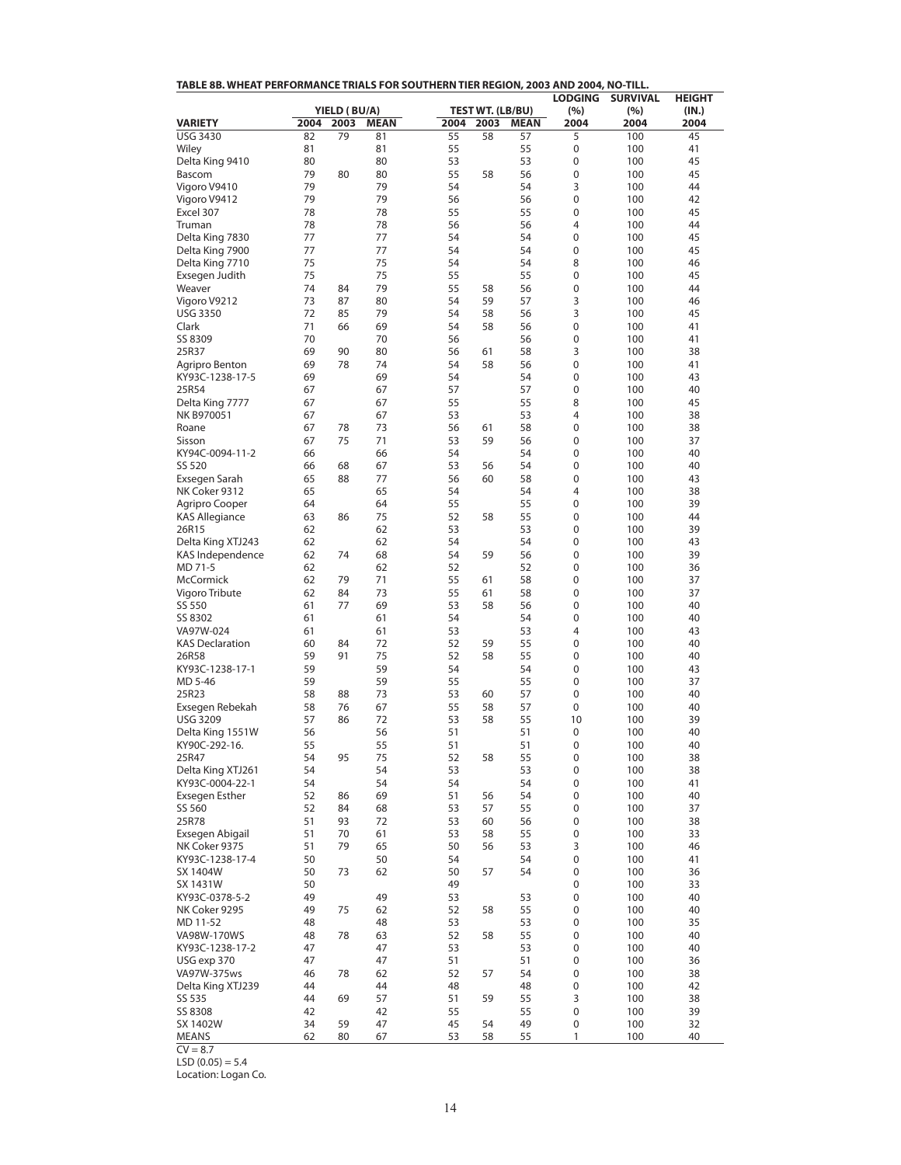| <b>LODGING</b><br><b>SURVIVAL</b><br><b>HEIGHT</b><br>YIELD (BU/A)<br><b>TEST WT. (LB/BU)</b><br>(%)<br>(%)<br>(IN.)<br>2004<br>2003<br><b>MEAN</b><br>2004<br><b>MEAN</b><br>2004<br><b>VARIETY</b><br>2003<br>2004<br>2004<br><b>USG 3430</b><br>79<br>55<br>58<br>100<br>45<br>82<br>81<br>57<br>5<br>0<br>Wiley<br>81<br>81<br>55<br>55<br>100<br>41<br>53<br>53<br>45<br>Delta King 9410<br>80<br>80<br>0<br>100<br>79<br>80<br>55<br>0<br>45<br>Bascom<br>80<br>58<br>56<br>100<br>79<br>79<br>54<br>54<br>3<br>44<br>Vigoro V9410<br>100<br>79<br>79<br>0<br>42<br>Vigoro V9412<br>56<br>56<br>100<br>0<br>Excel 307<br>78<br>78<br>55<br>55<br>100<br>45<br>78<br>78<br>56<br>56<br>4<br>44<br>Truman<br>100<br>0<br>Delta King 7830<br>77<br>77<br>54<br>54<br>100<br>45<br>Delta King 7900<br>77<br>77<br>0<br>45<br>54<br>54<br>100<br>8<br>Delta King 7710<br>75<br>75<br>54<br>54<br>100<br>46<br>75<br>75<br>55<br>55<br>0<br>45<br>Exsegen Judith<br>100<br>79<br>55<br>0<br>44<br>74<br>84<br>58<br>56<br>100<br>Weaver<br>59<br>3<br>Vigoro V9212<br>73<br>87<br>80<br>54<br>57<br>100<br>46<br>3<br><b>USG 3350</b><br>72<br>85<br>79<br>54<br>58<br>56<br>100<br>45<br>0<br>Clark<br>71<br>66<br>69<br>54<br>58<br>56<br>100<br>41<br>70<br>70<br>56<br>0<br>SS 8309<br>56<br>100<br>41<br>69<br>80<br>58<br>3<br>25R37<br>90<br>56<br>61<br>100<br>38<br>78<br>54<br>58<br>0<br>69<br>74<br>56<br>100<br>41<br>Agripro Benton<br>69<br>0<br>KY93C-1238-17-5<br>69<br>54<br>54<br>100<br>43<br>57<br>0<br>25R54<br>67<br>67<br>57<br>100<br>40<br>8<br>Delta King 7777<br>67<br>67<br>55<br>55<br>100<br>45<br>4<br>NK B970051<br>67<br>67<br>53<br>53<br>100<br>38<br>73<br>58<br>0<br>67<br>78<br>56<br>61<br>100<br>38<br>Roane<br>59<br>0<br>67<br>75<br>71<br>53<br>56<br>100<br>37<br>Sisson<br>0<br>KY94C-0094-11-2<br>66<br>66<br>54<br>54<br>100<br>40<br>SS 520<br>66<br>68<br>67<br>53<br>56<br>54<br>0<br>100<br>40<br>88<br>77<br>56<br>60<br>58<br>0<br>Exsegen Sarah<br>65<br>100<br>43<br>65<br>4<br>NK Coker 9312<br>65<br>54<br>54<br>100<br>38<br>0<br>39<br>64<br>64<br>55<br>55<br>100<br>Agripro Cooper<br>0<br><b>KAS Allegiance</b><br>63<br>86<br>75<br>52<br>58<br>55<br>100<br>44<br>62<br>0<br>26R15<br>62<br>53<br>53<br>100<br>39<br>62<br>54<br>0<br>Delta King XTJ243<br>62<br>54<br>100<br>43<br>68<br>59<br>KAS Independence<br>62<br>74<br>54<br>56<br>0<br>100<br>39<br>52<br>MD 71-5<br>62<br>62<br>52<br>0<br>100<br>36<br>McCormick<br>71<br>55<br>58<br>0<br>62<br>79<br>100<br>37<br>61<br>62<br>73<br>61<br>58<br>0<br>37<br>Vigoro Tribute<br>84<br>55<br>100<br>69<br>0<br>SS 550<br>61<br>77<br>53<br>58<br>56<br>100<br>40<br>0<br>SS 8302<br>61<br>61<br>54<br>54<br>100<br>40<br>53<br>4<br>VA97W-024<br>61<br>61<br>53<br>100<br>43<br>72<br>59<br>55<br>0<br><b>KAS Declaration</b><br>60<br>84<br>52<br>100<br>40<br>91<br>75<br>58<br>26R58<br>59<br>52<br>55<br>0<br>100<br>40<br>59<br>KY93C-1238-17-1<br>59<br>54<br>54<br>0<br>100<br>43<br>59<br>55<br>0<br>MD 5-46<br>59<br>55<br>100<br>37<br>25R23<br>88<br>58<br>73<br>53<br>60<br>57<br>0<br>100<br>40<br>0<br>Exsegen Rebekah<br>58<br>76<br>67<br>55<br>58<br>57<br>100<br>40<br>86<br>10<br>39<br><b>USG 3209</b><br>57<br>72<br>53<br>58<br>55<br>100<br>Delta King 1551W<br>56<br>56<br>51<br>51<br>0<br>100<br>40<br>51<br>0<br>40<br>KY90C-292-16.<br>55<br>55<br>51<br>100<br>75<br>0<br>25R47<br>54<br>95<br>52<br>58<br>55<br>100<br>38<br>54<br>53<br>53<br>Delta King XTJ261<br>54<br>0<br>100<br>38<br>54<br>KY93C-0004-22-1<br>54<br>54<br>54<br>0<br>100<br>41<br>52<br>69<br>51<br>0<br><b>Exsegen Esther</b><br>56<br>54<br>100<br>40<br>86<br>SS 560<br>52<br>84<br>68<br>53<br>57<br>55<br>0<br>100<br>37<br>0<br>25R78<br>51<br>93<br>72<br>53<br>60<br>56<br>100<br>38<br>53<br>0<br>33<br>Exsegen Abigail<br>51<br>70<br>61<br>58<br>55<br>100<br>79<br>65<br>50<br>3<br>NK Coker 9375<br>51<br>56<br>53<br>100<br>46<br>50<br>54<br>0<br>KY93C-1238-17-4<br>50<br>54<br>100<br>41<br>50<br>73<br>62<br>50<br>57<br>54<br>0<br>100<br>36<br>SX 1404W<br>50<br>49<br>0<br>33<br>SX 1431W<br>100<br>49<br>49<br>53<br>0<br>KY93C-0378-5-2<br>53<br>100<br>40<br>62<br>0<br>NK Coker 9295<br>49<br>75<br>52<br>58<br>55<br>100<br>40<br>48<br>48<br>53<br>53<br>0<br>100<br>35<br>MD 11-52<br>0<br>VA98W-170WS<br>48<br>78<br>63<br>52<br>58<br>55<br>100<br>40<br>47<br>53<br>53<br>0<br>KY93C-1238-17-2<br>47<br>100<br>40<br>47<br>USG exp 370<br>47<br>51<br>51<br>0<br>100<br>36<br>52<br>VA97W-375ws<br>46<br>78<br>62<br>57<br>54<br>0<br>100<br>38<br>48<br>48<br>0<br>Delta King XTJ239<br>44<br>44<br>100<br>42<br>57<br>59<br>3<br>38<br>SS 535<br>44<br>69<br>51<br>55<br>100<br>0<br>SS 8308<br>42<br>42<br>55<br>55<br>100<br>39 | TABLE 8B. WHEAT PERFORMANCE TRIALS FOR SOUTHERN TIER REGION, 2003 AND 2004, NO-TILL. |  |  |  |  |  |
|----------------------------------------------------------------------------------------------------------------------------------------------------------------------------------------------------------------------------------------------------------------------------------------------------------------------------------------------------------------------------------------------------------------------------------------------------------------------------------------------------------------------------------------------------------------------------------------------------------------------------------------------------------------------------------------------------------------------------------------------------------------------------------------------------------------------------------------------------------------------------------------------------------------------------------------------------------------------------------------------------------------------------------------------------------------------------------------------------------------------------------------------------------------------------------------------------------------------------------------------------------------------------------------------------------------------------------------------------------------------------------------------------------------------------------------------------------------------------------------------------------------------------------------------------------------------------------------------------------------------------------------------------------------------------------------------------------------------------------------------------------------------------------------------------------------------------------------------------------------------------------------------------------------------------------------------------------------------------------------------------------------------------------------------------------------------------------------------------------------------------------------------------------------------------------------------------------------------------------------------------------------------------------------------------------------------------------------------------------------------------------------------------------------------------------------------------------------------------------------------------------------------------------------------------------------------------------------------------------------------------------------------------------------------------------------------------------------------------------------------------------------------------------------------------------------------------------------------------------------------------------------------------------------------------------------------------------------------------------------------------------------------------------------------------------------------------------------------------------------------------------------------------------------------------------------------------------------------------------------------------------------------------------------------------------------------------------------------------------------------------------------------------------------------------------------------------------------------------------------------------------------------------------------------------------------------------------------------------------------------------------------------------------------------------------------------------------------------------------------------------------------------------------------------------------------------------------------------------------------------------------------------------------------------------------------------------------------------------------------------------------------------------------------------------------------------------------------------------------------------------------------------------------------------------------------------------------------------------------------------------------------------------------------------------------------------------------------------------------------------------------------------------------------------------------------------------------------------------------------------------------------------------------------------------------------------------------------------------------------------------------------------------------------------------------------------------------------------------------------------------------------------------------------------------|--------------------------------------------------------------------------------------|--|--|--|--|--|
|                                                                                                                                                                                                                                                                                                                                                                                                                                                                                                                                                                                                                                                                                                                                                                                                                                                                                                                                                                                                                                                                                                                                                                                                                                                                                                                                                                                                                                                                                                                                                                                                                                                                                                                                                                                                                                                                                                                                                                                                                                                                                                                                                                                                                                                                                                                                                                                                                                                                                                                                                                                                                                                                                                                                                                                                                                                                                                                                                                                                                                                                                                                                                                                                                                                                                                                                                                                                                                                                                                                                                                                                                                                                                                                                                                                                                                                                                                                                                                                                                                                                                                                                                                                                                                                                                                                                                                                                                                                                                                                                                                                                                                                                                                                                                                                                    |                                                                                      |  |  |  |  |  |
|                                                                                                                                                                                                                                                                                                                                                                                                                                                                                                                                                                                                                                                                                                                                                                                                                                                                                                                                                                                                                                                                                                                                                                                                                                                                                                                                                                                                                                                                                                                                                                                                                                                                                                                                                                                                                                                                                                                                                                                                                                                                                                                                                                                                                                                                                                                                                                                                                                                                                                                                                                                                                                                                                                                                                                                                                                                                                                                                                                                                                                                                                                                                                                                                                                                                                                                                                                                                                                                                                                                                                                                                                                                                                                                                                                                                                                                                                                                                                                                                                                                                                                                                                                                                                                                                                                                                                                                                                                                                                                                                                                                                                                                                                                                                                                                                    |                                                                                      |  |  |  |  |  |
|                                                                                                                                                                                                                                                                                                                                                                                                                                                                                                                                                                                                                                                                                                                                                                                                                                                                                                                                                                                                                                                                                                                                                                                                                                                                                                                                                                                                                                                                                                                                                                                                                                                                                                                                                                                                                                                                                                                                                                                                                                                                                                                                                                                                                                                                                                                                                                                                                                                                                                                                                                                                                                                                                                                                                                                                                                                                                                                                                                                                                                                                                                                                                                                                                                                                                                                                                                                                                                                                                                                                                                                                                                                                                                                                                                                                                                                                                                                                                                                                                                                                                                                                                                                                                                                                                                                                                                                                                                                                                                                                                                                                                                                                                                                                                                                                    |                                                                                      |  |  |  |  |  |
|                                                                                                                                                                                                                                                                                                                                                                                                                                                                                                                                                                                                                                                                                                                                                                                                                                                                                                                                                                                                                                                                                                                                                                                                                                                                                                                                                                                                                                                                                                                                                                                                                                                                                                                                                                                                                                                                                                                                                                                                                                                                                                                                                                                                                                                                                                                                                                                                                                                                                                                                                                                                                                                                                                                                                                                                                                                                                                                                                                                                                                                                                                                                                                                                                                                                                                                                                                                                                                                                                                                                                                                                                                                                                                                                                                                                                                                                                                                                                                                                                                                                                                                                                                                                                                                                                                                                                                                                                                                                                                                                                                                                                                                                                                                                                                                                    |                                                                                      |  |  |  |  |  |
|                                                                                                                                                                                                                                                                                                                                                                                                                                                                                                                                                                                                                                                                                                                                                                                                                                                                                                                                                                                                                                                                                                                                                                                                                                                                                                                                                                                                                                                                                                                                                                                                                                                                                                                                                                                                                                                                                                                                                                                                                                                                                                                                                                                                                                                                                                                                                                                                                                                                                                                                                                                                                                                                                                                                                                                                                                                                                                                                                                                                                                                                                                                                                                                                                                                                                                                                                                                                                                                                                                                                                                                                                                                                                                                                                                                                                                                                                                                                                                                                                                                                                                                                                                                                                                                                                                                                                                                                                                                                                                                                                                                                                                                                                                                                                                                                    |                                                                                      |  |  |  |  |  |
|                                                                                                                                                                                                                                                                                                                                                                                                                                                                                                                                                                                                                                                                                                                                                                                                                                                                                                                                                                                                                                                                                                                                                                                                                                                                                                                                                                                                                                                                                                                                                                                                                                                                                                                                                                                                                                                                                                                                                                                                                                                                                                                                                                                                                                                                                                                                                                                                                                                                                                                                                                                                                                                                                                                                                                                                                                                                                                                                                                                                                                                                                                                                                                                                                                                                                                                                                                                                                                                                                                                                                                                                                                                                                                                                                                                                                                                                                                                                                                                                                                                                                                                                                                                                                                                                                                                                                                                                                                                                                                                                                                                                                                                                                                                                                                                                    |                                                                                      |  |  |  |  |  |
|                                                                                                                                                                                                                                                                                                                                                                                                                                                                                                                                                                                                                                                                                                                                                                                                                                                                                                                                                                                                                                                                                                                                                                                                                                                                                                                                                                                                                                                                                                                                                                                                                                                                                                                                                                                                                                                                                                                                                                                                                                                                                                                                                                                                                                                                                                                                                                                                                                                                                                                                                                                                                                                                                                                                                                                                                                                                                                                                                                                                                                                                                                                                                                                                                                                                                                                                                                                                                                                                                                                                                                                                                                                                                                                                                                                                                                                                                                                                                                                                                                                                                                                                                                                                                                                                                                                                                                                                                                                                                                                                                                                                                                                                                                                                                                                                    |                                                                                      |  |  |  |  |  |
|                                                                                                                                                                                                                                                                                                                                                                                                                                                                                                                                                                                                                                                                                                                                                                                                                                                                                                                                                                                                                                                                                                                                                                                                                                                                                                                                                                                                                                                                                                                                                                                                                                                                                                                                                                                                                                                                                                                                                                                                                                                                                                                                                                                                                                                                                                                                                                                                                                                                                                                                                                                                                                                                                                                                                                                                                                                                                                                                                                                                                                                                                                                                                                                                                                                                                                                                                                                                                                                                                                                                                                                                                                                                                                                                                                                                                                                                                                                                                                                                                                                                                                                                                                                                                                                                                                                                                                                                                                                                                                                                                                                                                                                                                                                                                                                                    |                                                                                      |  |  |  |  |  |
|                                                                                                                                                                                                                                                                                                                                                                                                                                                                                                                                                                                                                                                                                                                                                                                                                                                                                                                                                                                                                                                                                                                                                                                                                                                                                                                                                                                                                                                                                                                                                                                                                                                                                                                                                                                                                                                                                                                                                                                                                                                                                                                                                                                                                                                                                                                                                                                                                                                                                                                                                                                                                                                                                                                                                                                                                                                                                                                                                                                                                                                                                                                                                                                                                                                                                                                                                                                                                                                                                                                                                                                                                                                                                                                                                                                                                                                                                                                                                                                                                                                                                                                                                                                                                                                                                                                                                                                                                                                                                                                                                                                                                                                                                                                                                                                                    |                                                                                      |  |  |  |  |  |
|                                                                                                                                                                                                                                                                                                                                                                                                                                                                                                                                                                                                                                                                                                                                                                                                                                                                                                                                                                                                                                                                                                                                                                                                                                                                                                                                                                                                                                                                                                                                                                                                                                                                                                                                                                                                                                                                                                                                                                                                                                                                                                                                                                                                                                                                                                                                                                                                                                                                                                                                                                                                                                                                                                                                                                                                                                                                                                                                                                                                                                                                                                                                                                                                                                                                                                                                                                                                                                                                                                                                                                                                                                                                                                                                                                                                                                                                                                                                                                                                                                                                                                                                                                                                                                                                                                                                                                                                                                                                                                                                                                                                                                                                                                                                                                                                    |                                                                                      |  |  |  |  |  |
|                                                                                                                                                                                                                                                                                                                                                                                                                                                                                                                                                                                                                                                                                                                                                                                                                                                                                                                                                                                                                                                                                                                                                                                                                                                                                                                                                                                                                                                                                                                                                                                                                                                                                                                                                                                                                                                                                                                                                                                                                                                                                                                                                                                                                                                                                                                                                                                                                                                                                                                                                                                                                                                                                                                                                                                                                                                                                                                                                                                                                                                                                                                                                                                                                                                                                                                                                                                                                                                                                                                                                                                                                                                                                                                                                                                                                                                                                                                                                                                                                                                                                                                                                                                                                                                                                                                                                                                                                                                                                                                                                                                                                                                                                                                                                                                                    |                                                                                      |  |  |  |  |  |
|                                                                                                                                                                                                                                                                                                                                                                                                                                                                                                                                                                                                                                                                                                                                                                                                                                                                                                                                                                                                                                                                                                                                                                                                                                                                                                                                                                                                                                                                                                                                                                                                                                                                                                                                                                                                                                                                                                                                                                                                                                                                                                                                                                                                                                                                                                                                                                                                                                                                                                                                                                                                                                                                                                                                                                                                                                                                                                                                                                                                                                                                                                                                                                                                                                                                                                                                                                                                                                                                                                                                                                                                                                                                                                                                                                                                                                                                                                                                                                                                                                                                                                                                                                                                                                                                                                                                                                                                                                                                                                                                                                                                                                                                                                                                                                                                    |                                                                                      |  |  |  |  |  |
|                                                                                                                                                                                                                                                                                                                                                                                                                                                                                                                                                                                                                                                                                                                                                                                                                                                                                                                                                                                                                                                                                                                                                                                                                                                                                                                                                                                                                                                                                                                                                                                                                                                                                                                                                                                                                                                                                                                                                                                                                                                                                                                                                                                                                                                                                                                                                                                                                                                                                                                                                                                                                                                                                                                                                                                                                                                                                                                                                                                                                                                                                                                                                                                                                                                                                                                                                                                                                                                                                                                                                                                                                                                                                                                                                                                                                                                                                                                                                                                                                                                                                                                                                                                                                                                                                                                                                                                                                                                                                                                                                                                                                                                                                                                                                                                                    |                                                                                      |  |  |  |  |  |
|                                                                                                                                                                                                                                                                                                                                                                                                                                                                                                                                                                                                                                                                                                                                                                                                                                                                                                                                                                                                                                                                                                                                                                                                                                                                                                                                                                                                                                                                                                                                                                                                                                                                                                                                                                                                                                                                                                                                                                                                                                                                                                                                                                                                                                                                                                                                                                                                                                                                                                                                                                                                                                                                                                                                                                                                                                                                                                                                                                                                                                                                                                                                                                                                                                                                                                                                                                                                                                                                                                                                                                                                                                                                                                                                                                                                                                                                                                                                                                                                                                                                                                                                                                                                                                                                                                                                                                                                                                                                                                                                                                                                                                                                                                                                                                                                    |                                                                                      |  |  |  |  |  |
|                                                                                                                                                                                                                                                                                                                                                                                                                                                                                                                                                                                                                                                                                                                                                                                                                                                                                                                                                                                                                                                                                                                                                                                                                                                                                                                                                                                                                                                                                                                                                                                                                                                                                                                                                                                                                                                                                                                                                                                                                                                                                                                                                                                                                                                                                                                                                                                                                                                                                                                                                                                                                                                                                                                                                                                                                                                                                                                                                                                                                                                                                                                                                                                                                                                                                                                                                                                                                                                                                                                                                                                                                                                                                                                                                                                                                                                                                                                                                                                                                                                                                                                                                                                                                                                                                                                                                                                                                                                                                                                                                                                                                                                                                                                                                                                                    |                                                                                      |  |  |  |  |  |
|                                                                                                                                                                                                                                                                                                                                                                                                                                                                                                                                                                                                                                                                                                                                                                                                                                                                                                                                                                                                                                                                                                                                                                                                                                                                                                                                                                                                                                                                                                                                                                                                                                                                                                                                                                                                                                                                                                                                                                                                                                                                                                                                                                                                                                                                                                                                                                                                                                                                                                                                                                                                                                                                                                                                                                                                                                                                                                                                                                                                                                                                                                                                                                                                                                                                                                                                                                                                                                                                                                                                                                                                                                                                                                                                                                                                                                                                                                                                                                                                                                                                                                                                                                                                                                                                                                                                                                                                                                                                                                                                                                                                                                                                                                                                                                                                    |                                                                                      |  |  |  |  |  |
|                                                                                                                                                                                                                                                                                                                                                                                                                                                                                                                                                                                                                                                                                                                                                                                                                                                                                                                                                                                                                                                                                                                                                                                                                                                                                                                                                                                                                                                                                                                                                                                                                                                                                                                                                                                                                                                                                                                                                                                                                                                                                                                                                                                                                                                                                                                                                                                                                                                                                                                                                                                                                                                                                                                                                                                                                                                                                                                                                                                                                                                                                                                                                                                                                                                                                                                                                                                                                                                                                                                                                                                                                                                                                                                                                                                                                                                                                                                                                                                                                                                                                                                                                                                                                                                                                                                                                                                                                                                                                                                                                                                                                                                                                                                                                                                                    |                                                                                      |  |  |  |  |  |
|                                                                                                                                                                                                                                                                                                                                                                                                                                                                                                                                                                                                                                                                                                                                                                                                                                                                                                                                                                                                                                                                                                                                                                                                                                                                                                                                                                                                                                                                                                                                                                                                                                                                                                                                                                                                                                                                                                                                                                                                                                                                                                                                                                                                                                                                                                                                                                                                                                                                                                                                                                                                                                                                                                                                                                                                                                                                                                                                                                                                                                                                                                                                                                                                                                                                                                                                                                                                                                                                                                                                                                                                                                                                                                                                                                                                                                                                                                                                                                                                                                                                                                                                                                                                                                                                                                                                                                                                                                                                                                                                                                                                                                                                                                                                                                                                    |                                                                                      |  |  |  |  |  |
|                                                                                                                                                                                                                                                                                                                                                                                                                                                                                                                                                                                                                                                                                                                                                                                                                                                                                                                                                                                                                                                                                                                                                                                                                                                                                                                                                                                                                                                                                                                                                                                                                                                                                                                                                                                                                                                                                                                                                                                                                                                                                                                                                                                                                                                                                                                                                                                                                                                                                                                                                                                                                                                                                                                                                                                                                                                                                                                                                                                                                                                                                                                                                                                                                                                                                                                                                                                                                                                                                                                                                                                                                                                                                                                                                                                                                                                                                                                                                                                                                                                                                                                                                                                                                                                                                                                                                                                                                                                                                                                                                                                                                                                                                                                                                                                                    |                                                                                      |  |  |  |  |  |
|                                                                                                                                                                                                                                                                                                                                                                                                                                                                                                                                                                                                                                                                                                                                                                                                                                                                                                                                                                                                                                                                                                                                                                                                                                                                                                                                                                                                                                                                                                                                                                                                                                                                                                                                                                                                                                                                                                                                                                                                                                                                                                                                                                                                                                                                                                                                                                                                                                                                                                                                                                                                                                                                                                                                                                                                                                                                                                                                                                                                                                                                                                                                                                                                                                                                                                                                                                                                                                                                                                                                                                                                                                                                                                                                                                                                                                                                                                                                                                                                                                                                                                                                                                                                                                                                                                                                                                                                                                                                                                                                                                                                                                                                                                                                                                                                    |                                                                                      |  |  |  |  |  |
|                                                                                                                                                                                                                                                                                                                                                                                                                                                                                                                                                                                                                                                                                                                                                                                                                                                                                                                                                                                                                                                                                                                                                                                                                                                                                                                                                                                                                                                                                                                                                                                                                                                                                                                                                                                                                                                                                                                                                                                                                                                                                                                                                                                                                                                                                                                                                                                                                                                                                                                                                                                                                                                                                                                                                                                                                                                                                                                                                                                                                                                                                                                                                                                                                                                                                                                                                                                                                                                                                                                                                                                                                                                                                                                                                                                                                                                                                                                                                                                                                                                                                                                                                                                                                                                                                                                                                                                                                                                                                                                                                                                                                                                                                                                                                                                                    |                                                                                      |  |  |  |  |  |
|                                                                                                                                                                                                                                                                                                                                                                                                                                                                                                                                                                                                                                                                                                                                                                                                                                                                                                                                                                                                                                                                                                                                                                                                                                                                                                                                                                                                                                                                                                                                                                                                                                                                                                                                                                                                                                                                                                                                                                                                                                                                                                                                                                                                                                                                                                                                                                                                                                                                                                                                                                                                                                                                                                                                                                                                                                                                                                                                                                                                                                                                                                                                                                                                                                                                                                                                                                                                                                                                                                                                                                                                                                                                                                                                                                                                                                                                                                                                                                                                                                                                                                                                                                                                                                                                                                                                                                                                                                                                                                                                                                                                                                                                                                                                                                                                    |                                                                                      |  |  |  |  |  |
|                                                                                                                                                                                                                                                                                                                                                                                                                                                                                                                                                                                                                                                                                                                                                                                                                                                                                                                                                                                                                                                                                                                                                                                                                                                                                                                                                                                                                                                                                                                                                                                                                                                                                                                                                                                                                                                                                                                                                                                                                                                                                                                                                                                                                                                                                                                                                                                                                                                                                                                                                                                                                                                                                                                                                                                                                                                                                                                                                                                                                                                                                                                                                                                                                                                                                                                                                                                                                                                                                                                                                                                                                                                                                                                                                                                                                                                                                                                                                                                                                                                                                                                                                                                                                                                                                                                                                                                                                                                                                                                                                                                                                                                                                                                                                                                                    |                                                                                      |  |  |  |  |  |
|                                                                                                                                                                                                                                                                                                                                                                                                                                                                                                                                                                                                                                                                                                                                                                                                                                                                                                                                                                                                                                                                                                                                                                                                                                                                                                                                                                                                                                                                                                                                                                                                                                                                                                                                                                                                                                                                                                                                                                                                                                                                                                                                                                                                                                                                                                                                                                                                                                                                                                                                                                                                                                                                                                                                                                                                                                                                                                                                                                                                                                                                                                                                                                                                                                                                                                                                                                                                                                                                                                                                                                                                                                                                                                                                                                                                                                                                                                                                                                                                                                                                                                                                                                                                                                                                                                                                                                                                                                                                                                                                                                                                                                                                                                                                                                                                    |                                                                                      |  |  |  |  |  |
|                                                                                                                                                                                                                                                                                                                                                                                                                                                                                                                                                                                                                                                                                                                                                                                                                                                                                                                                                                                                                                                                                                                                                                                                                                                                                                                                                                                                                                                                                                                                                                                                                                                                                                                                                                                                                                                                                                                                                                                                                                                                                                                                                                                                                                                                                                                                                                                                                                                                                                                                                                                                                                                                                                                                                                                                                                                                                                                                                                                                                                                                                                                                                                                                                                                                                                                                                                                                                                                                                                                                                                                                                                                                                                                                                                                                                                                                                                                                                                                                                                                                                                                                                                                                                                                                                                                                                                                                                                                                                                                                                                                                                                                                                                                                                                                                    |                                                                                      |  |  |  |  |  |
|                                                                                                                                                                                                                                                                                                                                                                                                                                                                                                                                                                                                                                                                                                                                                                                                                                                                                                                                                                                                                                                                                                                                                                                                                                                                                                                                                                                                                                                                                                                                                                                                                                                                                                                                                                                                                                                                                                                                                                                                                                                                                                                                                                                                                                                                                                                                                                                                                                                                                                                                                                                                                                                                                                                                                                                                                                                                                                                                                                                                                                                                                                                                                                                                                                                                                                                                                                                                                                                                                                                                                                                                                                                                                                                                                                                                                                                                                                                                                                                                                                                                                                                                                                                                                                                                                                                                                                                                                                                                                                                                                                                                                                                                                                                                                                                                    |                                                                                      |  |  |  |  |  |
|                                                                                                                                                                                                                                                                                                                                                                                                                                                                                                                                                                                                                                                                                                                                                                                                                                                                                                                                                                                                                                                                                                                                                                                                                                                                                                                                                                                                                                                                                                                                                                                                                                                                                                                                                                                                                                                                                                                                                                                                                                                                                                                                                                                                                                                                                                                                                                                                                                                                                                                                                                                                                                                                                                                                                                                                                                                                                                                                                                                                                                                                                                                                                                                                                                                                                                                                                                                                                                                                                                                                                                                                                                                                                                                                                                                                                                                                                                                                                                                                                                                                                                                                                                                                                                                                                                                                                                                                                                                                                                                                                                                                                                                                                                                                                                                                    |                                                                                      |  |  |  |  |  |
|                                                                                                                                                                                                                                                                                                                                                                                                                                                                                                                                                                                                                                                                                                                                                                                                                                                                                                                                                                                                                                                                                                                                                                                                                                                                                                                                                                                                                                                                                                                                                                                                                                                                                                                                                                                                                                                                                                                                                                                                                                                                                                                                                                                                                                                                                                                                                                                                                                                                                                                                                                                                                                                                                                                                                                                                                                                                                                                                                                                                                                                                                                                                                                                                                                                                                                                                                                                                                                                                                                                                                                                                                                                                                                                                                                                                                                                                                                                                                                                                                                                                                                                                                                                                                                                                                                                                                                                                                                                                                                                                                                                                                                                                                                                                                                                                    |                                                                                      |  |  |  |  |  |
|                                                                                                                                                                                                                                                                                                                                                                                                                                                                                                                                                                                                                                                                                                                                                                                                                                                                                                                                                                                                                                                                                                                                                                                                                                                                                                                                                                                                                                                                                                                                                                                                                                                                                                                                                                                                                                                                                                                                                                                                                                                                                                                                                                                                                                                                                                                                                                                                                                                                                                                                                                                                                                                                                                                                                                                                                                                                                                                                                                                                                                                                                                                                                                                                                                                                                                                                                                                                                                                                                                                                                                                                                                                                                                                                                                                                                                                                                                                                                                                                                                                                                                                                                                                                                                                                                                                                                                                                                                                                                                                                                                                                                                                                                                                                                                                                    |                                                                                      |  |  |  |  |  |
|                                                                                                                                                                                                                                                                                                                                                                                                                                                                                                                                                                                                                                                                                                                                                                                                                                                                                                                                                                                                                                                                                                                                                                                                                                                                                                                                                                                                                                                                                                                                                                                                                                                                                                                                                                                                                                                                                                                                                                                                                                                                                                                                                                                                                                                                                                                                                                                                                                                                                                                                                                                                                                                                                                                                                                                                                                                                                                                                                                                                                                                                                                                                                                                                                                                                                                                                                                                                                                                                                                                                                                                                                                                                                                                                                                                                                                                                                                                                                                                                                                                                                                                                                                                                                                                                                                                                                                                                                                                                                                                                                                                                                                                                                                                                                                                                    |                                                                                      |  |  |  |  |  |
|                                                                                                                                                                                                                                                                                                                                                                                                                                                                                                                                                                                                                                                                                                                                                                                                                                                                                                                                                                                                                                                                                                                                                                                                                                                                                                                                                                                                                                                                                                                                                                                                                                                                                                                                                                                                                                                                                                                                                                                                                                                                                                                                                                                                                                                                                                                                                                                                                                                                                                                                                                                                                                                                                                                                                                                                                                                                                                                                                                                                                                                                                                                                                                                                                                                                                                                                                                                                                                                                                                                                                                                                                                                                                                                                                                                                                                                                                                                                                                                                                                                                                                                                                                                                                                                                                                                                                                                                                                                                                                                                                                                                                                                                                                                                                                                                    |                                                                                      |  |  |  |  |  |
|                                                                                                                                                                                                                                                                                                                                                                                                                                                                                                                                                                                                                                                                                                                                                                                                                                                                                                                                                                                                                                                                                                                                                                                                                                                                                                                                                                                                                                                                                                                                                                                                                                                                                                                                                                                                                                                                                                                                                                                                                                                                                                                                                                                                                                                                                                                                                                                                                                                                                                                                                                                                                                                                                                                                                                                                                                                                                                                                                                                                                                                                                                                                                                                                                                                                                                                                                                                                                                                                                                                                                                                                                                                                                                                                                                                                                                                                                                                                                                                                                                                                                                                                                                                                                                                                                                                                                                                                                                                                                                                                                                                                                                                                                                                                                                                                    |                                                                                      |  |  |  |  |  |
|                                                                                                                                                                                                                                                                                                                                                                                                                                                                                                                                                                                                                                                                                                                                                                                                                                                                                                                                                                                                                                                                                                                                                                                                                                                                                                                                                                                                                                                                                                                                                                                                                                                                                                                                                                                                                                                                                                                                                                                                                                                                                                                                                                                                                                                                                                                                                                                                                                                                                                                                                                                                                                                                                                                                                                                                                                                                                                                                                                                                                                                                                                                                                                                                                                                                                                                                                                                                                                                                                                                                                                                                                                                                                                                                                                                                                                                                                                                                                                                                                                                                                                                                                                                                                                                                                                                                                                                                                                                                                                                                                                                                                                                                                                                                                                                                    |                                                                                      |  |  |  |  |  |
|                                                                                                                                                                                                                                                                                                                                                                                                                                                                                                                                                                                                                                                                                                                                                                                                                                                                                                                                                                                                                                                                                                                                                                                                                                                                                                                                                                                                                                                                                                                                                                                                                                                                                                                                                                                                                                                                                                                                                                                                                                                                                                                                                                                                                                                                                                                                                                                                                                                                                                                                                                                                                                                                                                                                                                                                                                                                                                                                                                                                                                                                                                                                                                                                                                                                                                                                                                                                                                                                                                                                                                                                                                                                                                                                                                                                                                                                                                                                                                                                                                                                                                                                                                                                                                                                                                                                                                                                                                                                                                                                                                                                                                                                                                                                                                                                    |                                                                                      |  |  |  |  |  |
|                                                                                                                                                                                                                                                                                                                                                                                                                                                                                                                                                                                                                                                                                                                                                                                                                                                                                                                                                                                                                                                                                                                                                                                                                                                                                                                                                                                                                                                                                                                                                                                                                                                                                                                                                                                                                                                                                                                                                                                                                                                                                                                                                                                                                                                                                                                                                                                                                                                                                                                                                                                                                                                                                                                                                                                                                                                                                                                                                                                                                                                                                                                                                                                                                                                                                                                                                                                                                                                                                                                                                                                                                                                                                                                                                                                                                                                                                                                                                                                                                                                                                                                                                                                                                                                                                                                                                                                                                                                                                                                                                                                                                                                                                                                                                                                                    |                                                                                      |  |  |  |  |  |
|                                                                                                                                                                                                                                                                                                                                                                                                                                                                                                                                                                                                                                                                                                                                                                                                                                                                                                                                                                                                                                                                                                                                                                                                                                                                                                                                                                                                                                                                                                                                                                                                                                                                                                                                                                                                                                                                                                                                                                                                                                                                                                                                                                                                                                                                                                                                                                                                                                                                                                                                                                                                                                                                                                                                                                                                                                                                                                                                                                                                                                                                                                                                                                                                                                                                                                                                                                                                                                                                                                                                                                                                                                                                                                                                                                                                                                                                                                                                                                                                                                                                                                                                                                                                                                                                                                                                                                                                                                                                                                                                                                                                                                                                                                                                                                                                    |                                                                                      |  |  |  |  |  |
|                                                                                                                                                                                                                                                                                                                                                                                                                                                                                                                                                                                                                                                                                                                                                                                                                                                                                                                                                                                                                                                                                                                                                                                                                                                                                                                                                                                                                                                                                                                                                                                                                                                                                                                                                                                                                                                                                                                                                                                                                                                                                                                                                                                                                                                                                                                                                                                                                                                                                                                                                                                                                                                                                                                                                                                                                                                                                                                                                                                                                                                                                                                                                                                                                                                                                                                                                                                                                                                                                                                                                                                                                                                                                                                                                                                                                                                                                                                                                                                                                                                                                                                                                                                                                                                                                                                                                                                                                                                                                                                                                                                                                                                                                                                                                                                                    |                                                                                      |  |  |  |  |  |
|                                                                                                                                                                                                                                                                                                                                                                                                                                                                                                                                                                                                                                                                                                                                                                                                                                                                                                                                                                                                                                                                                                                                                                                                                                                                                                                                                                                                                                                                                                                                                                                                                                                                                                                                                                                                                                                                                                                                                                                                                                                                                                                                                                                                                                                                                                                                                                                                                                                                                                                                                                                                                                                                                                                                                                                                                                                                                                                                                                                                                                                                                                                                                                                                                                                                                                                                                                                                                                                                                                                                                                                                                                                                                                                                                                                                                                                                                                                                                                                                                                                                                                                                                                                                                                                                                                                                                                                                                                                                                                                                                                                                                                                                                                                                                                                                    |                                                                                      |  |  |  |  |  |
|                                                                                                                                                                                                                                                                                                                                                                                                                                                                                                                                                                                                                                                                                                                                                                                                                                                                                                                                                                                                                                                                                                                                                                                                                                                                                                                                                                                                                                                                                                                                                                                                                                                                                                                                                                                                                                                                                                                                                                                                                                                                                                                                                                                                                                                                                                                                                                                                                                                                                                                                                                                                                                                                                                                                                                                                                                                                                                                                                                                                                                                                                                                                                                                                                                                                                                                                                                                                                                                                                                                                                                                                                                                                                                                                                                                                                                                                                                                                                                                                                                                                                                                                                                                                                                                                                                                                                                                                                                                                                                                                                                                                                                                                                                                                                                                                    |                                                                                      |  |  |  |  |  |
|                                                                                                                                                                                                                                                                                                                                                                                                                                                                                                                                                                                                                                                                                                                                                                                                                                                                                                                                                                                                                                                                                                                                                                                                                                                                                                                                                                                                                                                                                                                                                                                                                                                                                                                                                                                                                                                                                                                                                                                                                                                                                                                                                                                                                                                                                                                                                                                                                                                                                                                                                                                                                                                                                                                                                                                                                                                                                                                                                                                                                                                                                                                                                                                                                                                                                                                                                                                                                                                                                                                                                                                                                                                                                                                                                                                                                                                                                                                                                                                                                                                                                                                                                                                                                                                                                                                                                                                                                                                                                                                                                                                                                                                                                                                                                                                                    |                                                                                      |  |  |  |  |  |
|                                                                                                                                                                                                                                                                                                                                                                                                                                                                                                                                                                                                                                                                                                                                                                                                                                                                                                                                                                                                                                                                                                                                                                                                                                                                                                                                                                                                                                                                                                                                                                                                                                                                                                                                                                                                                                                                                                                                                                                                                                                                                                                                                                                                                                                                                                                                                                                                                                                                                                                                                                                                                                                                                                                                                                                                                                                                                                                                                                                                                                                                                                                                                                                                                                                                                                                                                                                                                                                                                                                                                                                                                                                                                                                                                                                                                                                                                                                                                                                                                                                                                                                                                                                                                                                                                                                                                                                                                                                                                                                                                                                                                                                                                                                                                                                                    |                                                                                      |  |  |  |  |  |
|                                                                                                                                                                                                                                                                                                                                                                                                                                                                                                                                                                                                                                                                                                                                                                                                                                                                                                                                                                                                                                                                                                                                                                                                                                                                                                                                                                                                                                                                                                                                                                                                                                                                                                                                                                                                                                                                                                                                                                                                                                                                                                                                                                                                                                                                                                                                                                                                                                                                                                                                                                                                                                                                                                                                                                                                                                                                                                                                                                                                                                                                                                                                                                                                                                                                                                                                                                                                                                                                                                                                                                                                                                                                                                                                                                                                                                                                                                                                                                                                                                                                                                                                                                                                                                                                                                                                                                                                                                                                                                                                                                                                                                                                                                                                                                                                    |                                                                                      |  |  |  |  |  |
|                                                                                                                                                                                                                                                                                                                                                                                                                                                                                                                                                                                                                                                                                                                                                                                                                                                                                                                                                                                                                                                                                                                                                                                                                                                                                                                                                                                                                                                                                                                                                                                                                                                                                                                                                                                                                                                                                                                                                                                                                                                                                                                                                                                                                                                                                                                                                                                                                                                                                                                                                                                                                                                                                                                                                                                                                                                                                                                                                                                                                                                                                                                                                                                                                                                                                                                                                                                                                                                                                                                                                                                                                                                                                                                                                                                                                                                                                                                                                                                                                                                                                                                                                                                                                                                                                                                                                                                                                                                                                                                                                                                                                                                                                                                                                                                                    |                                                                                      |  |  |  |  |  |
|                                                                                                                                                                                                                                                                                                                                                                                                                                                                                                                                                                                                                                                                                                                                                                                                                                                                                                                                                                                                                                                                                                                                                                                                                                                                                                                                                                                                                                                                                                                                                                                                                                                                                                                                                                                                                                                                                                                                                                                                                                                                                                                                                                                                                                                                                                                                                                                                                                                                                                                                                                                                                                                                                                                                                                                                                                                                                                                                                                                                                                                                                                                                                                                                                                                                                                                                                                                                                                                                                                                                                                                                                                                                                                                                                                                                                                                                                                                                                                                                                                                                                                                                                                                                                                                                                                                                                                                                                                                                                                                                                                                                                                                                                                                                                                                                    |                                                                                      |  |  |  |  |  |
|                                                                                                                                                                                                                                                                                                                                                                                                                                                                                                                                                                                                                                                                                                                                                                                                                                                                                                                                                                                                                                                                                                                                                                                                                                                                                                                                                                                                                                                                                                                                                                                                                                                                                                                                                                                                                                                                                                                                                                                                                                                                                                                                                                                                                                                                                                                                                                                                                                                                                                                                                                                                                                                                                                                                                                                                                                                                                                                                                                                                                                                                                                                                                                                                                                                                                                                                                                                                                                                                                                                                                                                                                                                                                                                                                                                                                                                                                                                                                                                                                                                                                                                                                                                                                                                                                                                                                                                                                                                                                                                                                                                                                                                                                                                                                                                                    |                                                                                      |  |  |  |  |  |
|                                                                                                                                                                                                                                                                                                                                                                                                                                                                                                                                                                                                                                                                                                                                                                                                                                                                                                                                                                                                                                                                                                                                                                                                                                                                                                                                                                                                                                                                                                                                                                                                                                                                                                                                                                                                                                                                                                                                                                                                                                                                                                                                                                                                                                                                                                                                                                                                                                                                                                                                                                                                                                                                                                                                                                                                                                                                                                                                                                                                                                                                                                                                                                                                                                                                                                                                                                                                                                                                                                                                                                                                                                                                                                                                                                                                                                                                                                                                                                                                                                                                                                                                                                                                                                                                                                                                                                                                                                                                                                                                                                                                                                                                                                                                                                                                    |                                                                                      |  |  |  |  |  |
|                                                                                                                                                                                                                                                                                                                                                                                                                                                                                                                                                                                                                                                                                                                                                                                                                                                                                                                                                                                                                                                                                                                                                                                                                                                                                                                                                                                                                                                                                                                                                                                                                                                                                                                                                                                                                                                                                                                                                                                                                                                                                                                                                                                                                                                                                                                                                                                                                                                                                                                                                                                                                                                                                                                                                                                                                                                                                                                                                                                                                                                                                                                                                                                                                                                                                                                                                                                                                                                                                                                                                                                                                                                                                                                                                                                                                                                                                                                                                                                                                                                                                                                                                                                                                                                                                                                                                                                                                                                                                                                                                                                                                                                                                                                                                                                                    |                                                                                      |  |  |  |  |  |
|                                                                                                                                                                                                                                                                                                                                                                                                                                                                                                                                                                                                                                                                                                                                                                                                                                                                                                                                                                                                                                                                                                                                                                                                                                                                                                                                                                                                                                                                                                                                                                                                                                                                                                                                                                                                                                                                                                                                                                                                                                                                                                                                                                                                                                                                                                                                                                                                                                                                                                                                                                                                                                                                                                                                                                                                                                                                                                                                                                                                                                                                                                                                                                                                                                                                                                                                                                                                                                                                                                                                                                                                                                                                                                                                                                                                                                                                                                                                                                                                                                                                                                                                                                                                                                                                                                                                                                                                                                                                                                                                                                                                                                                                                                                                                                                                    |                                                                                      |  |  |  |  |  |
|                                                                                                                                                                                                                                                                                                                                                                                                                                                                                                                                                                                                                                                                                                                                                                                                                                                                                                                                                                                                                                                                                                                                                                                                                                                                                                                                                                                                                                                                                                                                                                                                                                                                                                                                                                                                                                                                                                                                                                                                                                                                                                                                                                                                                                                                                                                                                                                                                                                                                                                                                                                                                                                                                                                                                                                                                                                                                                                                                                                                                                                                                                                                                                                                                                                                                                                                                                                                                                                                                                                                                                                                                                                                                                                                                                                                                                                                                                                                                                                                                                                                                                                                                                                                                                                                                                                                                                                                                                                                                                                                                                                                                                                                                                                                                                                                    |                                                                                      |  |  |  |  |  |
|                                                                                                                                                                                                                                                                                                                                                                                                                                                                                                                                                                                                                                                                                                                                                                                                                                                                                                                                                                                                                                                                                                                                                                                                                                                                                                                                                                                                                                                                                                                                                                                                                                                                                                                                                                                                                                                                                                                                                                                                                                                                                                                                                                                                                                                                                                                                                                                                                                                                                                                                                                                                                                                                                                                                                                                                                                                                                                                                                                                                                                                                                                                                                                                                                                                                                                                                                                                                                                                                                                                                                                                                                                                                                                                                                                                                                                                                                                                                                                                                                                                                                                                                                                                                                                                                                                                                                                                                                                                                                                                                                                                                                                                                                                                                                                                                    |                                                                                      |  |  |  |  |  |
|                                                                                                                                                                                                                                                                                                                                                                                                                                                                                                                                                                                                                                                                                                                                                                                                                                                                                                                                                                                                                                                                                                                                                                                                                                                                                                                                                                                                                                                                                                                                                                                                                                                                                                                                                                                                                                                                                                                                                                                                                                                                                                                                                                                                                                                                                                                                                                                                                                                                                                                                                                                                                                                                                                                                                                                                                                                                                                                                                                                                                                                                                                                                                                                                                                                                                                                                                                                                                                                                                                                                                                                                                                                                                                                                                                                                                                                                                                                                                                                                                                                                                                                                                                                                                                                                                                                                                                                                                                                                                                                                                                                                                                                                                                                                                                                                    |                                                                                      |  |  |  |  |  |
|                                                                                                                                                                                                                                                                                                                                                                                                                                                                                                                                                                                                                                                                                                                                                                                                                                                                                                                                                                                                                                                                                                                                                                                                                                                                                                                                                                                                                                                                                                                                                                                                                                                                                                                                                                                                                                                                                                                                                                                                                                                                                                                                                                                                                                                                                                                                                                                                                                                                                                                                                                                                                                                                                                                                                                                                                                                                                                                                                                                                                                                                                                                                                                                                                                                                                                                                                                                                                                                                                                                                                                                                                                                                                                                                                                                                                                                                                                                                                                                                                                                                                                                                                                                                                                                                                                                                                                                                                                                                                                                                                                                                                                                                                                                                                                                                    |                                                                                      |  |  |  |  |  |
|                                                                                                                                                                                                                                                                                                                                                                                                                                                                                                                                                                                                                                                                                                                                                                                                                                                                                                                                                                                                                                                                                                                                                                                                                                                                                                                                                                                                                                                                                                                                                                                                                                                                                                                                                                                                                                                                                                                                                                                                                                                                                                                                                                                                                                                                                                                                                                                                                                                                                                                                                                                                                                                                                                                                                                                                                                                                                                                                                                                                                                                                                                                                                                                                                                                                                                                                                                                                                                                                                                                                                                                                                                                                                                                                                                                                                                                                                                                                                                                                                                                                                                                                                                                                                                                                                                                                                                                                                                                                                                                                                                                                                                                                                                                                                                                                    |                                                                                      |  |  |  |  |  |
|                                                                                                                                                                                                                                                                                                                                                                                                                                                                                                                                                                                                                                                                                                                                                                                                                                                                                                                                                                                                                                                                                                                                                                                                                                                                                                                                                                                                                                                                                                                                                                                                                                                                                                                                                                                                                                                                                                                                                                                                                                                                                                                                                                                                                                                                                                                                                                                                                                                                                                                                                                                                                                                                                                                                                                                                                                                                                                                                                                                                                                                                                                                                                                                                                                                                                                                                                                                                                                                                                                                                                                                                                                                                                                                                                                                                                                                                                                                                                                                                                                                                                                                                                                                                                                                                                                                                                                                                                                                                                                                                                                                                                                                                                                                                                                                                    |                                                                                      |  |  |  |  |  |
|                                                                                                                                                                                                                                                                                                                                                                                                                                                                                                                                                                                                                                                                                                                                                                                                                                                                                                                                                                                                                                                                                                                                                                                                                                                                                                                                                                                                                                                                                                                                                                                                                                                                                                                                                                                                                                                                                                                                                                                                                                                                                                                                                                                                                                                                                                                                                                                                                                                                                                                                                                                                                                                                                                                                                                                                                                                                                                                                                                                                                                                                                                                                                                                                                                                                                                                                                                                                                                                                                                                                                                                                                                                                                                                                                                                                                                                                                                                                                                                                                                                                                                                                                                                                                                                                                                                                                                                                                                                                                                                                                                                                                                                                                                                                                                                                    |                                                                                      |  |  |  |  |  |
|                                                                                                                                                                                                                                                                                                                                                                                                                                                                                                                                                                                                                                                                                                                                                                                                                                                                                                                                                                                                                                                                                                                                                                                                                                                                                                                                                                                                                                                                                                                                                                                                                                                                                                                                                                                                                                                                                                                                                                                                                                                                                                                                                                                                                                                                                                                                                                                                                                                                                                                                                                                                                                                                                                                                                                                                                                                                                                                                                                                                                                                                                                                                                                                                                                                                                                                                                                                                                                                                                                                                                                                                                                                                                                                                                                                                                                                                                                                                                                                                                                                                                                                                                                                                                                                                                                                                                                                                                                                                                                                                                                                                                                                                                                                                                                                                    |                                                                                      |  |  |  |  |  |
|                                                                                                                                                                                                                                                                                                                                                                                                                                                                                                                                                                                                                                                                                                                                                                                                                                                                                                                                                                                                                                                                                                                                                                                                                                                                                                                                                                                                                                                                                                                                                                                                                                                                                                                                                                                                                                                                                                                                                                                                                                                                                                                                                                                                                                                                                                                                                                                                                                                                                                                                                                                                                                                                                                                                                                                                                                                                                                                                                                                                                                                                                                                                                                                                                                                                                                                                                                                                                                                                                                                                                                                                                                                                                                                                                                                                                                                                                                                                                                                                                                                                                                                                                                                                                                                                                                                                                                                                                                                                                                                                                                                                                                                                                                                                                                                                    |                                                                                      |  |  |  |  |  |
|                                                                                                                                                                                                                                                                                                                                                                                                                                                                                                                                                                                                                                                                                                                                                                                                                                                                                                                                                                                                                                                                                                                                                                                                                                                                                                                                                                                                                                                                                                                                                                                                                                                                                                                                                                                                                                                                                                                                                                                                                                                                                                                                                                                                                                                                                                                                                                                                                                                                                                                                                                                                                                                                                                                                                                                                                                                                                                                                                                                                                                                                                                                                                                                                                                                                                                                                                                                                                                                                                                                                                                                                                                                                                                                                                                                                                                                                                                                                                                                                                                                                                                                                                                                                                                                                                                                                                                                                                                                                                                                                                                                                                                                                                                                                                                                                    |                                                                                      |  |  |  |  |  |
|                                                                                                                                                                                                                                                                                                                                                                                                                                                                                                                                                                                                                                                                                                                                                                                                                                                                                                                                                                                                                                                                                                                                                                                                                                                                                                                                                                                                                                                                                                                                                                                                                                                                                                                                                                                                                                                                                                                                                                                                                                                                                                                                                                                                                                                                                                                                                                                                                                                                                                                                                                                                                                                                                                                                                                                                                                                                                                                                                                                                                                                                                                                                                                                                                                                                                                                                                                                                                                                                                                                                                                                                                                                                                                                                                                                                                                                                                                                                                                                                                                                                                                                                                                                                                                                                                                                                                                                                                                                                                                                                                                                                                                                                                                                                                                                                    |                                                                                      |  |  |  |  |  |
|                                                                                                                                                                                                                                                                                                                                                                                                                                                                                                                                                                                                                                                                                                                                                                                                                                                                                                                                                                                                                                                                                                                                                                                                                                                                                                                                                                                                                                                                                                                                                                                                                                                                                                                                                                                                                                                                                                                                                                                                                                                                                                                                                                                                                                                                                                                                                                                                                                                                                                                                                                                                                                                                                                                                                                                                                                                                                                                                                                                                                                                                                                                                                                                                                                                                                                                                                                                                                                                                                                                                                                                                                                                                                                                                                                                                                                                                                                                                                                                                                                                                                                                                                                                                                                                                                                                                                                                                                                                                                                                                                                                                                                                                                                                                                                                                    |                                                                                      |  |  |  |  |  |
|                                                                                                                                                                                                                                                                                                                                                                                                                                                                                                                                                                                                                                                                                                                                                                                                                                                                                                                                                                                                                                                                                                                                                                                                                                                                                                                                                                                                                                                                                                                                                                                                                                                                                                                                                                                                                                                                                                                                                                                                                                                                                                                                                                                                                                                                                                                                                                                                                                                                                                                                                                                                                                                                                                                                                                                                                                                                                                                                                                                                                                                                                                                                                                                                                                                                                                                                                                                                                                                                                                                                                                                                                                                                                                                                                                                                                                                                                                                                                                                                                                                                                                                                                                                                                                                                                                                                                                                                                                                                                                                                                                                                                                                                                                                                                                                                    |                                                                                      |  |  |  |  |  |
|                                                                                                                                                                                                                                                                                                                                                                                                                                                                                                                                                                                                                                                                                                                                                                                                                                                                                                                                                                                                                                                                                                                                                                                                                                                                                                                                                                                                                                                                                                                                                                                                                                                                                                                                                                                                                                                                                                                                                                                                                                                                                                                                                                                                                                                                                                                                                                                                                                                                                                                                                                                                                                                                                                                                                                                                                                                                                                                                                                                                                                                                                                                                                                                                                                                                                                                                                                                                                                                                                                                                                                                                                                                                                                                                                                                                                                                                                                                                                                                                                                                                                                                                                                                                                                                                                                                                                                                                                                                                                                                                                                                                                                                                                                                                                                                                    |                                                                                      |  |  |  |  |  |
|                                                                                                                                                                                                                                                                                                                                                                                                                                                                                                                                                                                                                                                                                                                                                                                                                                                                                                                                                                                                                                                                                                                                                                                                                                                                                                                                                                                                                                                                                                                                                                                                                                                                                                                                                                                                                                                                                                                                                                                                                                                                                                                                                                                                                                                                                                                                                                                                                                                                                                                                                                                                                                                                                                                                                                                                                                                                                                                                                                                                                                                                                                                                                                                                                                                                                                                                                                                                                                                                                                                                                                                                                                                                                                                                                                                                                                                                                                                                                                                                                                                                                                                                                                                                                                                                                                                                                                                                                                                                                                                                                                                                                                                                                                                                                                                                    |                                                                                      |  |  |  |  |  |
| 0<br>SX 1402W<br>34<br>59<br>47<br>45<br>54<br>49<br>100<br>32<br>53<br>55<br>1<br><b>MEANS</b><br>62<br>80<br>67<br>58<br>100<br>40                                                                                                                                                                                                                                                                                                                                                                                                                                                                                                                                                                                                                                                                                                                                                                                                                                                                                                                                                                                                                                                                                                                                                                                                                                                                                                                                                                                                                                                                                                                                                                                                                                                                                                                                                                                                                                                                                                                                                                                                                                                                                                                                                                                                                                                                                                                                                                                                                                                                                                                                                                                                                                                                                                                                                                                                                                                                                                                                                                                                                                                                                                                                                                                                                                                                                                                                                                                                                                                                                                                                                                                                                                                                                                                                                                                                                                                                                                                                                                                                                                                                                                                                                                                                                                                                                                                                                                                                                                                                                                                                                                                                                                                               |                                                                                      |  |  |  |  |  |

 $CV = 8.7$  $LSD (0.05) = 5.4$ 

Location: Logan Co.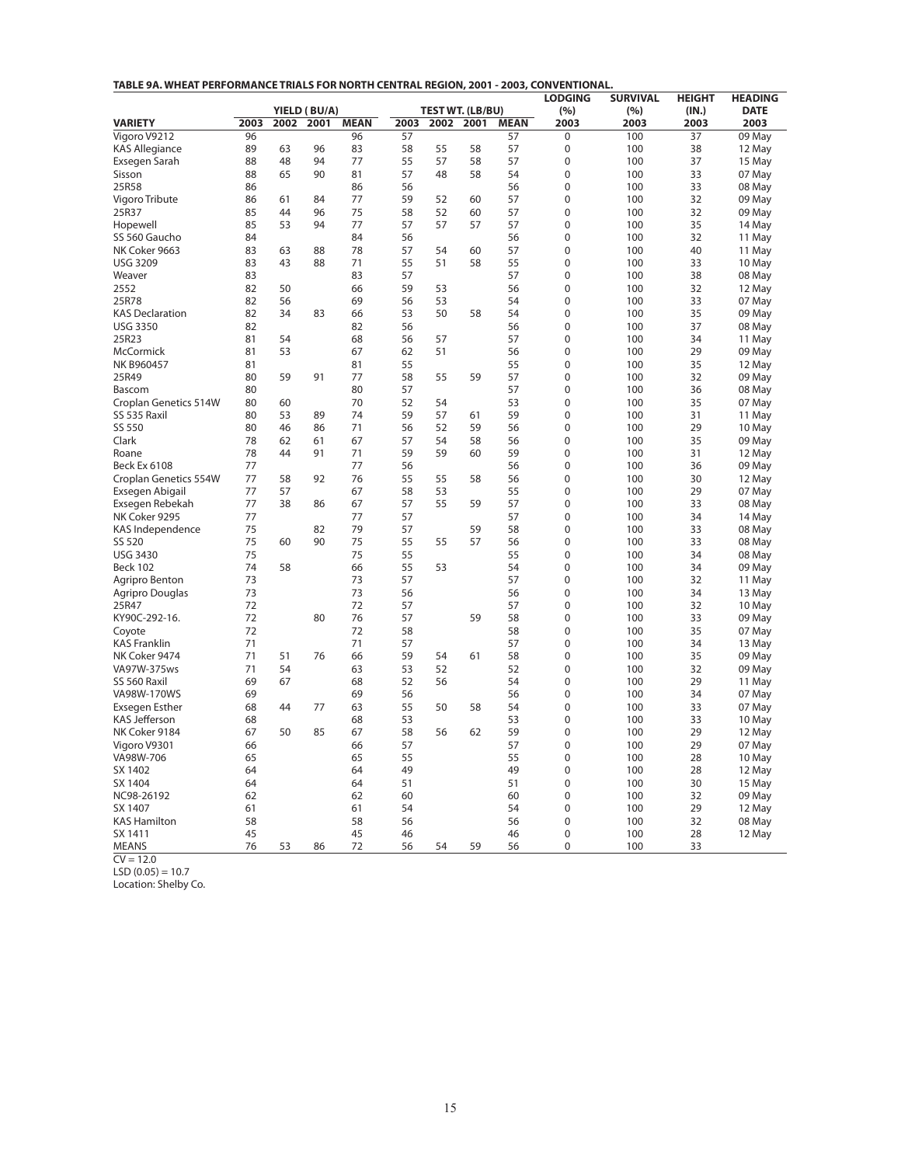| TABLE 9A. WHEAT PERFORMANCE TRIALS FOR NORTH CENTRAL REGION, 2001 - 2003, CONVENTIONAL. |
|-----------------------------------------------------------------------------------------|
|-----------------------------------------------------------------------------------------|

|                         |                                             |          |          |          |                  |          |          |             | <b>LODGING</b>      | <b>SURVIVAL</b> | <b>HEIGHT</b>       | <b>HEADING</b>   |
|-------------------------|---------------------------------------------|----------|----------|----------|------------------|----------|----------|-------------|---------------------|-----------------|---------------------|------------------|
|                         | YIELD (BU/A)<br>2003<br><b>MEAN</b><br>2002 |          |          |          | TEST WT. (LB/BU) |          |          | (%)         | (%)                 | (IN.)           | <b>DATE</b><br>2003 |                  |
| <b>VARIETY</b>          |                                             |          | 2001     |          | 2003<br>57       | 2002     | 2001     | <b>MEAN</b> | 2003<br>$\mathbf 0$ | 2003<br>100     | 2003                |                  |
| Vigoro V9212            | 96                                          |          | 96       | 96<br>83 |                  |          |          | 57          | $\mathbf{0}$        |                 | 37<br>38            | 09 May           |
| <b>KAS Allegiance</b>   | 89                                          | 63       |          | 77       | 58               | 55       | 58       | 57<br>57    | $\mathbf 0$         | 100<br>100      | 37                  | 12 May           |
| Exsegen Sarah<br>Sisson | 88<br>88                                    | 48<br>65 | 94<br>90 | 81       | 55<br>57         | 57<br>48 | 58<br>58 | 54          | 0                   | 100             | 33                  | 15 May<br>07 May |
| 25R58                   | 86                                          |          |          | 86       | 56               |          |          | 56          | 0                   | 100             | 33                  | 08 May           |
| Vigoro Tribute          | 86                                          | 61       | 84       | 77       | 59               | 52       | 60       | 57          | $\mathbf 0$         | 100             | 32                  | 09 May           |
| 25R37                   | 85                                          | 44       | 96       | 75       | 58               | 52       | 60       | 57          | $\mathbf 0$         | 100             | 32                  | 09 May           |
| Hopewell                | 85                                          | 53       | 94       | 77       | 57               | 57       | 57       | 57          | 0                   | 100             | 35                  | 14 May           |
| SS 560 Gaucho           | 84                                          |          |          | 84       | 56               |          |          | 56          | $\mathbf 0$         | 100             | 32                  |                  |
| NK Coker 9663           | 83                                          | 63       | 88       | 78       | 57               | 54       | 60       | 57          | 0                   | 100             | 40                  | 11 May<br>11 May |
| <b>USG 3209</b>         | 83                                          | 43       | 88       | 71       | 55               | 51       | 58       | 55          | $\mathbf 0$         | 100             | 33                  | 10 May           |
| Weaver                  | 83                                          |          |          | 83       | 57               |          |          | 57          | $\mathbf 0$         | 100             | 38                  | 08 May           |
| 2552                    | 82                                          | 50       |          | 66       | 59               | 53       |          | 56          | $\mathbf 0$         | 100             | 32                  | 12 May           |
| 25R78                   | 82                                          | 56       |          | 69       | 56               | 53       |          | 54          | $\overline{0}$      | 100             | 33                  | 07 May           |
| <b>KAS Declaration</b>  | 82                                          | 34       | 83       | 66       | 53               | 50       | 58       | 54          | $\mathbf 0$         | 100             | 35                  | 09 May           |
| <b>USG 3350</b>         | 82                                          |          |          | 82       | 56               |          |          | 56          | $\boldsymbol{0}$    | 100             | 37                  | 08 May           |
| 25R23                   | 81                                          | 54       |          | 68       | 56               | 57       |          | 57          | 0                   | 100             | 34                  | 11 May           |
| McCormick               | 81                                          | 53       |          | 67       | 62               | 51       |          | 56          | 0                   | 100             | 29                  | 09 May           |
| NK B960457              | 81                                          |          |          | 81       | 55               |          |          | 55          | $\mathbf 0$         | 100             | 35                  | 12 May           |
| 25R49                   | 80                                          | 59       | 91       | 77       | 58               | 55       | 59       | 57          | $\mathbf 0$         | 100             | 32                  | 09 May           |
| Bascom                  | 80                                          |          |          | 80       | 57               |          |          | 57          | $\mathbf 0$         | 100             | 36                  | 08 May           |
| Croplan Genetics 514W   | 80                                          | 60       |          | 70       | 52               | 54       |          | 53          | $\mathbf 0$         | 100             | 35                  | 07 May           |
| SS 535 Raxil            | 80                                          | 53       | 89       | 74       | 59               | 57       | 61       | 59          | $\mathbf{0}$        | 100             | 31                  | 11 May           |
| SS 550                  | 80                                          | 46       | 86       | 71       | 56               | 52       | 59       | 56          | $\mathbf 0$         | 100             | 29                  | 10 May           |
| Clark                   | 78                                          | 62       | 61       | 67       | 57               | 54       | 58       | 56          | $\mathbf 0$         | 100             | 35                  | 09 May           |
| Roane                   | 78                                          | 44       | 91       | 71       | 59               | 59       | 60       | 59          | $\mathbf 0$         | 100             | 31                  | 12 May           |
| <b>Beck Ex 6108</b>     | 77                                          |          |          | 77       | 56               |          |          | 56          | $\mathbf 0$         | 100             | 36                  | 09 May           |
| Croplan Genetics 554W   | 77                                          | 58       | 92       | 76       | 55               | 55       | 58       | 56          | $\mathbf 0$         | 100             | 30                  | 12 May           |
| Exsegen Abigail         | 77                                          | 57       |          | 67       | 58               | 53       |          | 55          | $\mathbf 0$         | 100             | 29                  | 07 May           |
| Exsegen Rebekah         | 77                                          | 38       | 86       | 67       | 57               | 55       | 59       | 57          | $\overline{0}$      | 100             | 33                  | 08 May           |
| NK Coker 9295           | 77                                          |          |          | 77       | 57               |          |          | 57          | 0                   | 100             | 34                  | 14 May           |
| KAS Independence        | 75                                          |          | 82       | 79       | 57               |          | 59       | 58          | 0                   | 100             | 33                  | 08 May           |
| SS 520                  | 75                                          | 60       | 90       | 75       | 55               | 55       | 57       | 56          | $\mathbf 0$         | 100             | 33                  | 08 May           |
| <b>USG 3430</b>         | 75                                          |          |          | 75       | 55               |          |          | 55          | $\mathbf 0$         | 100             | 34                  | 08 May           |
| <b>Beck 102</b>         | 74                                          | 58       |          | 66       | 55               | 53       |          | 54          | $\mathbf 0$         | 100             | 34                  | 09 May           |
| Agripro Benton          | 73                                          |          |          | 73       | 57               |          |          | 57          | $\mathbf 0$         | 100             | 32                  | 11 May           |
| Agripro Douglas         | 73                                          |          |          | 73       | 56               |          |          | 56          | $\mathbf 0$         | 100             | 34                  | 13 May           |
| 25R47                   | 72                                          |          |          | 72       | 57               |          |          | 57          | 0                   | 100             | 32                  | 10 May           |
| KY90C-292-16.           | 72                                          |          | 80       | 76       | 57               |          | 59       | 58          | 0                   | 100             | 33                  | 09 May           |
| Coyote                  | 72                                          |          |          | 72       | 58               |          |          | 58          | $\overline{0}$      | 100             | 35                  | 07 May           |
| <b>KAS Franklin</b>     | 71                                          |          |          | 71       | 57               |          |          | 57          | $\mathbf 0$         | 100             | 34                  | 13 May           |
| NK Coker 9474           | 71                                          | 51       | 76       | 66       | 59               | 54       | 61       | 58          | $\mathbf 0$         | 100             | 35                  | 09 May           |
| VA97W-375ws             | 71                                          | 54       |          | 63       | 53               | 52       |          | 52          | $\overline{0}$      | 100             | 32                  | 09 May           |
| SS 560 Raxil            | 69                                          | 67       |          | 68       | 52               | 56       |          | 54          | $\mathbf 0$         | 100             | 29                  | 11 May           |
| VA98W-170WS             | 69                                          |          |          | 69       | 56               |          |          | 56          | 0                   | 100             | 34                  | 07 May           |
| <b>Exsegen Esther</b>   | 68                                          | 44       | 77       | 63       | 55               | 50       | 58       | 54          | 0                   | 100             | 33                  | 07 May           |
| <b>KAS Jefferson</b>    | 68                                          |          |          | 68       | 53               |          |          | 53          | 0                   | 100             | 33                  | 10 May           |
| NK Coker 9184           | 67                                          | 50       | 85       | 67       | 58               | 56       | 62       | 59          | $\mathbf 0$         | 100             | 29                  | 12 May           |
| Vigoro V9301            | 66                                          |          |          | 66       | 57               |          |          | 57          | $\mathbf 0$         | 100             | 29                  | 07 May           |
| VA98W-706               | 65                                          |          |          | 65       | 55               |          |          | 55          | $\mathbf 0$         | 100             | 28                  | 10 May           |
| SX 1402                 | 64                                          |          |          | 64       | 49               |          |          | 49          | $\mathbf 0$         | 100             | 28                  | 12 May           |
| SX 1404                 | 64                                          |          |          | 64       | 51               |          |          | 51          | $\mathbf 0$         | 100             | 30                  | 15 May           |
| NC98-26192              | 62                                          |          |          | 62       | 60               |          |          | 60          | $\mathbf 0$         | 100             | 32                  | 09 May           |
| SX 1407                 | 61                                          |          |          | 61       | 54               |          |          | 54          | $\mathbf 0$         | 100             | 29                  | 12 May           |
| <b>KAS Hamilton</b>     | 58                                          |          |          | 58       | 56               |          |          | 56          | 0                   | 100             | 32                  | 08 May           |
| SX 1411                 | 45                                          |          |          | 45       | 46               |          |          | 46          | $\mathbf 0$         | 100             | 28                  | 12 May           |
| <b>MEANS</b>            | 76                                          | 53       | 86       | 72       | 56               | 54       | 59       | 56          | 0                   | 100             | 33                  |                  |
|                         |                                             |          |          |          |                  |          |          |             |                     |                 |                     |                  |

 $CV = 12.0$ 

 $LSD (0.05) = 10.7$ 

Location: Shelby Co.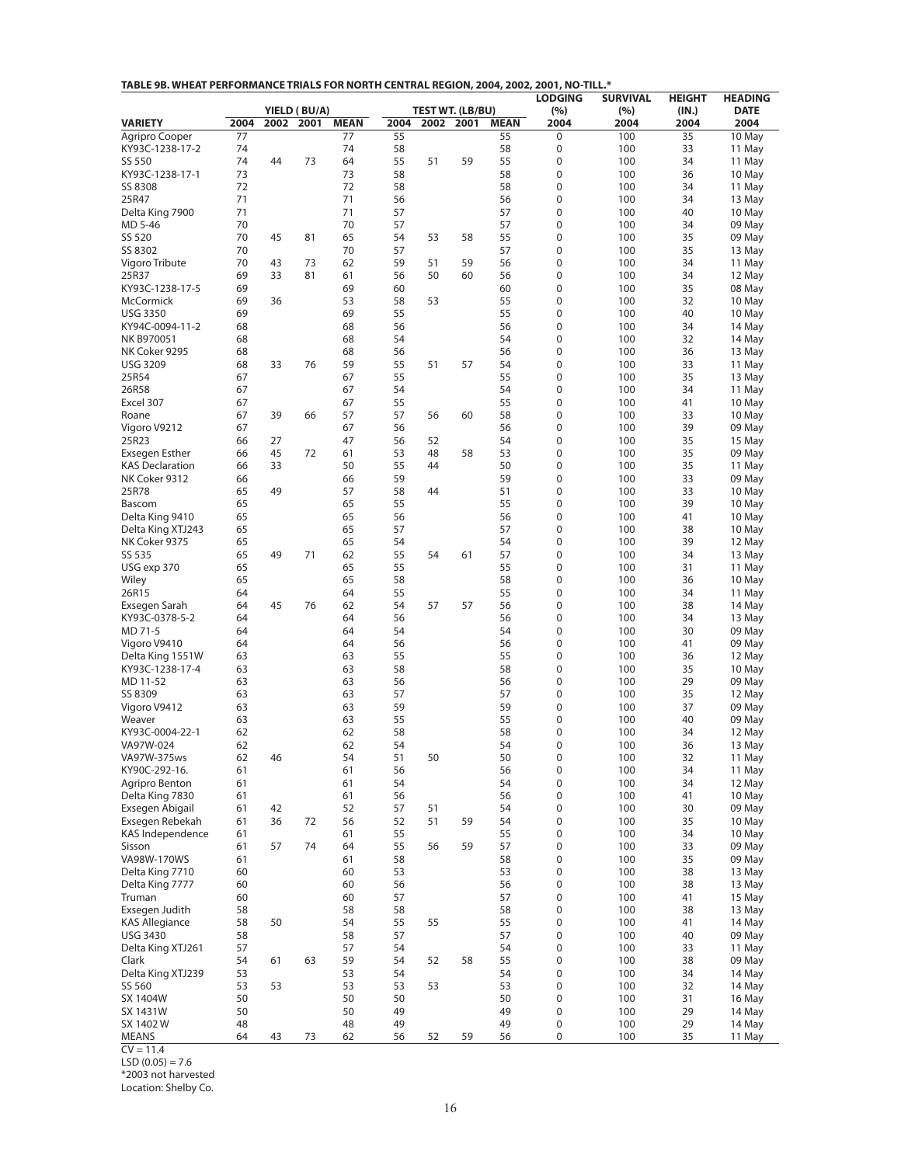| TABLE 9B. WHEAT PERFORMANCE TRIALS FOR NORTH CENTRAL REGION, 2004, 2002, 2001, NO-TILL.* |  |
|------------------------------------------------------------------------------------------|--|
|------------------------------------------------------------------------------------------|--|

|                                         |            |      |              |                   |            |      |                         |                   | <b>LODGING</b> | <b>SURVIVAL</b> | <b>HEIGHT</b> | <b>HEADING</b>   |
|-----------------------------------------|------------|------|--------------|-------------------|------------|------|-------------------------|-------------------|----------------|-----------------|---------------|------------------|
|                                         |            |      | YIELD (BU/A) |                   |            |      | <b>TEST WT. (LB/BU)</b> |                   | (%)            | (%)             | (IN.)         | <b>DATE</b>      |
| <b>VARIETY</b><br><b>Agripro Cooper</b> | 2004<br>77 | 2002 | 2001         | <b>MEAN</b><br>77 | 2004<br>55 | 2002 | 2001                    | <b>MEAN</b><br>55 | 2004<br>0      | 2004<br>100     | 2004<br>35    | 2004<br>10 May   |
| KY93C-1238-17-2                         | 74         |      |              | 74                | 58         |      |                         | 58                | 0              | 100             | 33            | 11 May           |
| SS 550                                  | 74         | 44   | 73           | 64                | 55         | 51   | 59                      | 55                | 0              | 100             | 34            | 11 May           |
| KY93C-1238-17-1                         | 73         |      |              | 73                | 58         |      |                         | 58                | 0              | 100             | 36            | 10 May           |
| SS 8308                                 | 72         |      |              | 72                | 58         |      |                         | 58                | 0              | 100             | 34            | 11 May           |
| 25R47                                   | 71         |      |              | 71                | 56         |      |                         | 56                | 0              | 100             | 34            | 13 May           |
| Delta King 7900                         | 71         |      |              | 71                | 57         |      |                         | 57                | 0              | 100             | 40            | 10 May           |
| MD 5-46                                 | 70         |      |              | 70                | 57         |      |                         | 57                | 0              | 100             | 34            | 09 May           |
| SS 520                                  | 70         | 45   | 81           | 65                | 54         | 53   | 58                      | 55                | 0              | 100             | 35            | 09 May           |
| SS 8302                                 | 70         |      |              | 70                | 57         |      |                         | 57                | 0              | 100             | 35            | 13 May           |
| Vigoro Tribute                          | 70         | 43   | 73           | 62                | 59         | 51   | 59                      | 56                | 0              | 100             | 34            | 11 May           |
| 25R37                                   | 69         | 33   | 81           | 61                | 56         | 50   | 60                      | 56                | 0              | 100             | 34            | 12 May           |
| KY93C-1238-17-5                         | 69         |      |              | 69<br>53          | 60         |      |                         | 60<br>55          | 0<br>0         | 100             | 35            | 08 May           |
| <b>McCormick</b><br><b>USG 3350</b>     | 69<br>69   | 36   |              | 69                | 58<br>55   | 53   |                         | 55                | 0              | 100<br>100      | 32<br>40      | 10 May<br>10 May |
| KY94C-0094-11-2                         | 68         |      |              | 68                | 56         |      |                         | 56                | 0              | 100             | 34            | 14 May           |
| NK B970051                              | 68         |      |              | 68                | 54         |      |                         | 54                | 0              | 100             | 32            | 14 May           |
| NK Coker 9295                           | 68         |      |              | 68                | 56         |      |                         | 56                | 0              | 100             | 36            | 13 May           |
| <b>USG 3209</b>                         | 68         | 33   | 76           | 59                | 55         | 51   | 57                      | 54                | 0              | 100             | 33            | 11 May           |
| 25R54                                   | 67         |      |              | 67                | 55         |      |                         | 55                | 0              | 100             | 35            | 13 May           |
| 26R58                                   | 67         |      |              | 67                | 54         |      |                         | 54                | 0              | 100             | 34            | 11 May           |
| Excel 307                               | 67         |      |              | 67                | 55         |      |                         | 55                | 0              | 100             | 41            | 10 May           |
| Roane                                   | 67         | 39   | 66           | 57                | 57         | 56   | 60                      | 58                | 0              | 100             | 33            | 10 May           |
| Vigoro V9212                            | 67         |      |              | 67                | 56         |      |                         | 56                | 0              | 100             | 39            | 09 May           |
| 25R23                                   | 66         | 27   |              | 47                | 56         | 52   |                         | 54                | 0              | 100             | 35            | 15 May           |
| Exsegen Esther                          | 66         | 45   | 72           | 61                | 53         | 48   | 58                      | 53                | 0              | 100             | 35            | 09 May           |
| <b>KAS Declaration</b>                  | 66         | 33   |              | 50                | 55         | 44   |                         | 50                | 0              | 100             | 35            | 11 May           |
| NK Coker 9312                           | 66         |      |              | 66                | 59         |      |                         | 59                | 0              | 100             | 33            | 09 May           |
| 25R78<br>Bascom                         | 65<br>65   | 49   |              | 57<br>65          | 58<br>55   | 44   |                         | 51<br>55          | 0<br>0         | 100<br>100      | 33<br>39      | 10 May<br>10 May |
| Delta King 9410                         | 65         |      |              | 65                | 56         |      |                         | 56                | 0              | 100             | 41            | 10 May           |
| Delta King XTJ243                       | 65         |      |              | 65                | 57         |      |                         | 57                | 0              | 100             | 38            | 10 May           |
| NK Coker 9375                           | 65         |      |              | 65                | 54         |      |                         | 54                | 0              | 100             | 39            | 12 May           |
| SS 535                                  | 65         | 49   | 71           | 62                | 55         | 54   | 61                      | 57                | 0              | 100             | 34            | 13 May           |
| USG exp 370                             | 65         |      |              | 65                | 55         |      |                         | 55                | 0              | 100             | 31            | 11 May           |
| Wiley                                   | 65         |      |              | 65                | 58         |      |                         | 58                | 0              | 100             | 36            | 10 May           |
| 26R15                                   | 64         |      |              | 64                | 55         |      |                         | 55                | 0              | 100             | 34            | 11 May           |
| Exsegen Sarah                           | 64         | 45   | 76           | 62                | 54         | 57   | 57                      | 56                | 0              | 100             | 38            | 14 May           |
| KY93C-0378-5-2                          | 64         |      |              | 64                | 56         |      |                         | 56                | 0              | 100             | 34            | 13 May           |
| MD 71-5                                 | 64         |      |              | 64                | 54         |      |                         | 54                | 0              | 100             | 30            | 09 May           |
| Vigoro V9410                            | 64         |      |              | 64                | 56         |      |                         | 56                | 0              | 100             | 41            | 09 May           |
| Delta King 1551W<br>KY93C-1238-17-4     | 63<br>63   |      |              | 63<br>63          | 55<br>58   |      |                         | 55<br>58          | 0<br>0         | 100<br>100      | 36<br>35      | 12 May           |
| MD 11-52                                | 63         |      |              | 63                | 56         |      |                         | 56                | 0              | 100             | 29            | 10 May<br>09 May |
| SS 8309                                 | 63         |      |              | 63                | 57         |      |                         | 57                | 0              | 100             | 35            | 12 May           |
| Vigoro V9412                            | 63         |      |              | 63                | 59         |      |                         | 59                | 0              | 100             | 37            | 09 May           |
| Weaver                                  | 63         |      |              | 63                | 55         |      |                         | 55                | 0              | 100             | 40            | 09 May           |
| KY93C-0004-22-1                         | 62         |      |              | 62                | 58         |      |                         | 58                | 0              | 100             | 34            | 12 May           |
| VA97W-024                               | 62         |      |              | 62                | 54         |      |                         | 54                | 0              | 100             | 36            | 13 May           |
| VA97W-375ws                             | 62         | 46   |              | 54                | 51         | 50   |                         | 50                | 0              | 100             | 32            | 11 May           |
| KY90C-292-16.                           | 61         |      |              | 61                | 56         |      |                         | 56                | 0              | 100             | 34            | 11 May           |
| Agripro Benton                          | 61         |      |              | 61                | 54         |      |                         | 54                | 0              | 100             | 34            | 12 May           |
| Delta King 7830                         | 61         |      |              | 61                | 56         |      |                         | 56                | 0              | 100             | 41            | 10 May           |
| Exsegen Abigail                         | 61         | 42   |              | 52                | 57<br>52   | 51   | 59                      | 54<br>54          | 0<br>0         | 100             | 30            | 09 May<br>10 May |
| Exsegen Rebekah<br>KAS Independence     | 61<br>61   | 36   | 72           | 56<br>61          | 55         | 51   |                         | 55                | 0              | 100<br>100      | 35<br>34      | 10 May           |
| Sisson                                  | 61         | 57   | 74           | 64                | 55         | 56   | 59                      | 57                | 0              | 100             | 33            | 09 May           |
| VA98W-170WS                             | 61         |      |              | 61                | 58         |      |                         | 58                | 0              | 100             | 35            | 09 May           |
| Delta King 7710                         | 60         |      |              | 60                | 53         |      |                         | 53                | 0              | 100             | 38            | 13 May           |
| Delta King 7777                         | 60         |      |              | 60                | 56         |      |                         | 56                | 0              | 100             | 38            | 13 May           |
| Truman                                  | 60         |      |              | 60                | 57         |      |                         | 57                | 0              | 100             | 41            | 15 May           |
| Exsegen Judith                          | 58         |      |              | 58                | 58         |      |                         | 58                | 0              | 100             | 38            | 13 May           |
| <b>KAS Allegiance</b>                   | 58         | 50   |              | 54                | 55         | 55   |                         | 55                | 0              | 100             | 41            | 14 May           |
| <b>USG 3430</b>                         | 58         |      |              | 58                | 57         |      |                         | 57                | 0              | 100             | 40            | 09 May           |
| Delta King XTJ261                       | 57         |      |              | 57                | 54         |      |                         | 54                | 0              | 100             | 33            | 11 May           |
| Clark                                   | 54         | 61   | 63           | 59                | 54         | 52   | 58                      | 55                | 0              | 100             | 38            | 09 May           |
| Delta King XTJ239                       | 53         |      |              | 53                | 54         |      |                         | 54                | 0              | 100             | 34            | 14 May           |
| SS 560                                  | 53         | 53   |              | 53                | 53         | 53   |                         | 53                | 0              | 100             | 32            | 14 May           |
| SX 1404W                                | 50<br>50   |      |              | 50<br>50          | 50<br>49   |      |                         | 50<br>49          | 0<br>0         | 100<br>100      | 31            | 16 May           |
| SX 1431W<br>SX 1402 W                   | 48         |      |              | 48                | 49         |      |                         | 49                | 0              | 100             | 29<br>29      | 14 May<br>14 May |
| <b>MEANS</b>                            | 64         | 43   | 73           | 62                | 56         | 52   | 59                      | 56                | 0              | 100             | 35            | 11 May           |

 $CV = 11.4$ 

 $LSD (0.05) = 7.6$ 

\*2003 not harvested

Location: Shelby Co.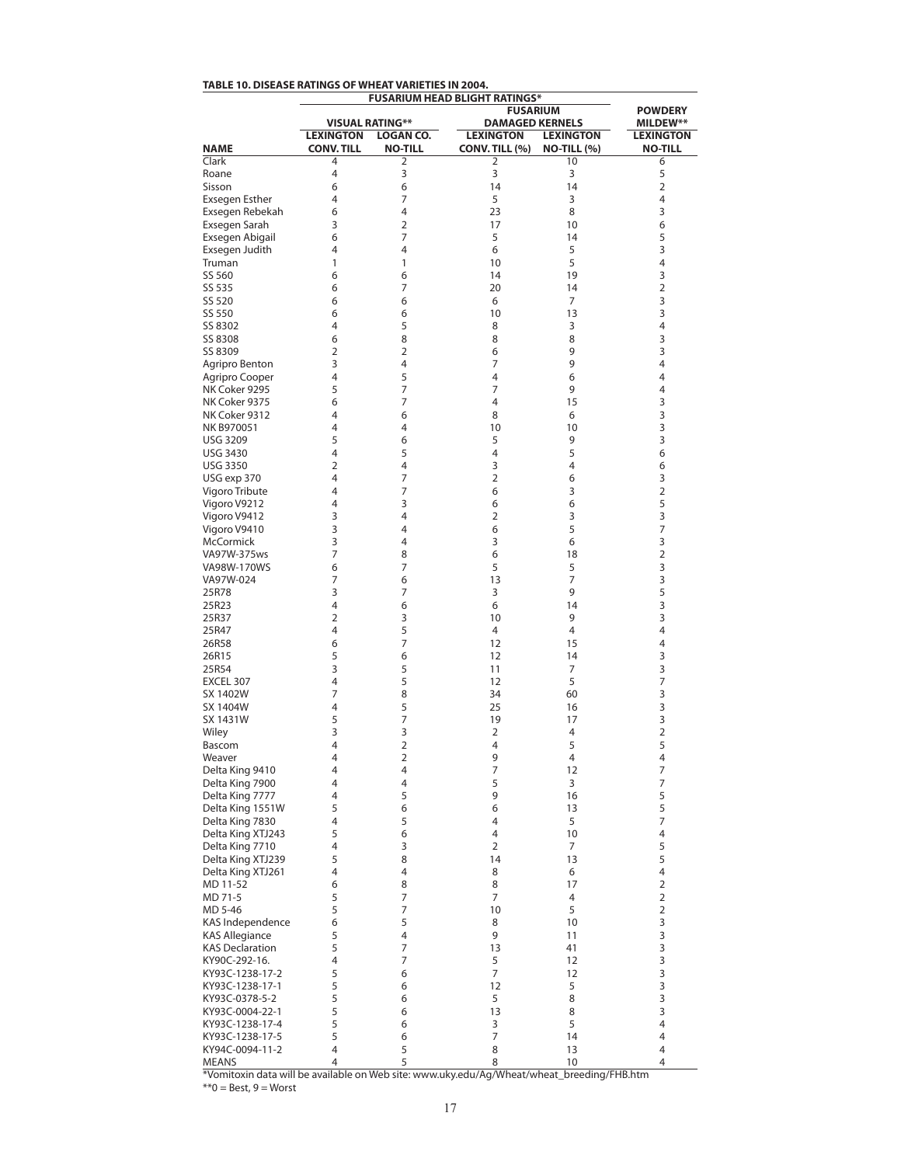|                                  | <b>FUSARIUM HEAD BLIGHT RATINGS*</b>  |                                    |                                    |                                        |                                    |
|----------------------------------|---------------------------------------|------------------------------------|------------------------------------|----------------------------------------|------------------------------------|
|                                  |                                       | <b>POWDERY</b>                     |                                    |                                        |                                    |
|                                  |                                       | <b>VISUAL RATING**</b>             | <b>DAMAGED KERNELS</b>             |                                        | <b>MILDEW**</b>                    |
| <b>NAME</b>                      | <b>LEXINGTON</b><br><b>CONV. TILL</b> | <b>LOGAN CO.</b><br><b>NO-TILL</b> | <b>LEXINGTON</b><br>CONV. TILL (%) | <b>LEXINGTON</b><br><b>NO-TILL (%)</b> | <b>LEXINGTON</b><br><b>NO-TILL</b> |
| Clark                            | 4                                     | 2                                  | 2                                  | 10                                     | 6                                  |
| Roane                            | 4                                     | 3                                  | 3                                  | 3                                      | 5                                  |
| Sisson                           | 6                                     | 6                                  | 14                                 | 14                                     | 2                                  |
| <b>Exsegen Esther</b>            | 4                                     | 7                                  | 5                                  | 3                                      | 4                                  |
| Exsegen Rebekah                  | 6                                     | 4                                  | 23                                 | 8                                      | 3                                  |
| Exsegen Sarah                    | 3                                     | $\overline{2}$                     | 17                                 | 10                                     | 6                                  |
| Exsegen Abigail                  | 6                                     | 7                                  | 5                                  | 14                                     | 5                                  |
| Exsegen Judith                   | 4                                     | 4                                  | 6                                  | 5                                      | 3                                  |
| Truman                           | 1                                     | 1                                  | 10                                 | 5                                      | 4                                  |
| SS 560                           | 6                                     | 6                                  | 14                                 | 19                                     | 3                                  |
| SS 535                           | 6                                     | 7                                  | 20                                 | 14                                     | 2                                  |
| SS 520                           | 6                                     | 6                                  | 6                                  | 7                                      | 3                                  |
| SS 550                           | 6                                     | 6                                  | 10                                 | 13                                     | 3                                  |
| SS 8302                          | 4                                     | 5                                  | 8                                  | 3                                      | 4                                  |
| SS 8308                          | 6<br>2                                | 8                                  | 8                                  | 8                                      | 3                                  |
| SS 8309                          | 3                                     | 2<br>4                             | 6<br>7                             | 9<br>9                                 | 3<br>4                             |
| Agripro Benton<br>Agripro Cooper | 4                                     | 5                                  | 4                                  | 6                                      | 4                                  |
| NK Coker 9295                    | 5                                     | 7                                  | 7                                  | 9                                      | 4                                  |
| NK Coker 9375                    | 6                                     | 7                                  | 4                                  | 15                                     | 3                                  |
| NK Coker 9312                    | 4                                     | 6                                  | 8                                  | 6                                      | 3                                  |
| NK B970051                       | 4                                     | 4                                  | 10                                 | 10                                     | 3                                  |
| <b>USG 3209</b>                  | 5                                     | 6                                  | 5                                  | 9                                      | 3                                  |
| <b>USG 3430</b>                  | 4                                     | 5                                  | 4                                  | 5                                      | 6                                  |
| <b>USG 3350</b>                  | $\overline{2}$                        | 4                                  | 3                                  | 4                                      | 6                                  |
| USG exp 370                      | 4                                     | 7                                  | $\overline{2}$                     | 6                                      | 3                                  |
| Vigoro Tribute                   | 4                                     | 7                                  | 6                                  | 3                                      | 2                                  |
| Vigoro V9212                     | 4                                     | 3                                  | 6                                  | 6                                      | 5                                  |
| Vigoro V9412                     | 3                                     | 4                                  | $\overline{2}$                     | 3                                      | 3                                  |
| Vigoro V9410                     | 3                                     | 4                                  | 6                                  | 5                                      | 7                                  |
| McCormick                        | 3                                     | 4                                  | 3                                  | 6                                      | 3                                  |
| VA97W-375ws                      | 7                                     | 8                                  | 6                                  | 18                                     | 2                                  |
| VA98W-170WS                      | 6                                     | 7                                  | 5                                  | 5                                      | 3                                  |
| VA97W-024                        | 7                                     | 6                                  | 13                                 | 7                                      | 3                                  |
| 25R78                            | 3                                     | 7                                  | 3                                  | 9                                      | 5                                  |
| 25R23                            | 4                                     | 6                                  | 6                                  | 14                                     | 3                                  |
| 25R37                            | 2                                     | 3                                  | 10                                 | 9                                      | 3                                  |
| 25R47                            | 4                                     | 5                                  | 4                                  | 4                                      | 4                                  |
| 26R58                            | 6                                     | 7                                  | 12                                 | 15                                     | 4                                  |
| 26R15                            | 5                                     | 6                                  | 12                                 | 14                                     | 3                                  |
| 25R54                            | 3                                     | 5                                  | 11                                 | 7                                      | 3                                  |
| EXCEL 307                        | 4                                     | 5                                  | 12                                 | 5                                      | 7                                  |
| SX 1402W                         | 7                                     | 8                                  | 34                                 | 60                                     | 3                                  |
| SX 1404W                         | 4                                     | 5                                  | 25                                 | 16                                     | 3                                  |
| SX 1431W                         | 5                                     | 7                                  | 19<br>$\overline{2}$               | 17                                     | 3                                  |
| Wiley                            | 3<br>4                                | 3<br>$\overline{2}$                | 4                                  | 4<br>5                                 | 2<br>5                             |
| Bascom<br>Weaver                 | 4                                     | 2                                  | 9                                  | 4                                      | 4                                  |
| Delta King 9410                  | 4                                     | 4                                  | 7                                  | 12                                     | 7                                  |
| Delta King 7900                  | 4                                     | 4                                  | 5                                  | 3                                      | 7                                  |
| Delta King 7777                  | 4                                     | 5                                  | 9                                  | 16                                     | 5                                  |
| Delta King 1551W                 | 5                                     | 6                                  | 6                                  | 13                                     | 5                                  |
| Delta King 7830                  | 4                                     | 5                                  | 4                                  | 5                                      | 7                                  |
| Delta King XTJ243                | 5                                     | 6                                  | $\overline{4}$                     | 10                                     | 4                                  |
| Delta King 7710                  | 4                                     | 3                                  | 2                                  | 7                                      | 5                                  |
| Delta King XTJ239                | 5                                     | 8                                  | 14                                 | 13                                     | 5                                  |
| Delta King XTJ261                | 4                                     | 4                                  | 8                                  | 6                                      | 4                                  |
| MD 11-52                         | 6                                     | 8                                  | 8                                  | 17                                     | 2                                  |
| MD 71-5                          | 5                                     | 7                                  | 7                                  | 4                                      | 2                                  |
| MD 5-46                          | 5                                     | 7                                  | 10                                 | 5                                      | 2                                  |
| KAS Independence                 | 6                                     | 5                                  | 8                                  | 10                                     | 3                                  |
| <b>KAS Allegiance</b>            | 5                                     | 4                                  | 9                                  | 11                                     | 3                                  |
| <b>KAS Declaration</b>           | 5                                     | 7                                  | 13                                 | 41                                     | 3                                  |
| KY90C-292-16.                    | 4                                     | 7                                  | 5                                  | 12                                     | 3                                  |
| KY93C-1238-17-2                  | 5                                     | 6                                  | $\overline{7}$                     | 12                                     | 3                                  |
| KY93C-1238-17-1                  | 5                                     | 6                                  | 12                                 | 5                                      | 3                                  |
| KY93C-0378-5-2                   | 5                                     | 6                                  | 5                                  | 8                                      | 3                                  |
| KY93C-0004-22-1                  | 5                                     | 6                                  | 13                                 | 8                                      | 3                                  |
| KY93C-1238-17-4                  | 5                                     | 6                                  | 3                                  | 5                                      | 4                                  |
| KY93C-1238-17-5                  | 5                                     | 6                                  | 7                                  | 14                                     | 4                                  |
| KY94C-0094-11-2                  | 4                                     | 5                                  | 8                                  | 13                                     | 4                                  |
| MEANS                            | 4                                     | 5                                  | 8                                  | 10                                     | 4                                  |

#### **TABLE 10. DISEASE RATINGS OF WHEAT VARIETIES IN 2004.**

\*Vomitoxin data will be available on Web site: www.uky.edu/Ag/Wheat/wheat\_breeding/FHB.htm

\*\*0 = Best, 9 = Worst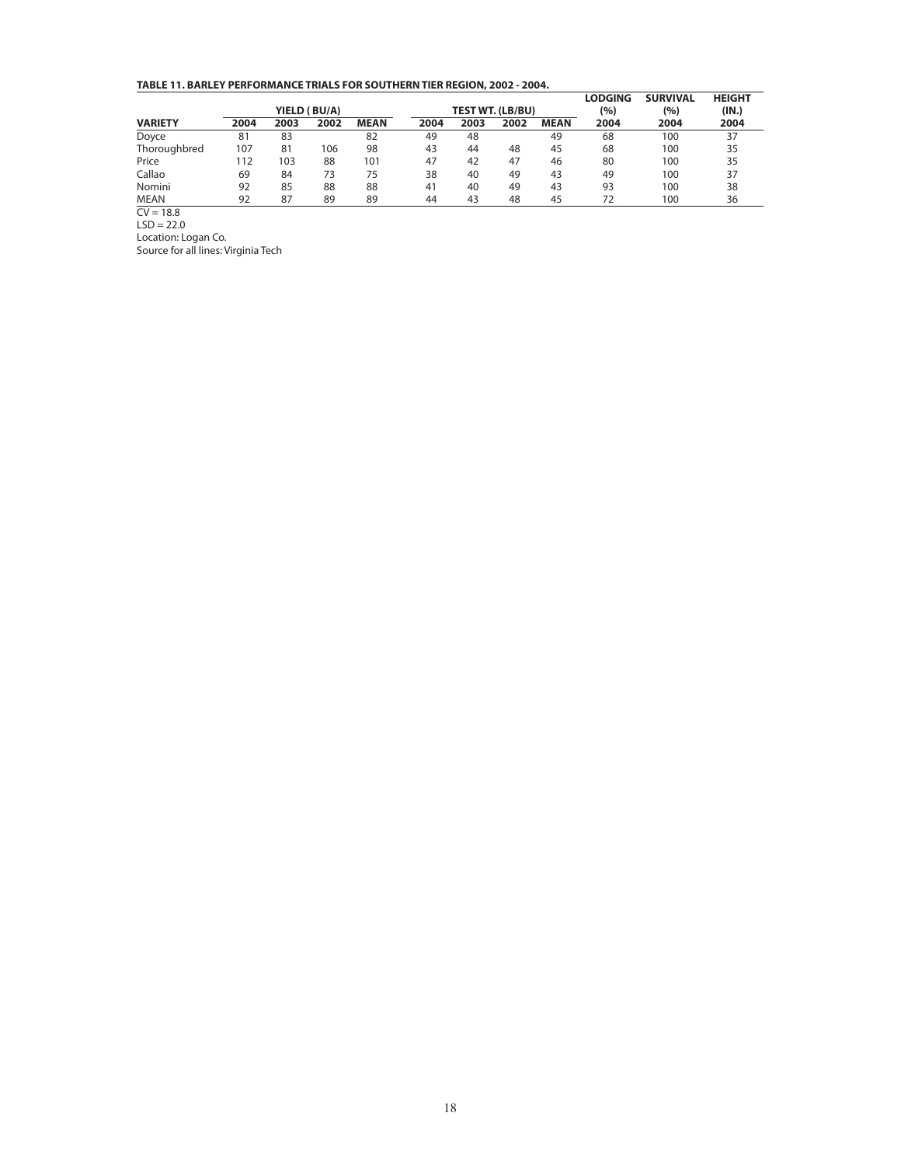**TABLE 11. BARLEY PERFORMANCE TRIALS FOR SOUTHERN TIER REGION, 2002 - 2004.**

|                |      |      | YIELD (BU/A) |             | <b>TEST WT. (LB/BU)</b> |      |      |             | <b>LODGING</b><br>(%) | <b>SURVIVAL</b><br>(%) | <b>HEIGHT</b><br>(IN.) |
|----------------|------|------|--------------|-------------|-------------------------|------|------|-------------|-----------------------|------------------------|------------------------|
| <b>VARIETY</b> | 2004 | 2003 | 2002         | <b>MEAN</b> | 2004                    | 2003 | 2002 | <b>MEAN</b> | 2004                  | 2004                   | 2004                   |
| Doyce          | 81   | 83   |              | 82          | 49                      | 48   |      | 49          | 68                    | 100                    | 37                     |
| Thoroughbred   | 107  | 81   | 106          | 98          | 43                      | 44   | 48   | 45          | 68                    | 100                    | 35                     |
| Price          | 112  | 103  | 88           | 101         | 47                      | 42   | 47   | 46          | 80                    | 100                    | 35                     |
| Callao         | 69   | 84   | 73           | 75          | 38                      | 40   | 49   | 43          | 49                    | 100                    | 37                     |
| Nomini         | 92   | 85   | 88           | 88          | 41                      | 40   | 49   | 43          | 93                    | 100                    | 38                     |
| <b>MEAN</b>    | 92   | 87   | 89           | 89          | 44                      | 43   | 48   | 45          | 72                    | 100                    | 36                     |
| $\sim$ $\sim$  |      |      |              |             |                         |      |      |             |                       |                        |                        |

 $CV = 18.8$ 

 $LSD = 22.0$ 

Location: Logan Co. Source for all lines: Virginia Tech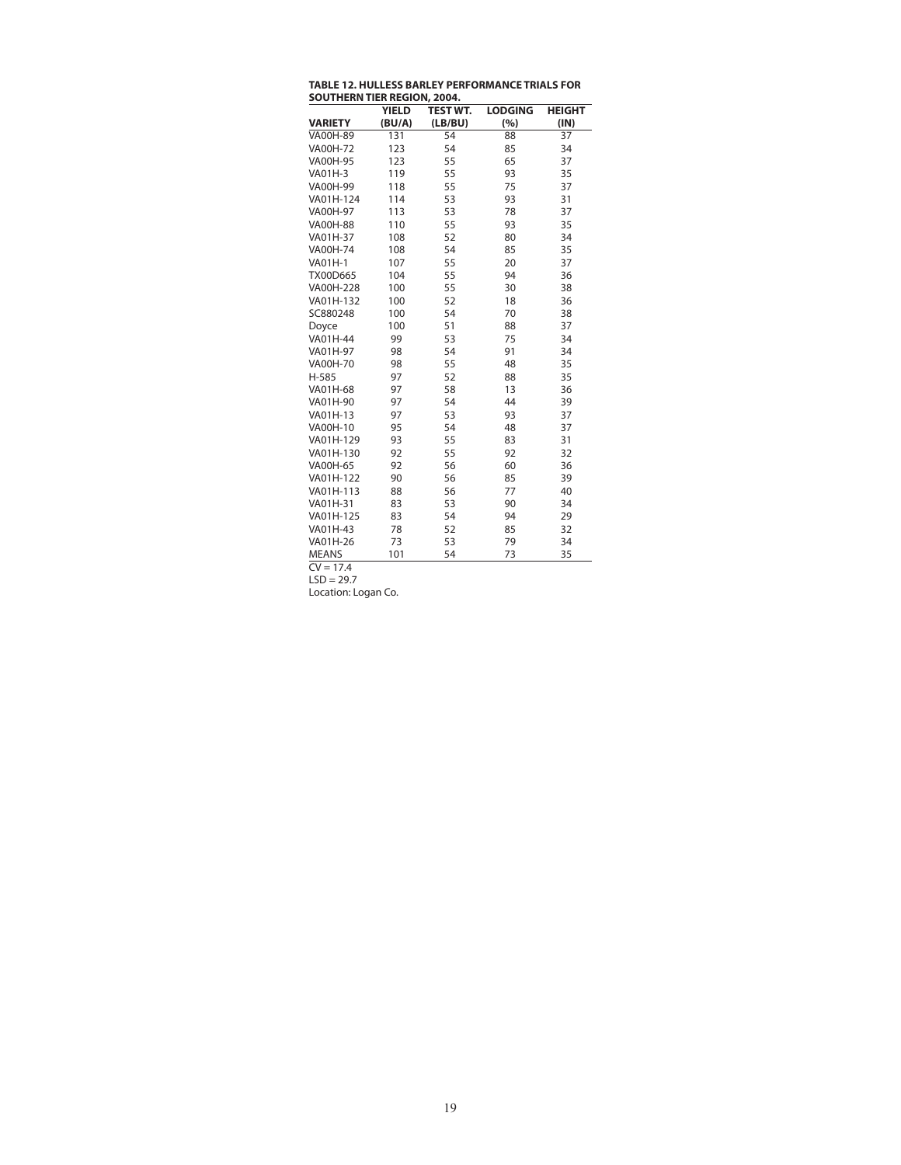| <b>TABLE 12. HULLESS BARLEY PERFORMANCE TRIALS FOR</b> |
|--------------------------------------------------------|
| <b>SOUTHERN TIER REGION, 2004.</b>                     |

|     |                                      |                                        | <b>HEIGHT</b>                     |
|-----|--------------------------------------|----------------------------------------|-----------------------------------|
|     |                                      |                                        | (IN)                              |
|     |                                      |                                        | 37                                |
|     |                                      |                                        | 34                                |
| 123 | 55                                   | 65                                     | 37                                |
| 119 | 55                                   | 93                                     | 35                                |
| 118 | 55                                   | 75                                     | 37                                |
| 114 | 53                                   | 93                                     | 31                                |
| 113 | 53                                   | 78                                     | 37                                |
| 110 | 55                                   | 93                                     | 35                                |
| 108 | 52                                   | 80                                     | 34                                |
| 108 | 54                                   | 85                                     | 35                                |
| 107 | 55                                   | 20                                     | 37                                |
| 104 | 55                                   | 94                                     | 36                                |
| 100 | 55                                   | 30                                     | 38                                |
| 100 | 52                                   | 18                                     | 36                                |
| 100 | 54                                   | 70                                     | 38                                |
| 100 | 51                                   | 88                                     | 37                                |
| 99  | 53                                   | 75                                     | 34                                |
| 98  | 54                                   | 91                                     | 34                                |
| 98  | 55                                   | 48                                     | 35                                |
| 97  | 52                                   | 88                                     | 35                                |
| 97  | 58                                   | 13                                     | 36                                |
| 97  | 54                                   | 44                                     | 39                                |
| 97  | 53                                   | 93                                     | 37                                |
| 95  | 54                                   | 48                                     | 37                                |
| 93  | 55                                   | 83                                     | 31                                |
| 92  | 55                                   | 92                                     | 32                                |
| 92  | 56                                   | 60                                     | 36                                |
| 90  | 56                                   | 85                                     | 39                                |
| 88  | 56                                   | 77                                     | 40                                |
| 83  | 53                                   | 90                                     | 34                                |
| 83  | 54                                   | 94                                     | 29                                |
| 78  | 52                                   | 85                                     | 32                                |
| 73  | 53                                   | 79                                     | 34                                |
| 101 | 54                                   | 73                                     | 35                                |
|     | <b>YIELD</b><br>(BU/A)<br>131<br>123 | <b>TEST WT.</b><br>(LB/BU)<br>54<br>54 | <b>LODGING</b><br>(%)<br>88<br>85 |

 $CV = 17.4$ 

 $LSD = 29.7$ Location: Logan Co.